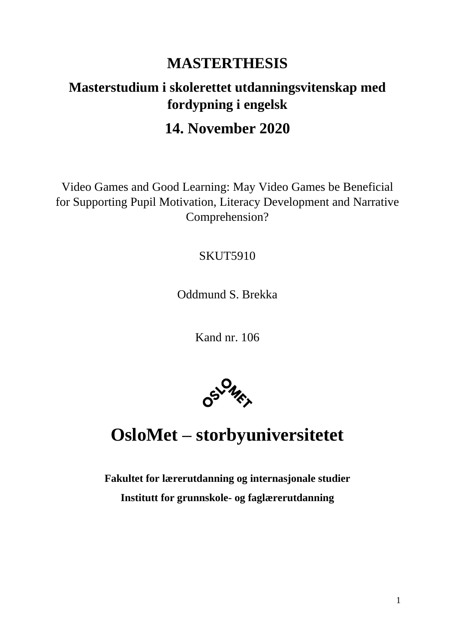## **MASTERTHESIS**

## **Masterstudium i skolerettet utdanningsvitenskap med fordypning i engelsk**

## **14. November 2020**

Video Games and Good Learning: May Video Games be Beneficial for Supporting Pupil Motivation, Literacy Development and Narrative Comprehension?

### SKUT5910

Oddmund S. Brekka

Kand nr. 106



# **OsloMet – storbyuniversitetet**

**Fakultet for lærerutdanning og internasjonale studier Institutt for grunnskole- og faglærerutdanning**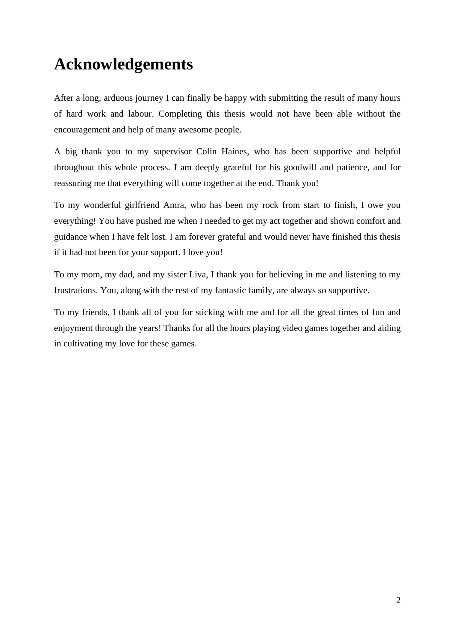# <span id="page-1-0"></span>**Acknowledgements**

After a long, arduous journey I can finally be happy with submitting the result of many hours of hard work and labour. Completing this thesis would not have been able without the encouragement and help of many awesome people.

A big thank you to my supervisor Colin Haines, who has been supportive and helpful throughout this whole process. I am deeply grateful for his goodwill and patience, and for reassuring me that everything will come together at the end. Thank you!

To my wonderful girlfriend Amra, who has been my rock from start to finish, I owe you everything! You have pushed me when I needed to get my act together and shown comfort and guidance when I have felt lost. I am forever grateful and would never have finished this thesis if it had not been for your support. I love you!

To my mom, my dad, and my sister Liva, I thank you for believing in me and listening to my frustrations. You, along with the rest of my fantastic family, are always so supportive.

To my friends, I thank all of you for sticking with me and for all the great times of fun and enjoyment through the years! Thanks for all the hours playing video games together and aiding in cultivating my love for these games.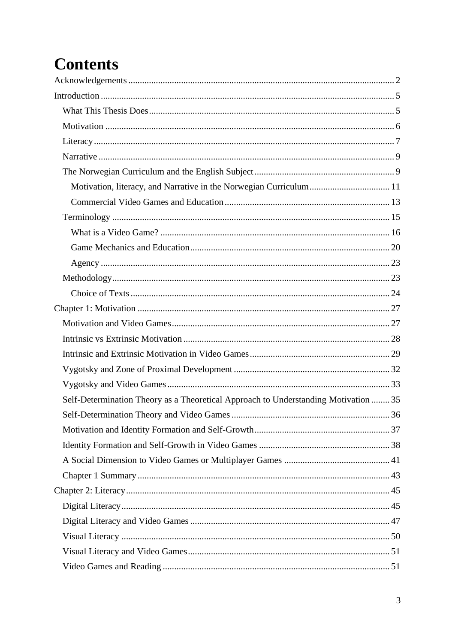# **Contents**

| Self-Determination Theory as a Theoretical Approach to Understanding Motivation  35 |
|-------------------------------------------------------------------------------------|
|                                                                                     |
|                                                                                     |
|                                                                                     |
|                                                                                     |
|                                                                                     |
|                                                                                     |
|                                                                                     |
|                                                                                     |
|                                                                                     |
|                                                                                     |
|                                                                                     |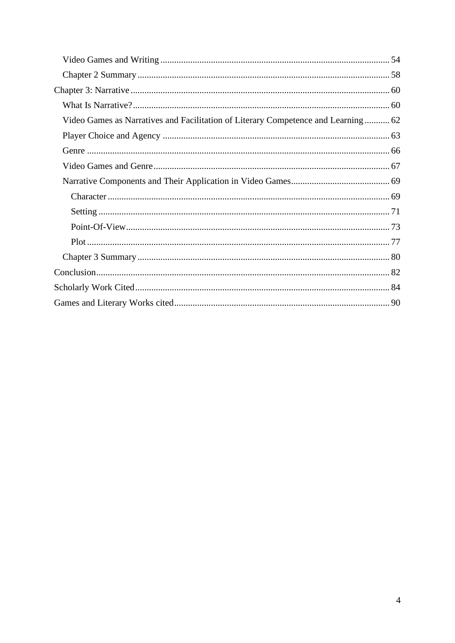| Video Games as Narratives and Facilitation of Literary Competence and Learning 62 |
|-----------------------------------------------------------------------------------|
|                                                                                   |
|                                                                                   |
|                                                                                   |
|                                                                                   |
|                                                                                   |
|                                                                                   |
|                                                                                   |
|                                                                                   |
|                                                                                   |
|                                                                                   |
|                                                                                   |
|                                                                                   |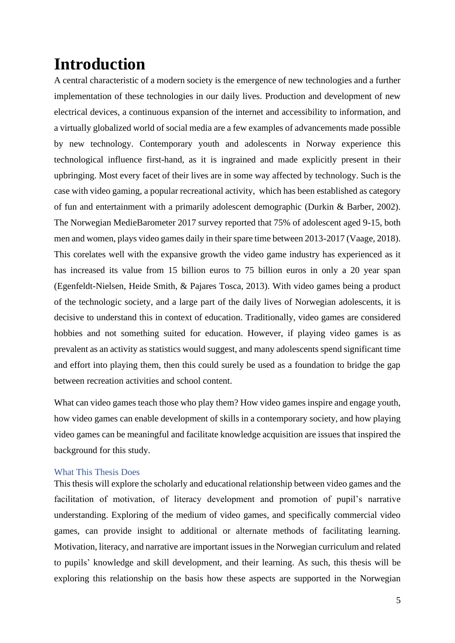# <span id="page-4-0"></span>**Introduction**

A central characteristic of a modern society is the emergence of new technologies and a further implementation of these technologies in our daily lives. Production and development of new electrical devices, a continuous expansion of the internet and accessibility to information, and a virtually globalized world of social media are a few examples of advancements made possible by new technology. Contemporary youth and adolescents in Norway experience this technological influence first-hand, as it is ingrained and made explicitly present in their upbringing. Most every facet of their lives are in some way affected by technology. Such is the case with video gaming, a popular recreational activity, which has been established as category of fun and entertainment with a primarily adolescent demographic (Durkin & Barber, 2002). The Norwegian MedieBarometer 2017 survey reported that 75% of adolescent aged 9-15, both men and women, plays video games daily in their spare time between 2013-2017 (Vaage, 2018). This corelates well with the expansive growth the video game industry has experienced as it has increased its value from 15 billion euros to 75 billion euros in only a 20 year span (Egenfeldt-Nielsen, Heide Smith, & Pajares Tosca, 2013). With video games being a product of the technologic society, and a large part of the daily lives of Norwegian adolescents, it is decisive to understand this in context of education. Traditionally, video games are considered hobbies and not something suited for education. However, if playing video games is as prevalent as an activity as statistics would suggest, and many adolescents spend significant time and effort into playing them, then this could surely be used as a foundation to bridge the gap between recreation activities and school content.

What can video games teach those who play them? How video games inspire and engage youth, how video games can enable development of skills in a contemporary society, and how playing video games can be meaningful and facilitate knowledge acquisition are issues that inspired the background for this study.

#### <span id="page-4-1"></span>What This Thesis Does

This thesis will explore the scholarly and educational relationship between video games and the facilitation of motivation, of literacy development and promotion of pupil's narrative understanding. Exploring of the medium of video games, and specifically commercial video games, can provide insight to additional or alternate methods of facilitating learning. Motivation, literacy, and narrative are important issues in the Norwegian curriculum and related to pupils' knowledge and skill development, and their learning. As such, this thesis will be exploring this relationship on the basis how these aspects are supported in the Norwegian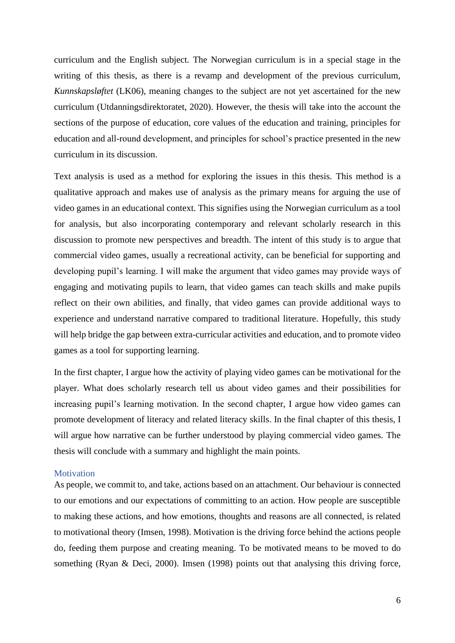curriculum and the English subject. The Norwegian curriculum is in a special stage in the writing of this thesis, as there is a revamp and development of the previous curriculum, *Kunnskapsløftet* (LK06), meaning changes to the subject are not yet ascertained for the new curriculum (Utdanningsdirektoratet, 2020). However, the thesis will take into the account the sections of the purpose of education, core values of the education and training, principles for education and all-round development, and principles for school's practice presented in the new curriculum in its discussion.

Text analysis is used as a method for exploring the issues in this thesis. This method is a qualitative approach and makes use of analysis as the primary means for arguing the use of video games in an educational context. This signifies using the Norwegian curriculum as a tool for analysis, but also incorporating contemporary and relevant scholarly research in this discussion to promote new perspectives and breadth. The intent of this study is to argue that commercial video games, usually a recreational activity, can be beneficial for supporting and developing pupil's learning. I will make the argument that video games may provide ways of engaging and motivating pupils to learn, that video games can teach skills and make pupils reflect on their own abilities, and finally, that video games can provide additional ways to experience and understand narrative compared to traditional literature. Hopefully, this study will help bridge the gap between extra-curricular activities and education, and to promote video games as a tool for supporting learning.

In the first chapter, I argue how the activity of playing video games can be motivational for the player. What does scholarly research tell us about video games and their possibilities for increasing pupil's learning motivation. In the second chapter, I argue how video games can promote development of literacy and related literacy skills. In the final chapter of this thesis, I will argue how narrative can be further understood by playing commercial video games. The thesis will conclude with a summary and highlight the main points.

#### <span id="page-5-0"></span>**Motivation**

As people, we commit to, and take, actions based on an attachment. Our behaviour is connected to our emotions and our expectations of committing to an action. How people are susceptible to making these actions, and how emotions, thoughts and reasons are all connected, is related to motivational theory (Imsen, 1998). Motivation is the driving force behind the actions people do, feeding them purpose and creating meaning. To be motivated means to be moved to do something (Ryan & Deci, 2000). Imsen (1998) points out that analysing this driving force,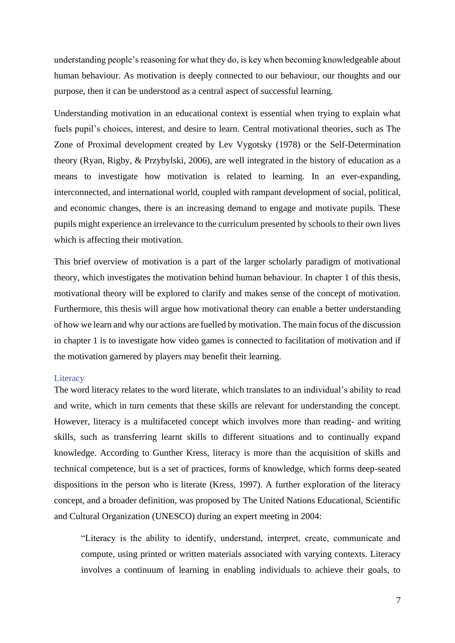understanding people's reasoning for what they do, is key when becoming knowledgeable about human behaviour. As motivation is deeply connected to our behaviour, our thoughts and our purpose, then it can be understood as a central aspect of successful learning.

Understanding motivation in an educational context is essential when trying to explain what fuels pupil's choices, interest, and desire to learn. Central motivational theories, such as The Zone of Proximal development created by Lev Vygotsky (1978) or the Self-Determination theory (Ryan, Rigby, & Przybylski, 2006), are well integrated in the history of education as a means to investigate how motivation is related to learning. In an ever-expanding, interconnected, and international world, coupled with rampant development of social, political, and economic changes, there is an increasing demand to engage and motivate pupils. These pupils might experience an irrelevance to the curriculum presented by schools to their own lives which is affecting their motivation.

This brief overview of motivation is a part of the larger scholarly paradigm of motivational theory, which investigates the motivation behind human behaviour. In chapter 1 of this thesis, motivational theory will be explored to clarify and makes sense of the concept of motivation. Furthermore, this thesis will argue how motivational theory can enable a better understanding of how we learn and why our actions are fuelled by motivation. The main focus of the discussion in chapter 1 is to investigate how video games is connected to facilitation of motivation and if the motivation garnered by players may benefit their learning.

#### <span id="page-6-0"></span>**Literacy**

The word literacy relates to the word literate, which translates to an individual's ability to read and write, which in turn cements that these skills are relevant for understanding the concept. However, literacy is a multifaceted concept which involves more than reading- and writing skills, such as transferring learnt skills to different situations and to continually expand knowledge. According to Gunther Kress, literacy is more than the acquisition of skills and technical competence, but is a set of practices, forms of knowledge, which forms deep-seated dispositions in the person who is literate (Kress, 1997). A further exploration of the literacy concept, and a broader definition, was proposed by The United Nations Educational, Scientific and Cultural Organization (UNESCO) during an expert meeting in 2004:

"Literacy is the ability to identify, understand, interpret, create, communicate and compute, using printed or written materials associated with varying contexts. Literacy involves a continuum of learning in enabling individuals to achieve their goals, to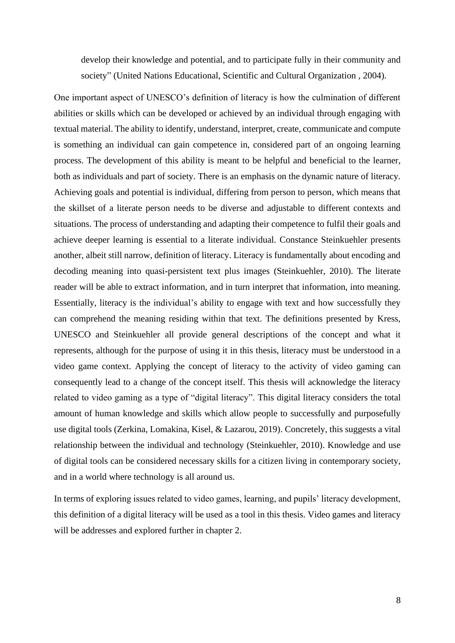develop their knowledge and potential, and to participate fully in their community and society" (United Nations Educational, Scientific and Cultural Organization , 2004)*.*

One important aspect of UNESCO's definition of literacy is how the culmination of different abilities or skills which can be developed or achieved by an individual through engaging with textual material. The ability to identify, understand, interpret, create, communicate and compute is something an individual can gain competence in, considered part of an ongoing learning process. The development of this ability is meant to be helpful and beneficial to the learner, both as individuals and part of society. There is an emphasis on the dynamic nature of literacy. Achieving goals and potential is individual, differing from person to person, which means that the skillset of a literate person needs to be diverse and adjustable to different contexts and situations. The process of understanding and adapting their competence to fulfil their goals and achieve deeper learning is essential to a literate individual. Constance Steinkuehler presents another, albeit still narrow, definition of literacy. Literacy is fundamentally about encoding and decoding meaning into quasi-persistent text plus images (Steinkuehler, 2010). The literate reader will be able to extract information, and in turn interpret that information, into meaning. Essentially, literacy is the individual's ability to engage with text and how successfully they can comprehend the meaning residing within that text. The definitions presented by Kress, UNESCO and Steinkuehler all provide general descriptions of the concept and what it represents, although for the purpose of using it in this thesis, literacy must be understood in a video game context. Applying the concept of literacy to the activity of video gaming can consequently lead to a change of the concept itself. This thesis will acknowledge the literacy related to video gaming as a type of "digital literacy". This digital literacy considers the total amount of human knowledge and skills which allow people to successfully and purposefully use digital tools (Zerkina, Lomakina, Kisel, & Lazarou, 2019). Concretely, this suggests a vital relationship between the individual and technology (Steinkuehler, 2010). Knowledge and use of digital tools can be considered necessary skills for a citizen living in contemporary society, and in a world where technology is all around us.

In terms of exploring issues related to video games, learning, and pupils' literacy development, this definition of a digital literacy will be used as a tool in this thesis. Video games and literacy will be addresses and explored further in chapter 2.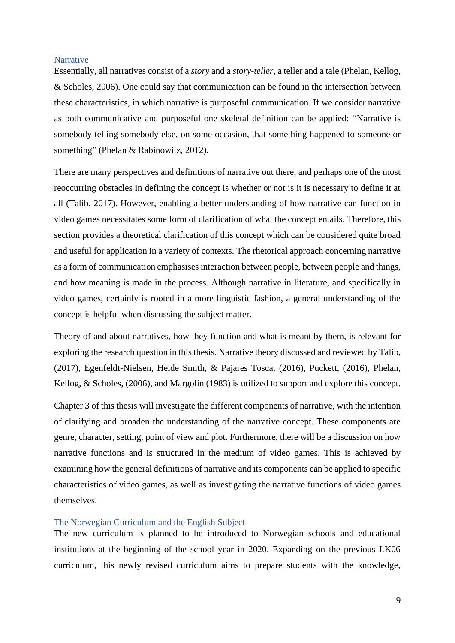#### <span id="page-8-0"></span>**Narrative**

Essentially, all narratives consist of a *story* and a *story-teller*, a teller and a tale (Phelan, Kellog, & Scholes, 2006). One could say that communication can be found in the intersection between these characteristics, in which narrative is purposeful communication. If we consider narrative as both communicative and purposeful one skeletal definition can be applied: "Narrative is somebody telling somebody else, on some occasion, that something happened to someone or something" (Phelan & Rabinowitz, 2012)*.*

There are many perspectives and definitions of narrative out there, and perhaps one of the most reoccurring obstacles in defining the concept is whether or not is it is necessary to define it at all (Talib, 2017). However, enabling a better understanding of how narrative can function in video games necessitates some form of clarification of what the concept entails. Therefore, this section provides a theoretical clarification of this concept which can be considered quite broad and useful for application in a variety of contexts. The rhetorical approach concerning narrative as a form of communication emphasises interaction between people, between people and things, and how meaning is made in the process. Although narrative in literature, and specifically in video games, certainly is rooted in a more linguistic fashion, a general understanding of the concept is helpful when discussing the subject matter.

Theory of and about narratives, how they function and what is meant by them, is relevant for exploring the research question in this thesis. Narrative theory discussed and reviewed by Talib, (2017), Egenfeldt-Nielsen, Heide Smith, & Pajares Tosca, (2016), Puckett, (2016), Phelan, Kellog, & Scholes, (2006), and Margolin (1983) is utilized to support and explore this concept.

Chapter 3 of this thesis will investigate the different components of narrative, with the intention of clarifying and broaden the understanding of the narrative concept. These components are genre, character, setting, point of view and plot. Furthermore, there will be a discussion on how narrative functions and is structured in the medium of video games. This is achieved by examining how the general definitions of narrative and its components can be applied to specific characteristics of video games, as well as investigating the narrative functions of video games themselves.

#### <span id="page-8-1"></span>The Norwegian Curriculum and the English Subject

The new curriculum is planned to be introduced to Norwegian schools and educational institutions at the beginning of the school year in 2020. Expanding on the previous LK06 curriculum, this newly revised curriculum aims to prepare students with the knowledge,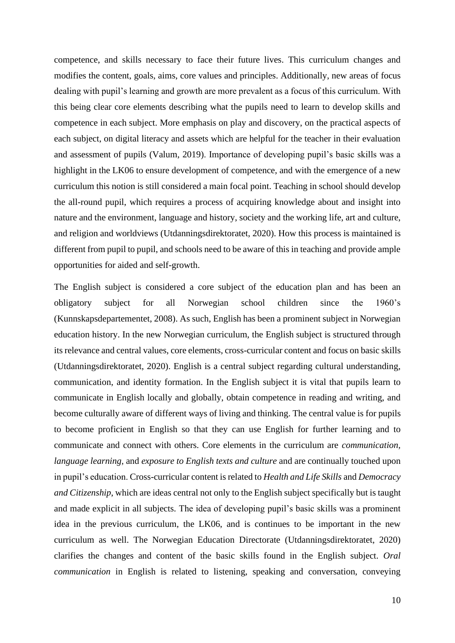competence, and skills necessary to face their future lives. This curriculum changes and modifies the content, goals, aims, core values and principles. Additionally, new areas of focus dealing with pupil's learning and growth are more prevalent as a focus of this curriculum. With this being clear core elements describing what the pupils need to learn to develop skills and competence in each subject. More emphasis on play and discovery, on the practical aspects of each subject, on digital literacy and assets which are helpful for the teacher in their evaluation and assessment of pupils (Valum, 2019). Importance of developing pupil's basic skills was a highlight in the LK06 to ensure development of competence, and with the emergence of a new curriculum this notion is still considered a main focal point. Teaching in school should develop the all-round pupil, which requires a process of acquiring knowledge about and insight into nature and the environment, language and history, society and the working life, art and culture, and religion and worldviews (Utdanningsdirektoratet, 2020). How this process is maintained is different from pupil to pupil, and schools need to be aware of this in teaching and provide ample opportunities for aided and self-growth.

The English subject is considered a core subject of the education plan and has been an obligatory subject for all Norwegian school children since the 1960's (Kunnskapsdepartementet, 2008). As such, English has been a prominent subject in Norwegian education history. In the new Norwegian curriculum, the English subject is structured through its relevance and central values, core elements, cross-curricular content and focus on basic skills (Utdanningsdirektoratet, 2020). English is a central subject regarding cultural understanding, communication, and identity formation. In the English subject it is vital that pupils learn to communicate in English locally and globally, obtain competence in reading and writing, and become culturally aware of different ways of living and thinking. The central value is for pupils to become proficient in English so that they can use English for further learning and to communicate and connect with others. Core elements in the curriculum are *communication, language learning,* and *exposure to English texts and culture* and are continually touched upon in pupil's education. Cross-curricular content is related to *Health and Life Skills* and *Democracy and Citizenship*, which are ideas central not only to the English subject specifically but is taught and made explicit in all subjects. The idea of developing pupil's basic skills was a prominent idea in the previous curriculum, the LK06, and is continues to be important in the new curriculum as well. The Norwegian Education Directorate (Utdanningsdirektoratet, 2020) clarifies the changes and content of the basic skills found in the English subject. *Oral communication* in English is related to listening, speaking and conversation, conveying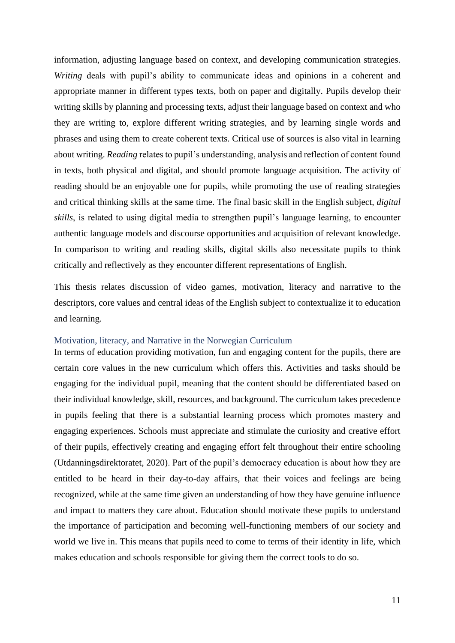information, adjusting language based on context, and developing communication strategies. *Writing* deals with pupil's ability to communicate ideas and opinions in a coherent and appropriate manner in different types texts, both on paper and digitally. Pupils develop their writing skills by planning and processing texts, adjust their language based on context and who they are writing to, explore different writing strategies, and by learning single words and phrases and using them to create coherent texts. Critical use of sources is also vital in learning about writing. *Reading* relates to pupil's understanding, analysis and reflection of content found in texts, both physical and digital, and should promote language acquisition. The activity of reading should be an enjoyable one for pupils, while promoting the use of reading strategies and critical thinking skills at the same time. The final basic skill in the English subject, *digital skills*, is related to using digital media to strengthen pupil's language learning, to encounter authentic language models and discourse opportunities and acquisition of relevant knowledge. In comparison to writing and reading skills, digital skills also necessitate pupils to think critically and reflectively as they encounter different representations of English.

This thesis relates discussion of video games, motivation, literacy and narrative to the descriptors, core values and central ideas of the English subject to contextualize it to education and learning.

#### <span id="page-10-0"></span>Motivation, literacy, and Narrative in the Norwegian Curriculum

In terms of education providing motivation, fun and engaging content for the pupils, there are certain core values in the new curriculum which offers this. Activities and tasks should be engaging for the individual pupil, meaning that the content should be differentiated based on their individual knowledge, skill, resources, and background. The curriculum takes precedence in pupils feeling that there is a substantial learning process which promotes mastery and engaging experiences. Schools must appreciate and stimulate the curiosity and creative effort of their pupils, effectively creating and engaging effort felt throughout their entire schooling (Utdanningsdirektoratet, 2020). Part of the pupil's democracy education is about how they are entitled to be heard in their day-to-day affairs, that their voices and feelings are being recognized, while at the same time given an understanding of how they have genuine influence and impact to matters they care about. Education should motivate these pupils to understand the importance of participation and becoming well-functioning members of our society and world we live in. This means that pupils need to come to terms of their identity in life, which makes education and schools responsible for giving them the correct tools to do so.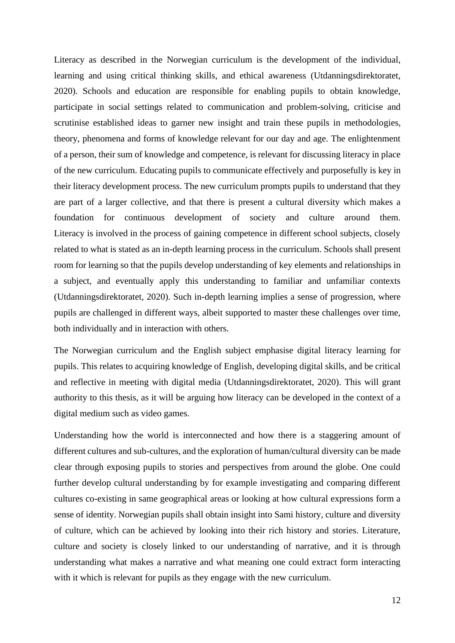Literacy as described in the Norwegian curriculum is the development of the individual, learning and using critical thinking skills, and ethical awareness (Utdanningsdirektoratet, 2020). Schools and education are responsible for enabling pupils to obtain knowledge, participate in social settings related to communication and problem-solving, criticise and scrutinise established ideas to garner new insight and train these pupils in methodologies, theory, phenomena and forms of knowledge relevant for our day and age. The enlightenment of a person, their sum of knowledge and competence, is relevant for discussing literacy in place of the new curriculum. Educating pupils to communicate effectively and purposefully is key in their literacy development process. The new curriculum prompts pupils to understand that they are part of a larger collective, and that there is present a cultural diversity which makes a foundation for continuous development of society and culture around them. Literacy is involved in the process of gaining competence in different school subjects, closely related to what is stated as an in-depth learning process in the curriculum. Schools shall present room for learning so that the pupils develop understanding of key elements and relationships in a subject, and eventually apply this understanding to familiar and unfamiliar contexts (Utdanningsdirektoratet, 2020). Such in-depth learning implies a sense of progression, where pupils are challenged in different ways, albeit supported to master these challenges over time, both individually and in interaction with others.

The Norwegian curriculum and the English subject emphasise digital literacy learning for pupils. This relates to acquiring knowledge of English, developing digital skills, and be critical and reflective in meeting with digital media (Utdanningsdirektoratet, 2020). This will grant authority to this thesis, as it will be arguing how literacy can be developed in the context of a digital medium such as video games.

Understanding how the world is interconnected and how there is a staggering amount of different cultures and sub-cultures, and the exploration of human/cultural diversity can be made clear through exposing pupils to stories and perspectives from around the globe. One could further develop cultural understanding by for example investigating and comparing different cultures co-existing in same geographical areas or looking at how cultural expressions form a sense of identity. Norwegian pupils shall obtain insight into Sami history, culture and diversity of culture, which can be achieved by looking into their rich history and stories. Literature, culture and society is closely linked to our understanding of narrative, and it is through understanding what makes a narrative and what meaning one could extract form interacting with it which is relevant for pupils as they engage with the new curriculum.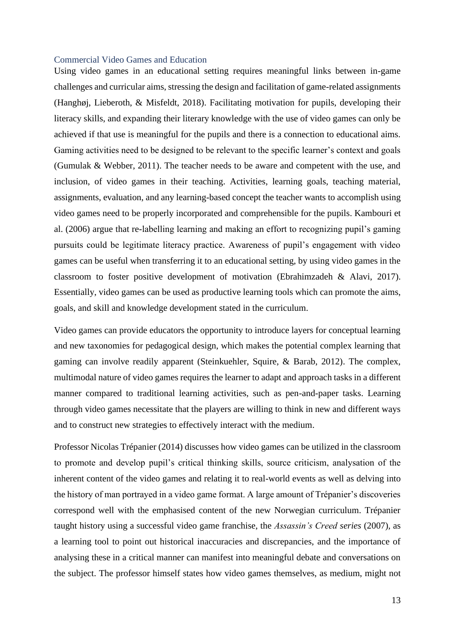#### <span id="page-12-0"></span>Commercial Video Games and Education

Using video games in an educational setting requires meaningful links between in-game challenges and curricular aims, stressing the design and facilitation of game-related assignments (Hanghøj, Lieberoth, & Misfeldt, 2018). Facilitating motivation for pupils, developing their literacy skills, and expanding their literary knowledge with the use of video games can only be achieved if that use is meaningful for the pupils and there is a connection to educational aims. Gaming activities need to be designed to be relevant to the specific learner's context and goals (Gumulak & Webber, 2011). The teacher needs to be aware and competent with the use, and inclusion, of video games in their teaching. Activities, learning goals, teaching material, assignments, evaluation, and any learning-based concept the teacher wants to accomplish using video games need to be properly incorporated and comprehensible for the pupils. Kambouri et al. (2006) argue that re-labelling learning and making an effort to recognizing pupil's gaming pursuits could be legitimate literacy practice. Awareness of pupil's engagement with video games can be useful when transferring it to an educational setting, by using video games in the classroom to foster positive development of motivation (Ebrahimzadeh & Alavi, 2017). Essentially, video games can be used as productive learning tools which can promote the aims, goals, and skill and knowledge development stated in the curriculum.

Video games can provide educators the opportunity to introduce layers for conceptual learning and new taxonomies for pedagogical design, which makes the potential complex learning that gaming can involve readily apparent (Steinkuehler, Squire, & Barab, 2012). The complex, multimodal nature of video games requires the learner to adapt and approach tasks in a different manner compared to traditional learning activities, such as pen-and-paper tasks. Learning through video games necessitate that the players are willing to think in new and different ways and to construct new strategies to effectively interact with the medium.

Professor Nicolas Trépanier (2014) discusses how video games can be utilized in the classroom to promote and develop pupil's critical thinking skills, source criticism, analysation of the inherent content of the video games and relating it to real-world events as well as delving into the history of man portrayed in a video game format. A large amount of Trépanier's discoveries correspond well with the emphasised content of the new Norwegian curriculum. Trépanier taught history using a successful video game franchise, the *Assassin's Creed series* (2007)*,* as a learning tool to point out historical inaccuracies and discrepancies, and the importance of analysing these in a critical manner can manifest into meaningful debate and conversations on the subject. The professor himself states how video games themselves, as medium, might not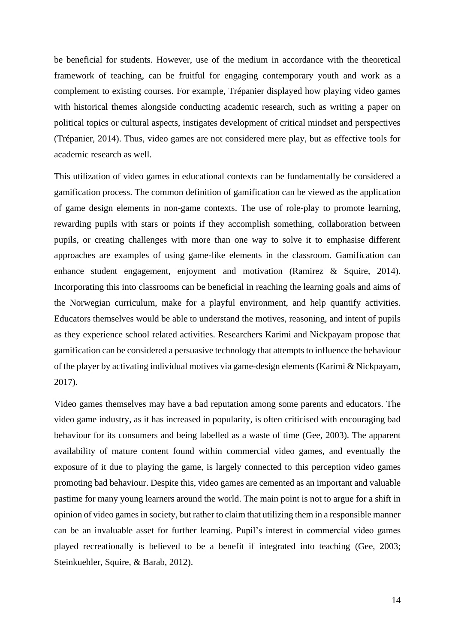be beneficial for students. However, use of the medium in accordance with the theoretical framework of teaching, can be fruitful for engaging contemporary youth and work as a complement to existing courses. For example, Trépanier displayed how playing video games with historical themes alongside conducting academic research, such as writing a paper on political topics or cultural aspects, instigates development of critical mindset and perspectives (Trépanier, 2014). Thus, video games are not considered mere play, but as effective tools for academic research as well.

This utilization of video games in educational contexts can be fundamentally be considered a gamification process. The common definition of gamification can be viewed as the application of game design elements in non-game contexts. The use of role-play to promote learning, rewarding pupils with stars or points if they accomplish something, collaboration between pupils, or creating challenges with more than one way to solve it to emphasise different approaches are examples of using game-like elements in the classroom. Gamification can enhance student engagement, enjoyment and motivation (Ramirez & Squire, 2014). Incorporating this into classrooms can be beneficial in reaching the learning goals and aims of the Norwegian curriculum, make for a playful environment, and help quantify activities. Educators themselves would be able to understand the motives, reasoning, and intent of pupils as they experience school related activities. Researchers Karimi and Nickpayam propose that gamification can be considered a persuasive technology that attempts to influence the behaviour of the player by activating individual motives via game-design elements (Karimi & Nickpayam, 2017).

Video games themselves may have a bad reputation among some parents and educators. The video game industry, as it has increased in popularity, is often criticised with encouraging bad behaviour for its consumers and being labelled as a waste of time (Gee, 2003). The apparent availability of mature content found within commercial video games, and eventually the exposure of it due to playing the game, is largely connected to this perception video games promoting bad behaviour. Despite this, video games are cemented as an important and valuable pastime for many young learners around the world. The main point is not to argue for a shift in opinion of video games in society, but rather to claim that utilizing them in a responsible manner can be an invaluable asset for further learning. Pupil's interest in commercial video games played recreationally is believed to be a benefit if integrated into teaching (Gee, 2003; Steinkuehler, Squire, & Barab, 2012).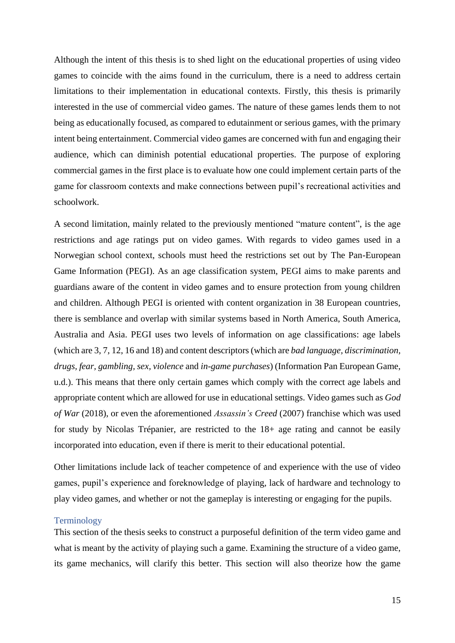Although the intent of this thesis is to shed light on the educational properties of using video games to coincide with the aims found in the curriculum, there is a need to address certain limitations to their implementation in educational contexts. Firstly, this thesis is primarily interested in the use of commercial video games. The nature of these games lends them to not being as educationally focused, as compared to edutainment or serious games, with the primary intent being entertainment. Commercial video games are concerned with fun and engaging their audience, which can diminish potential educational properties. The purpose of exploring commercial games in the first place is to evaluate how one could implement certain parts of the game for classroom contexts and make connections between pupil's recreational activities and schoolwork.

A second limitation, mainly related to the previously mentioned "mature content", is the age restrictions and age ratings put on video games. With regards to video games used in a Norwegian school context, schools must heed the restrictions set out by The Pan-European Game Information (PEGI). As an age classification system, PEGI aims to make parents and guardians aware of the content in video games and to ensure protection from young children and children. Although PEGI is oriented with content organization in 38 European countries, there is semblance and overlap with similar systems based in North America, South America, Australia and Asia. PEGI uses two levels of information on age classifications: age labels (which are 3, 7, 12, 16 and 18) and content descriptors (which are *bad language, discrimination, drugs, fear, gambling, sex, violence* and *in-game purchases*) (Information Pan European Game, u.d.). This means that there only certain games which comply with the correct age labels and appropriate content which are allowed for use in educational settings. Video games such as *God of War* (2018), or even the aforementioned *Assassin's Creed* (2007) franchise which was used for study by Nicolas Trépanier, are restricted to the 18+ age rating and cannot be easily incorporated into education, even if there is merit to their educational potential.

Other limitations include lack of teacher competence of and experience with the use of video games, pupil's experience and foreknowledge of playing, lack of hardware and technology to play video games, and whether or not the gameplay is interesting or engaging for the pupils.

#### <span id="page-14-0"></span>Terminology

This section of the thesis seeks to construct a purposeful definition of the term video game and what is meant by the activity of playing such a game. Examining the structure of a video game, its game mechanics, will clarify this better. This section will also theorize how the game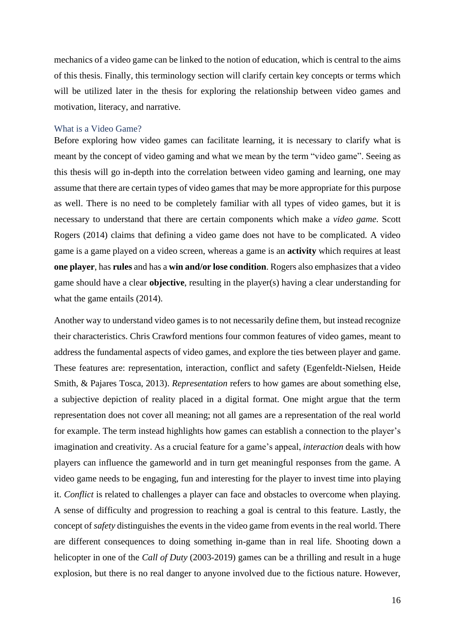mechanics of a video game can be linked to the notion of education, which is central to the aims of this thesis. Finally, this terminology section will clarify certain key concepts or terms which will be utilized later in the thesis for exploring the relationship between video games and motivation, literacy, and narrative.

#### <span id="page-15-0"></span>What is a Video Game?

Before exploring how video games can facilitate learning, it is necessary to clarify what is meant by the concept of video gaming and what we mean by the term "video game". Seeing as this thesis will go in-depth into the correlation between video gaming and learning, one may assume that there are certain types of video games that may be more appropriate for this purpose as well. There is no need to be completely familiar with all types of video games, but it is necessary to understand that there are certain components which make a *video game*. Scott Rogers (2014) claims that defining a video game does not have to be complicated. A video game is a game played on a video screen, whereas a game is an **activity** which requires at least **one player**, has **rules** and has a **win and/or lose condition**. Rogers also emphasizes that a video game should have a clear **objective**, resulting in the player(s) having a clear understanding for what the game entails (2014).

Another way to understand video games is to not necessarily define them, but instead recognize their characteristics. Chris Crawford mentions four common features of video games, meant to address the fundamental aspects of video games, and explore the ties between player and game. These features are: representation, interaction, conflict and safety (Egenfeldt-Nielsen, Heide Smith, & Pajares Tosca, 2013). *Representation* refers to how games are about something else, a subjective depiction of reality placed in a digital format. One might argue that the term representation does not cover all meaning; not all games are a representation of the real world for example. The term instead highlights how games can establish a connection to the player's imagination and creativity. As a crucial feature for a game's appeal, *interaction* deals with how players can influence the gameworld and in turn get meaningful responses from the game. A video game needs to be engaging, fun and interesting for the player to invest time into playing it. *Conflict* is related to challenges a player can face and obstacles to overcome when playing. A sense of difficulty and progression to reaching a goal is central to this feature. Lastly, the concept of *safety* distinguishes the events in the video game from events in the real world. There are different consequences to doing something in-game than in real life. Shooting down a helicopter in one of the *Call of Duty* (2003-2019) games can be a thrilling and result in a huge explosion, but there is no real danger to anyone involved due to the fictious nature. However,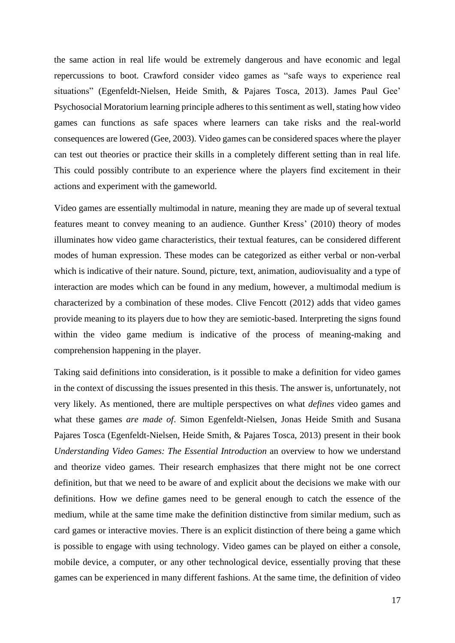the same action in real life would be extremely dangerous and have economic and legal repercussions to boot. Crawford consider video games as "safe ways to experience real situations" (Egenfeldt-Nielsen, Heide Smith, & Pajares Tosca, 2013). James Paul Gee' Psychosocial Moratorium learning principle adheres to this sentiment as well, stating how video games can functions as safe spaces where learners can take risks and the real-world consequences are lowered (Gee, 2003). Video games can be considered spaces where the player can test out theories or practice their skills in a completely different setting than in real life. This could possibly contribute to an experience where the players find excitement in their actions and experiment with the gameworld.

Video games are essentially multimodal in nature, meaning they are made up of several textual features meant to convey meaning to an audience. Gunther Kress' (2010) theory of modes illuminates how video game characteristics, their textual features, can be considered different modes of human expression. These modes can be categorized as either verbal or non-verbal which is indicative of their nature. Sound, picture, text, animation, audiovisuality and a type of interaction are modes which can be found in any medium, however, a multimodal medium is characterized by a combination of these modes. Clive Fencott (2012) adds that video games provide meaning to its players due to how they are semiotic-based. Interpreting the signs found within the video game medium is indicative of the process of meaning-making and comprehension happening in the player.

Taking said definitions into consideration, is it possible to make a definition for video games in the context of discussing the issues presented in this thesis. The answer is, unfortunately, not very likely. As mentioned, there are multiple perspectives on what *defines* video games and what these games *are made of*. Simon Egenfeldt-Nielsen, Jonas Heide Smith and Susana Pajares Tosca (Egenfeldt-Nielsen, Heide Smith, & Pajares Tosca, 2013) present in their book *Understanding Video Games: The Essential Introduction* an overview to how we understand and theorize video games. Their research emphasizes that there might not be one correct definition, but that we need to be aware of and explicit about the decisions we make with our definitions. How we define games need to be general enough to catch the essence of the medium, while at the same time make the definition distinctive from similar medium, such as card games or interactive movies. There is an explicit distinction of there being a game which is possible to engage with using technology. Video games can be played on either a console, mobile device, a computer, or any other technological device, essentially proving that these games can be experienced in many different fashions. At the same time, the definition of video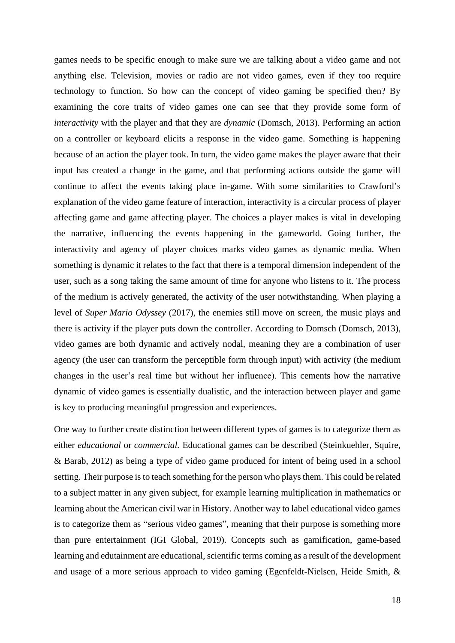games needs to be specific enough to make sure we are talking about a video game and not anything else. Television, movies or radio are not video games, even if they too require technology to function. So how can the concept of video gaming be specified then? By examining the core traits of video games one can see that they provide some form of *interactivity* with the player and that they are *dynamic* (Domsch, 2013). Performing an action on a controller or keyboard elicits a response in the video game. Something is happening because of an action the player took. In turn, the video game makes the player aware that their input has created a change in the game, and that performing actions outside the game will continue to affect the events taking place in-game. With some similarities to Crawford's explanation of the video game feature of interaction, interactivity is a circular process of player affecting game and game affecting player. The choices a player makes is vital in developing the narrative, influencing the events happening in the gameworld. Going further, the interactivity and agency of player choices marks video games as dynamic media. When something is dynamic it relates to the fact that there is a temporal dimension independent of the user, such as a song taking the same amount of time for anyone who listens to it. The process of the medium is actively generated, the activity of the user notwithstanding. When playing a level of *Super Mario Odyssey* (2017), the enemies still move on screen, the music plays and there is activity if the player puts down the controller. According to Domsch (Domsch, 2013), video games are both dynamic and actively nodal, meaning they are a combination of user agency (the user can transform the perceptible form through input) with activity (the medium changes in the user's real time but without her influence). This cements how the narrative dynamic of video games is essentially dualistic, and the interaction between player and game is key to producing meaningful progression and experiences.

One way to further create distinction between different types of games is to categorize them as either *educational* or *commercial.* Educational games can be described (Steinkuehler, Squire, & Barab, 2012) as being a type of video game produced for intent of being used in a school setting. Their purpose is to teach something for the person who plays them. This could be related to a subject matter in any given subject, for example learning multiplication in mathematics or learning about the American civil war in History. Another way to label educational video games is to categorize them as "serious video games", meaning that their purpose is something more than pure entertainment (IGI Global, 2019). Concepts such as gamification, game-based learning and edutainment are educational, scientific terms coming as a result of the development and usage of a more serious approach to video gaming (Egenfeldt-Nielsen, Heide Smith, &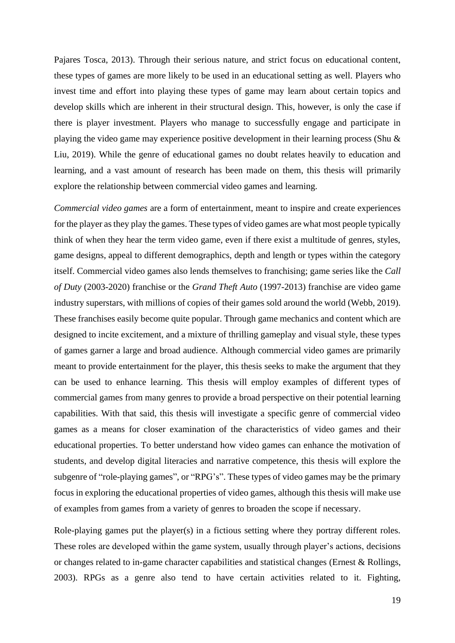Pajares Tosca, 2013). Through their serious nature, and strict focus on educational content, these types of games are more likely to be used in an educational setting as well. Players who invest time and effort into playing these types of game may learn about certain topics and develop skills which are inherent in their structural design. This, however, is only the case if there is player investment. Players who manage to successfully engage and participate in playing the video game may experience positive development in their learning process (Shu & Liu, 2019). While the genre of educational games no doubt relates heavily to education and learning, and a vast amount of research has been made on them, this thesis will primarily explore the relationship between commercial video games and learning.

*Commercial video games* are a form of entertainment, meant to inspire and create experiences for the player as they play the games. These types of video games are what most people typically think of when they hear the term video game, even if there exist a multitude of genres, styles, game designs, appeal to different demographics, depth and length or types within the category itself. Commercial video games also lends themselves to franchising; game series like the *Call of Duty* (2003-2020) franchise or the *Grand Theft Auto* (1997-2013) franchise are video game industry superstars, with millions of copies of their games sold around the world (Webb, 2019). These franchises easily become quite popular. Through game mechanics and content which are designed to incite excitement, and a mixture of thrilling gameplay and visual style, these types of games garner a large and broad audience. Although commercial video games are primarily meant to provide entertainment for the player, this thesis seeks to make the argument that they can be used to enhance learning. This thesis will employ examples of different types of commercial games from many genres to provide a broad perspective on their potential learning capabilities. With that said, this thesis will investigate a specific genre of commercial video games as a means for closer examination of the characteristics of video games and their educational properties. To better understand how video games can enhance the motivation of students, and develop digital literacies and narrative competence, this thesis will explore the subgenre of "role-playing games", or "RPG's". These types of video games may be the primary focus in exploring the educational properties of video games, although this thesis will make use of examples from games from a variety of genres to broaden the scope if necessary.

Role-playing games put the player(s) in a fictious setting where they portray different roles. These roles are developed within the game system, usually through player's actions, decisions or changes related to in-game character capabilities and statistical changes (Ernest & Rollings, 2003). RPGs as a genre also tend to have certain activities related to it. Fighting,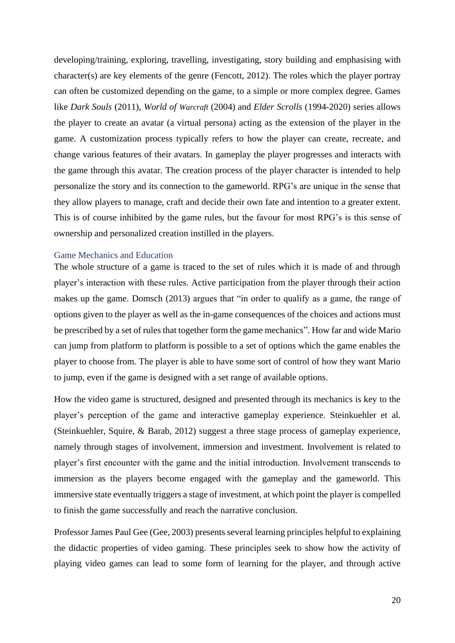developing/training, exploring, travelling, investigating, story building and emphasising with character(s) are key elements of the genre (Fencott, 2012). The roles which the player portray can often be customized depending on the game, to a simple or more complex degree. Games like *Dark Souls* (2011), *World of Warcraft* (2004) and *Elder Scrolls* (1994-2020) series allows the player to create an avatar (a virtual persona) acting as the extension of the player in the game. A customization process typically refers to how the player can create, recreate, and change various features of their avatars. In gameplay the player progresses and interacts with the game through this avatar. The creation process of the player character is intended to help personalize the story and its connection to the gameworld. RPG's are unique in the sense that they allow players to manage, craft and decide their own fate and intention to a greater extent. This is of course inhibited by the game rules, but the favour for most RPG's is this sense of ownership and personalized creation instilled in the players.

#### <span id="page-19-0"></span>Game Mechanics and Education

The whole structure of a game is traced to the set of rules which it is made of and through player's interaction with these rules. Active participation from the player through their action makes up the game. Domsch (2013) argues that "in order to qualify as a game, the range of options given to the player as well as the in-game consequences of the choices and actions must be prescribed by a set of rules that together form the game mechanics". How far and wide Mario can jump from platform to platform is possible to a set of options which the game enables the player to choose from. The player is able to have some sort of control of how they want Mario to jump, even if the game is designed with a set range of available options.

How the video game is structured, designed and presented through its mechanics is key to the player's perception of the game and interactive gameplay experience. Steinkuehler et al. (Steinkuehler, Squire, & Barab, 2012) suggest a three stage process of gameplay experience, namely through stages of involvement, immersion and investment. Involvement is related to player's first encounter with the game and the initial introduction. Involvement transcends to immersion as the players become engaged with the gameplay and the gameworld. This immersive state eventually triggers a stage of investment, at which point the player is compelled to finish the game successfully and reach the narrative conclusion.

Professor James Paul Gee (Gee, 2003) presents several learning principles helpful to explaining the didactic properties of video gaming. These principles seek to show how the activity of playing video games can lead to some form of learning for the player, and through active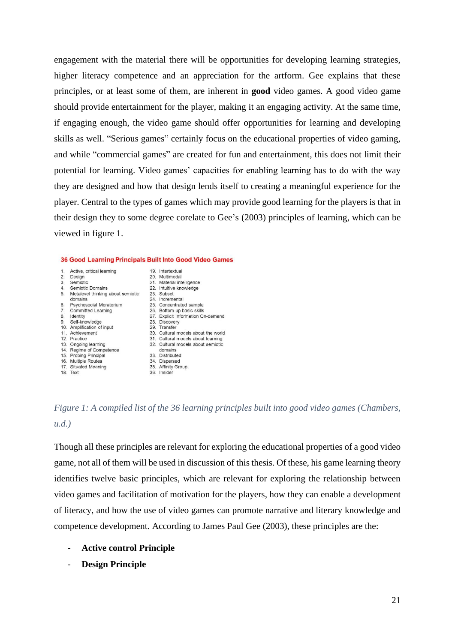engagement with the material there will be opportunities for developing learning strategies, higher literacy competence and an appreciation for the artform. Gee explains that these principles, or at least some of them, are inherent in **good** video games. A good video game should provide entertainment for the player, making it an engaging activity. At the same time, if engaging enough, the video game should offer opportunities for learning and developing skills as well. "Serious games" certainly focus on the educational properties of video gaming, and while "commercial games" are created for fun and entertainment, this does not limit their potential for learning. Video games' capacities for enabling learning has to do with the way they are designed and how that design lends itself to creating a meaningful experience for the player. Central to the types of games which may provide good learning for the players is that in their design they to some degree corelate to Gee's (2003) principles of learning, which can be viewed in figure 1.

#### 36 Good Learning Principals Built Into Good Video Games





Though all these principles are relevant for exploring the educational properties of a good video game, not all of them will be used in discussion of this thesis. Of these, his game learning theory identifies twelve basic principles, which are relevant for exploring the relationship between video games and facilitation of motivation for the players, how they can enable a development of literacy, and how the use of video games can promote narrative and literary knowledge and competence development. According to James Paul Gee (2003), these principles are the:

- **Active control Principle**
- **Design Principle**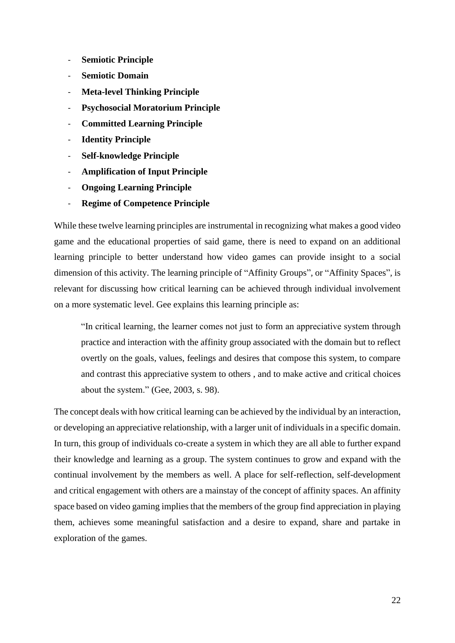- **Semiotic Principle**
- **Semiotic Domain**
- **Meta-level Thinking Principle**
- **Psychosocial Moratorium Principle**
- **Committed Learning Principle**
- **Identity Principle**
- **Self-knowledge Principle**
- **Amplification of Input Principle**
- **Ongoing Learning Principle**
- **Regime of Competence Principle**

While these twelve learning principles are instrumental in recognizing what makes a good video game and the educational properties of said game, there is need to expand on an additional learning principle to better understand how video games can provide insight to a social dimension of this activity. The learning principle of "Affinity Groups"*,* or "Affinity Spaces"*,* is relevant for discussing how critical learning can be achieved through individual involvement on a more systematic level. Gee explains this learning principle as:

"In critical learning, the learner comes not just to form an appreciative system through practice and interaction with the affinity group associated with the domain but to reflect overtly on the goals, values, feelings and desires that compose this system, to compare and contrast this appreciative system to others , and to make active and critical choices about the system." (Gee, 2003, s. 98).

The concept deals with how critical learning can be achieved by the individual by an interaction, or developing an appreciative relationship, with a larger unit of individuals in a specific domain. In turn, this group of individuals co-create a system in which they are all able to further expand their knowledge and learning as a group. The system continues to grow and expand with the continual involvement by the members as well. A place for self-reflection, self-development and critical engagement with others are a mainstay of the concept of affinity spaces. An affinity space based on video gaming implies that the members of the group find appreciation in playing them, achieves some meaningful satisfaction and a desire to expand, share and partake in exploration of the games.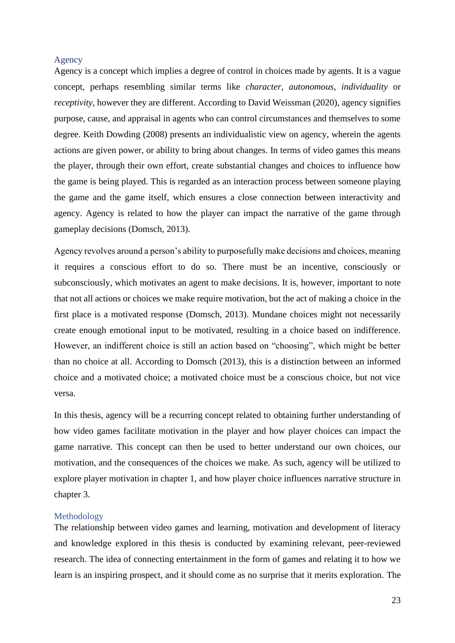#### <span id="page-22-0"></span>Agency

Agency is a concept which implies a degree of control in choices made by agents. It is a vague concept, perhaps resembling similar terms like *character, autonomous, individuality* or *receptivity*, however they are different. According to David Weissman (2020), agency signifies purpose, cause, and appraisal in agents who can control circumstances and themselves to some degree. Keith Dowding (2008) presents an individualistic view on agency, wherein the agents actions are given power, or ability to bring about changes. In terms of video games this means the player, through their own effort, create substantial changes and choices to influence how the game is being played. This is regarded as an interaction process between someone playing the game and the game itself, which ensures a close connection between interactivity and agency. Agency is related to how the player can impact the narrative of the game through gameplay decisions (Domsch, 2013).

Agency revolves around a person's ability to purposefully make decisions and choices, meaning it requires a conscious effort to do so. There must be an incentive, consciously or subconsciously, which motivates an agent to make decisions. It is, however, important to note that not all actions or choices we make require motivation, but the act of making a choice in the first place is a motivated response (Domsch, 2013). Mundane choices might not necessarily create enough emotional input to be motivated, resulting in a choice based on indifference. However, an indifferent choice is still an action based on "choosing", which might be better than no choice at all. According to Domsch (2013), this is a distinction between an informed choice and a motivated choice; a motivated choice must be a conscious choice, but not vice versa.

In this thesis, agency will be a recurring concept related to obtaining further understanding of how video games facilitate motivation in the player and how player choices can impact the game narrative. This concept can then be used to better understand our own choices, our motivation, and the consequences of the choices we make. As such, agency will be utilized to explore player motivation in chapter 1, and how player choice influences narrative structure in chapter 3.

#### <span id="page-22-1"></span>Methodology

The relationship between video games and learning, motivation and development of literacy and knowledge explored in this thesis is conducted by examining relevant, peer-reviewed research. The idea of connecting entertainment in the form of games and relating it to how we learn is an inspiring prospect, and it should come as no surprise that it merits exploration. The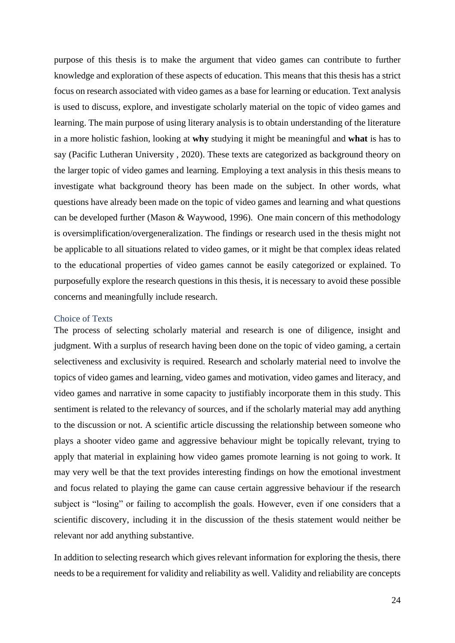purpose of this thesis is to make the argument that video games can contribute to further knowledge and exploration of these aspects of education. This means that this thesis has a strict focus on research associated with video games as a base for learning or education. Text analysis is used to discuss, explore, and investigate scholarly material on the topic of video games and learning. The main purpose of using literary analysis is to obtain understanding of the literature in a more holistic fashion, looking at **why** studying it might be meaningful and **what** is has to say (Pacific Lutheran University , 2020). These texts are categorized as background theory on the larger topic of video games and learning. Employing a text analysis in this thesis means to investigate what background theory has been made on the subject. In other words, what questions have already been made on the topic of video games and learning and what questions can be developed further (Mason & Waywood, 1996). One main concern of this methodology is oversimplification/overgeneralization. The findings or research used in the thesis might not be applicable to all situations related to video games, or it might be that complex ideas related to the educational properties of video games cannot be easily categorized or explained. To purposefully explore the research questions in this thesis, it is necessary to avoid these possible concerns and meaningfully include research.

#### <span id="page-23-0"></span>Choice of Texts

The process of selecting scholarly material and research is one of diligence, insight and judgment. With a surplus of research having been done on the topic of video gaming, a certain selectiveness and exclusivity is required. Research and scholarly material need to involve the topics of video games and learning, video games and motivation, video games and literacy, and video games and narrative in some capacity to justifiably incorporate them in this study. This sentiment is related to the relevancy of sources, and if the scholarly material may add anything to the discussion or not. A scientific article discussing the relationship between someone who plays a shooter video game and aggressive behaviour might be topically relevant, trying to apply that material in explaining how video games promote learning is not going to work. It may very well be that the text provides interesting findings on how the emotional investment and focus related to playing the game can cause certain aggressive behaviour if the research subject is "losing" or failing to accomplish the goals. However, even if one considers that a scientific discovery, including it in the discussion of the thesis statement would neither be relevant nor add anything substantive.

In addition to selecting research which gives relevant information for exploring the thesis, there needs to be a requirement for validity and reliability as well. Validity and reliability are concepts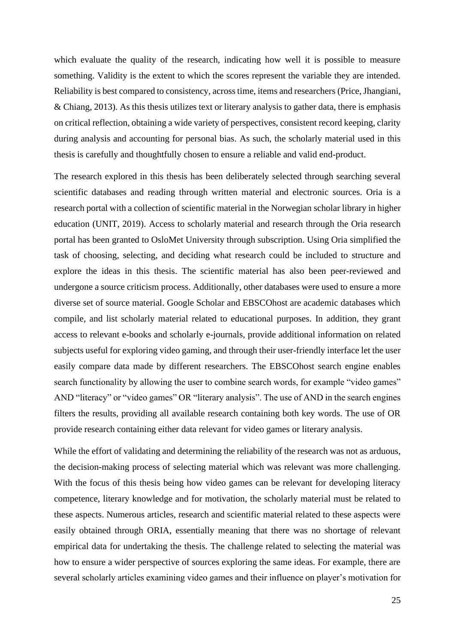which evaluate the quality of the research, indicating how well it is possible to measure something. Validity is the extent to which the scores represent the variable they are intended. Reliability is best compared to consistency, across time, items and researchers (Price, Jhangiani, & Chiang, 2013). As this thesis utilizes text or literary analysis to gather data, there is emphasis on critical reflection, obtaining a wide variety of perspectives, consistent record keeping, clarity during analysis and accounting for personal bias. As such, the scholarly material used in this thesis is carefully and thoughtfully chosen to ensure a reliable and valid end-product.

The research explored in this thesis has been deliberately selected through searching several scientific databases and reading through written material and electronic sources. Oria is a research portal with a collection of scientific material in the Norwegian scholar library in higher education (UNIT, 2019). Access to scholarly material and research through the Oria research portal has been granted to OsloMet University through subscription. Using Oria simplified the task of choosing, selecting, and deciding what research could be included to structure and explore the ideas in this thesis. The scientific material has also been peer-reviewed and undergone a source criticism process. Additionally, other databases were used to ensure a more diverse set of source material. Google Scholar and EBSCOhost are academic databases which compile, and list scholarly material related to educational purposes. In addition, they grant access to relevant e-books and scholarly e-journals, provide additional information on related subjects useful for exploring video gaming, and through their user-friendly interface let the user easily compare data made by different researchers. The EBSCOhost search engine enables search functionality by allowing the user to combine search words, for example "video games" AND "literacy" or "video games" OR "literary analysis". The use of AND in the search engines filters the results, providing all available research containing both key words. The use of OR provide research containing either data relevant for video games or literary analysis.

While the effort of validating and determining the reliability of the research was not as arduous, the decision-making process of selecting material which was relevant was more challenging. With the focus of this thesis being how video games can be relevant for developing literacy competence, literary knowledge and for motivation, the scholarly material must be related to these aspects. Numerous articles, research and scientific material related to these aspects were easily obtained through ORIA, essentially meaning that there was no shortage of relevant empirical data for undertaking the thesis. The challenge related to selecting the material was how to ensure a wider perspective of sources exploring the same ideas. For example, there are several scholarly articles examining video games and their influence on player's motivation for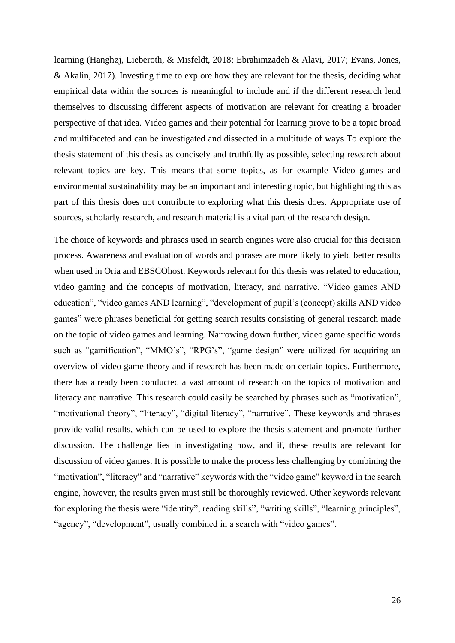learning (Hanghøj, Lieberoth, & Misfeldt, 2018; Ebrahimzadeh & Alavi, 2017; Evans, Jones, & Akalin, 2017). Investing time to explore how they are relevant for the thesis, deciding what empirical data within the sources is meaningful to include and if the different research lend themselves to discussing different aspects of motivation are relevant for creating a broader perspective of that idea. Video games and their potential for learning prove to be a topic broad and multifaceted and can be investigated and dissected in a multitude of ways To explore the thesis statement of this thesis as concisely and truthfully as possible, selecting research about relevant topics are key. This means that some topics, as for example Video games and environmental sustainability may be an important and interesting topic, but highlighting this as part of this thesis does not contribute to exploring what this thesis does. Appropriate use of sources, scholarly research, and research material is a vital part of the research design.

The choice of keywords and phrases used in search engines were also crucial for this decision process. Awareness and evaluation of words and phrases are more likely to yield better results when used in Oria and EBSCOhost. Keywords relevant for this thesis was related to education, video gaming and the concepts of motivation, literacy, and narrative. "Video games AND education", "video games AND learning", "development of pupil's (concept) skills AND video games" were phrases beneficial for getting search results consisting of general research made on the topic of video games and learning. Narrowing down further, video game specific words such as "gamification", "MMO's", "RPG's", "game design" were utilized for acquiring an overview of video game theory and if research has been made on certain topics. Furthermore, there has already been conducted a vast amount of research on the topics of motivation and literacy and narrative. This research could easily be searched by phrases such as "motivation", "motivational theory", "literacy", "digital literacy", "narrative". These keywords and phrases provide valid results, which can be used to explore the thesis statement and promote further discussion. The challenge lies in investigating how, and if, these results are relevant for discussion of video games. It is possible to make the process less challenging by combining the "motivation", "literacy" and "narrative" keywords with the "video game" keyword in the search engine, however, the results given must still be thoroughly reviewed. Other keywords relevant for exploring the thesis were "identity", reading skills", "writing skills", "learning principles", "agency", "development", usually combined in a search with "video games".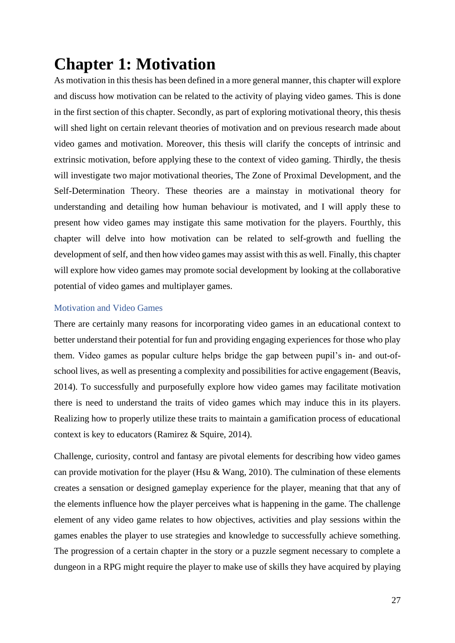# <span id="page-26-0"></span>**Chapter 1: Motivation**

As motivation in this thesis has been defined in a more general manner, this chapter will explore and discuss how motivation can be related to the activity of playing video games. This is done in the first section of this chapter. Secondly, as part of exploring motivational theory, this thesis will shed light on certain relevant theories of motivation and on previous research made about video games and motivation. Moreover, this thesis will clarify the concepts of intrinsic and extrinsic motivation, before applying these to the context of video gaming. Thirdly, the thesis will investigate two major motivational theories, The Zone of Proximal Development, and the Self-Determination Theory. These theories are a mainstay in motivational theory for understanding and detailing how human behaviour is motivated, and I will apply these to present how video games may instigate this same motivation for the players. Fourthly, this chapter will delve into how motivation can be related to self-growth and fuelling the development of self, and then how video games may assist with this as well. Finally, this chapter will explore how video games may promote social development by looking at the collaborative potential of video games and multiplayer games.

#### <span id="page-26-1"></span>Motivation and Video Games

There are certainly many reasons for incorporating video games in an educational context to better understand their potential for fun and providing engaging experiences for those who play them. Video games as popular culture helps bridge the gap between pupil's in- and out-ofschool lives, as well as presenting a complexity and possibilities for active engagement (Beavis, 2014). To successfully and purposefully explore how video games may facilitate motivation there is need to understand the traits of video games which may induce this in its players. Realizing how to properly utilize these traits to maintain a gamification process of educational context is key to educators (Ramirez & Squire, 2014).

Challenge, curiosity, control and fantasy are pivotal elements for describing how video games can provide motivation for the player (Hsu & Wang, 2010). The culmination of these elements creates a sensation or designed gameplay experience for the player, meaning that that any of the elements influence how the player perceives what is happening in the game. The challenge element of any video game relates to how objectives, activities and play sessions within the games enables the player to use strategies and knowledge to successfully achieve something. The progression of a certain chapter in the story or a puzzle segment necessary to complete a dungeon in a RPG might require the player to make use of skills they have acquired by playing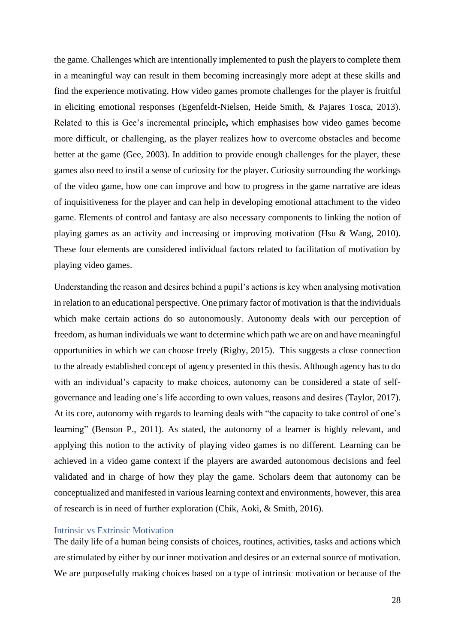the game. Challenges which are intentionally implemented to push the players to complete them in a meaningful way can result in them becoming increasingly more adept at these skills and find the experience motivating. How video games promote challenges for the player is fruitful in eliciting emotional responses (Egenfeldt-Nielsen, Heide Smith, & Pajares Tosca, 2013). Related to this is Gee's incremental principle**,** which emphasises how video games become more difficult, or challenging, as the player realizes how to overcome obstacles and become better at the game (Gee, 2003). In addition to provide enough challenges for the player, these games also need to instil a sense of curiosity for the player. Curiosity surrounding the workings of the video game, how one can improve and how to progress in the game narrative are ideas of inquisitiveness for the player and can help in developing emotional attachment to the video game. Elements of control and fantasy are also necessary components to linking the notion of playing games as an activity and increasing or improving motivation (Hsu & Wang, 2010). These four elements are considered individual factors related to facilitation of motivation by playing video games.

Understanding the reason and desires behind a pupil's actions is key when analysing motivation in relation to an educational perspective. One primary factor of motivation is that the individuals which make certain actions do so autonomously. Autonomy deals with our perception of freedom, as human individuals we want to determine which path we are on and have meaningful opportunities in which we can choose freely (Rigby, 2015). This suggests a close connection to the already established concept of agency presented in this thesis. Although agency has to do with an individual's capacity to make choices, autonomy can be considered a state of selfgovernance and leading one's life according to own values, reasons and desires (Taylor, 2017). At its core, autonomy with regards to learning deals with "the capacity to take control of one's learning" (Benson P., 2011). As stated, the autonomy of a learner is highly relevant, and applying this notion to the activity of playing video games is no different. Learning can be achieved in a video game context if the players are awarded autonomous decisions and feel validated and in charge of how they play the game. Scholars deem that autonomy can be conceptualized and manifested in various learning context and environments, however, this area of research is in need of further exploration (Chik, Aoki, & Smith, 2016).

#### <span id="page-27-0"></span>Intrinsic vs Extrinsic Motivation

The daily life of a human being consists of choices, routines, activities, tasks and actions which are stimulated by either by our inner motivation and desires or an external source of motivation. We are purposefully making choices based on a type of intrinsic motivation or because of the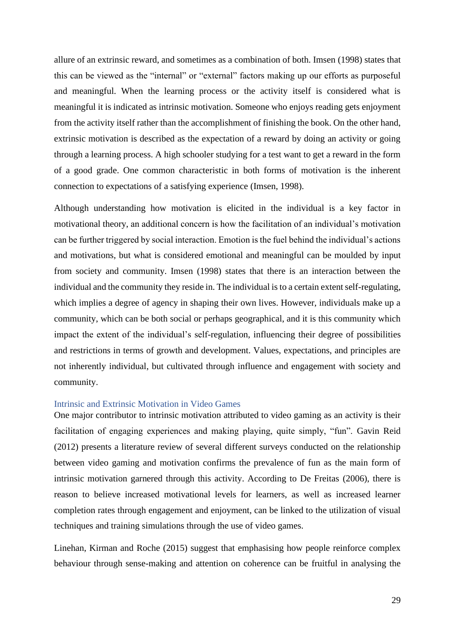allure of an extrinsic reward, and sometimes as a combination of both. Imsen (1998) states that this can be viewed as the "internal" or "external" factors making up our efforts as purposeful and meaningful. When the learning process or the activity itself is considered what is meaningful it is indicated as intrinsic motivation. Someone who enjoys reading gets enjoyment from the activity itself rather than the accomplishment of finishing the book. On the other hand, extrinsic motivation is described as the expectation of a reward by doing an activity or going through a learning process. A high schooler studying for a test want to get a reward in the form of a good grade. One common characteristic in both forms of motivation is the inherent connection to expectations of a satisfying experience (Imsen, 1998).

Although understanding how motivation is elicited in the individual is a key factor in motivational theory, an additional concern is how the facilitation of an individual's motivation can be further triggered by social interaction. Emotion is the fuel behind the individual's actions and motivations, but what is considered emotional and meaningful can be moulded by input from society and community. Imsen (1998) states that there is an interaction between the individual and the community they reside in. The individual is to a certain extent self-regulating, which implies a degree of agency in shaping their own lives. However, individuals make up a community, which can be both social or perhaps geographical, and it is this community which impact the extent of the individual's self-regulation, influencing their degree of possibilities and restrictions in terms of growth and development. Values, expectations, and principles are not inherently individual, but cultivated through influence and engagement with society and community.

#### <span id="page-28-0"></span>Intrinsic and Extrinsic Motivation in Video Games

One major contributor to intrinsic motivation attributed to video gaming as an activity is their facilitation of engaging experiences and making playing, quite simply, "fun". Gavin Reid (2012) presents a literature review of several different surveys conducted on the relationship between video gaming and motivation confirms the prevalence of fun as the main form of intrinsic motivation garnered through this activity. According to De Freitas (2006), there is reason to believe increased motivational levels for learners, as well as increased learner completion rates through engagement and enjoyment, can be linked to the utilization of visual techniques and training simulations through the use of video games.

Linehan, Kirman and Roche (2015) suggest that emphasising how people reinforce complex behaviour through sense-making and attention on coherence can be fruitful in analysing the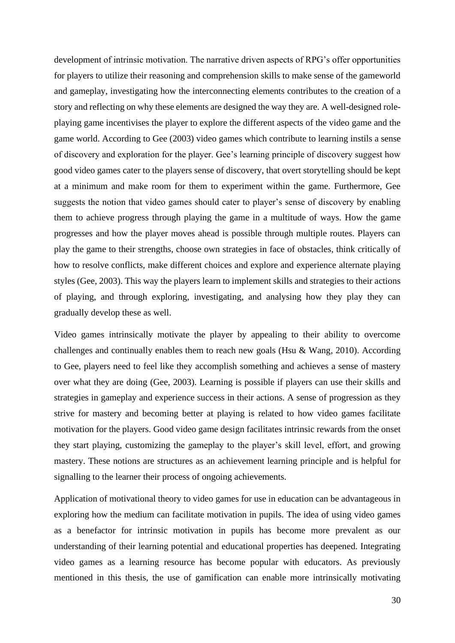development of intrinsic motivation. The narrative driven aspects of RPG's offer opportunities for players to utilize their reasoning and comprehension skills to make sense of the gameworld and gameplay, investigating how the interconnecting elements contributes to the creation of a story and reflecting on why these elements are designed the way they are. A well-designed roleplaying game incentivises the player to explore the different aspects of the video game and the game world. According to Gee (2003) video games which contribute to learning instils a sense of discovery and exploration for the player. Gee's learning principle of discovery suggest how good video games cater to the players sense of discovery, that overt storytelling should be kept at a minimum and make room for them to experiment within the game. Furthermore, Gee suggests the notion that video games should cater to player's sense of discovery by enabling them to achieve progress through playing the game in a multitude of ways. How the game progresses and how the player moves ahead is possible through multiple routes. Players can play the game to their strengths, choose own strategies in face of obstacles, think critically of how to resolve conflicts, make different choices and explore and experience alternate playing styles (Gee, 2003). This way the players learn to implement skills and strategies to their actions of playing, and through exploring, investigating, and analysing how they play they can gradually develop these as well.

Video games intrinsically motivate the player by appealing to their ability to overcome challenges and continually enables them to reach new goals (Hsu & Wang, 2010). According to Gee, players need to feel like they accomplish something and achieves a sense of mastery over what they are doing (Gee, 2003). Learning is possible if players can use their skills and strategies in gameplay and experience success in their actions. A sense of progression as they strive for mastery and becoming better at playing is related to how video games facilitate motivation for the players. Good video game design facilitates intrinsic rewards from the onset they start playing, customizing the gameplay to the player's skill level, effort, and growing mastery. These notions are structures as an achievement learning principle and is helpful for signalling to the learner their process of ongoing achievements.

Application of motivational theory to video games for use in education can be advantageous in exploring how the medium can facilitate motivation in pupils. The idea of using video games as a benefactor for intrinsic motivation in pupils has become more prevalent as our understanding of their learning potential and educational properties has deepened. Integrating video games as a learning resource has become popular with educators. As previously mentioned in this thesis, the use of gamification can enable more intrinsically motivating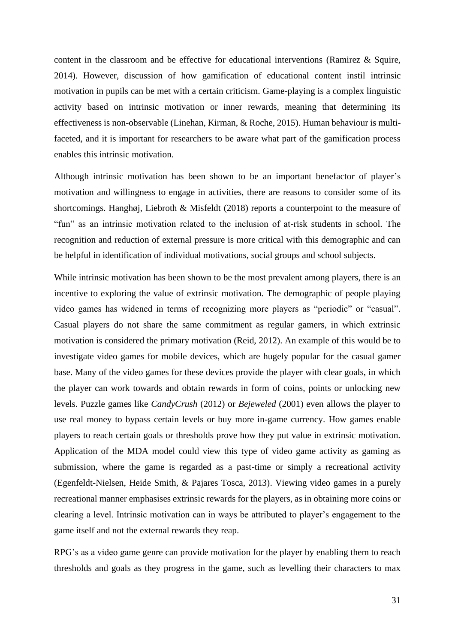content in the classroom and be effective for educational interventions (Ramirez & Squire, 2014). However, discussion of how gamification of educational content instil intrinsic motivation in pupils can be met with a certain criticism. Game-playing is a complex linguistic activity based on intrinsic motivation or inner rewards, meaning that determining its effectiveness is non-observable (Linehan, Kirman, & Roche, 2015). Human behaviour is multifaceted, and it is important for researchers to be aware what part of the gamification process enables this intrinsic motivation.

Although intrinsic motivation has been shown to be an important benefactor of player's motivation and willingness to engage in activities, there are reasons to consider some of its shortcomings. Hanghøj, Liebroth & Misfeldt (2018) reports a counterpoint to the measure of "fun" as an intrinsic motivation related to the inclusion of at-risk students in school. The recognition and reduction of external pressure is more critical with this demographic and can be helpful in identification of individual motivations, social groups and school subjects.

While intrinsic motivation has been shown to be the most prevalent among players, there is an incentive to exploring the value of extrinsic motivation. The demographic of people playing video games has widened in terms of recognizing more players as "periodic" or "casual". Casual players do not share the same commitment as regular gamers, in which extrinsic motivation is considered the primary motivation (Reid, 2012). An example of this would be to investigate video games for mobile devices, which are hugely popular for the casual gamer base. Many of the video games for these devices provide the player with clear goals, in which the player can work towards and obtain rewards in form of coins, points or unlocking new levels. Puzzle games like *CandyCrush* (2012) or *Bejeweled* (2001) even allows the player to use real money to bypass certain levels or buy more in-game currency. How games enable players to reach certain goals or thresholds prove how they put value in extrinsic motivation. Application of the MDA model could view this type of video game activity as gaming as submission, where the game is regarded as a past-time or simply a recreational activity (Egenfeldt-Nielsen, Heide Smith, & Pajares Tosca, 2013). Viewing video games in a purely recreational manner emphasises extrinsic rewards for the players, as in obtaining more coins or clearing a level. Intrinsic motivation can in ways be attributed to player's engagement to the game itself and not the external rewards they reap.

RPG's as a video game genre can provide motivation for the player by enabling them to reach thresholds and goals as they progress in the game, such as levelling their characters to max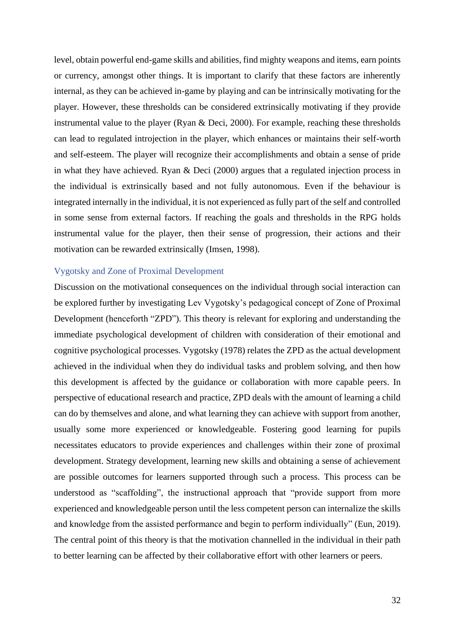level, obtain powerful end-game skills and abilities, find mighty weapons and items, earn points or currency, amongst other things. It is important to clarify that these factors are inherently internal, as they can be achieved in-game by playing and can be intrinsically motivating for the player. However, these thresholds can be considered extrinsically motivating if they provide instrumental value to the player (Ryan & Deci, 2000). For example, reaching these thresholds can lead to regulated introjection in the player, which enhances or maintains their self-worth and self-esteem. The player will recognize their accomplishments and obtain a sense of pride in what they have achieved. Ryan & Deci (2000) argues that a regulated injection process in the individual is extrinsically based and not fully autonomous. Even if the behaviour is integrated internally in the individual, it is not experienced as fully part of the self and controlled in some sense from external factors. If reaching the goals and thresholds in the RPG holds instrumental value for the player, then their sense of progression, their actions and their motivation can be rewarded extrinsically (Imsen, 1998).

#### <span id="page-31-0"></span>Vygotsky and Zone of Proximal Development

Discussion on the motivational consequences on the individual through social interaction can be explored further by investigating Lev Vygotsky's pedagogical concept of Zone of Proximal Development (henceforth "ZPD"). This theory is relevant for exploring and understanding the immediate psychological development of children with consideration of their emotional and cognitive psychological processes. Vygotsky (1978) relates the ZPD as the actual development achieved in the individual when they do individual tasks and problem solving, and then how this development is affected by the guidance or collaboration with more capable peers. In perspective of educational research and practice, ZPD deals with the amount of learning a child can do by themselves and alone, and what learning they can achieve with support from another, usually some more experienced or knowledgeable. Fostering good learning for pupils necessitates educators to provide experiences and challenges within their zone of proximal development. Strategy development, learning new skills and obtaining a sense of achievement are possible outcomes for learners supported through such a process. This process can be understood as "scaffolding", the instructional approach that "provide support from more experienced and knowledgeable person until the less competent person can internalize the skills and knowledge from the assisted performance and begin to perform individually" (Eun, 2019). The central point of this theory is that the motivation channelled in the individual in their path to better learning can be affected by their collaborative effort with other learners or peers.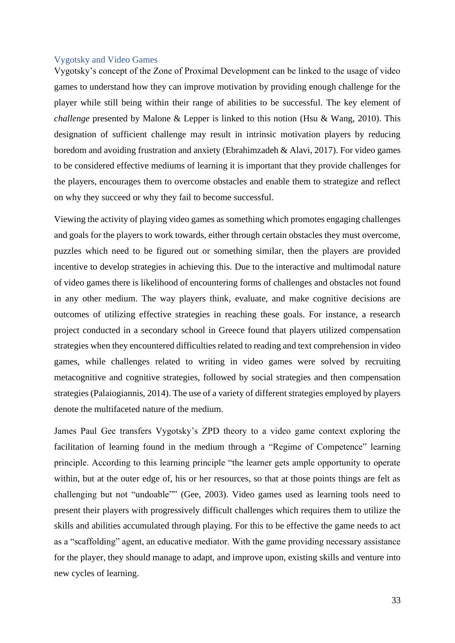#### <span id="page-32-0"></span>Vygotsky and Video Games

Vygotsky's concept of the Zone of Proximal Development can be linked to the usage of video games to understand how they can improve motivation by providing enough challenge for the player while still being within their range of abilities to be successful. The key element of *challenge* presented by Malone & Lepper is linked to this notion (Hsu & Wang, 2010). This designation of sufficient challenge may result in intrinsic motivation players by reducing boredom and avoiding frustration and anxiety (Ebrahimzadeh & Alavi, 2017). For video games to be considered effective mediums of learning it is important that they provide challenges for the players, encourages them to overcome obstacles and enable them to strategize and reflect on why they succeed or why they fail to become successful.

Viewing the activity of playing video games as something which promotes engaging challenges and goals for the players to work towards, either through certain obstacles they must overcome, puzzles which need to be figured out or something similar, then the players are provided incentive to develop strategies in achieving this. Due to the interactive and multimodal nature of video games there is likelihood of encountering forms of challenges and obstacles not found in any other medium. The way players think, evaluate, and make cognitive decisions are outcomes of utilizing effective strategies in reaching these goals. For instance, a research project conducted in a secondary school in Greece found that players utilized compensation strategies when they encountered difficulties related to reading and text comprehension in video games, while challenges related to writing in video games were solved by recruiting metacognitive and cognitive strategies, followed by social strategies and then compensation strategies (Palaiogiannis, 2014). The use of a variety of different strategies employed by players denote the multifaceted nature of the medium.

James Paul Gee transfers Vygotsky's ZPD theory to a video game context exploring the facilitation of learning found in the medium through a "Regime of Competence" learning principle. According to this learning principle "the learner gets ample opportunity to operate within, but at the outer edge of, his or her resources, so that at those points things are felt as challenging but not "undoable"" (Gee, 2003). Video games used as learning tools need to present their players with progressively difficult challenges which requires them to utilize the skills and abilities accumulated through playing. For this to be effective the game needs to act as a "scaffolding" agent, an educative mediator. With the game providing necessary assistance for the player, they should manage to adapt, and improve upon, existing skills and venture into new cycles of learning.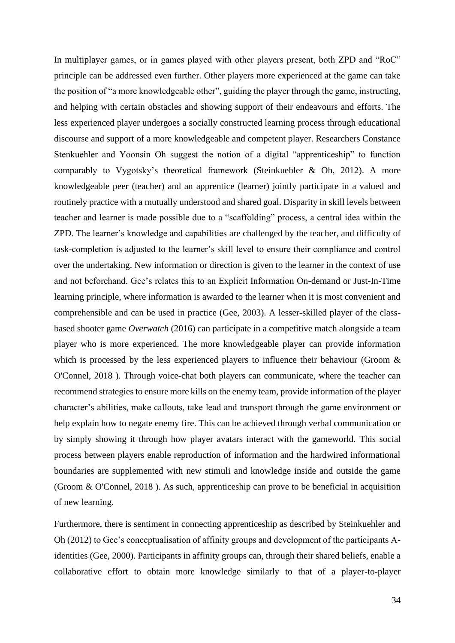In multiplayer games, or in games played with other players present, both ZPD and "RoC" principle can be addressed even further. Other players more experienced at the game can take the position of "a more knowledgeable other", guiding the player through the game, instructing, and helping with certain obstacles and showing support of their endeavours and efforts. The less experienced player undergoes a socially constructed learning process through educational discourse and support of a more knowledgeable and competent player. Researchers Constance Stenkuehler and Yoonsin Oh suggest the notion of a digital "apprenticeship" to function comparably to Vygotsky's theoretical framework (Steinkuehler & Oh, 2012). A more knowledgeable peer (teacher) and an apprentice (learner) jointly participate in a valued and routinely practice with a mutually understood and shared goal. Disparity in skill levels between teacher and learner is made possible due to a "scaffolding" process, a central idea within the ZPD. The learner's knowledge and capabilities are challenged by the teacher, and difficulty of task-completion is adjusted to the learner's skill level to ensure their compliance and control over the undertaking. New information or direction is given to the learner in the context of use and not beforehand. Gee's relates this to an Explicit Information On-demand or Just-In-Time learning principle, where information is awarded to the learner when it is most convenient and comprehensible and can be used in practice (Gee, 2003). A lesser-skilled player of the classbased shooter game *Overwatch* (2016) can participate in a competitive match alongside a team player who is more experienced. The more knowledgeable player can provide information which is processed by the less experienced players to influence their behaviour (Groom & O'Connel, 2018 ). Through voice-chat both players can communicate, where the teacher can recommend strategies to ensure more kills on the enemy team, provide information of the player character's abilities, make callouts, take lead and transport through the game environment or help explain how to negate enemy fire. This can be achieved through verbal communication or by simply showing it through how player avatars interact with the gameworld. This social process between players enable reproduction of information and the hardwired informational boundaries are supplemented with new stimuli and knowledge inside and outside the game (Groom & O'Connel, 2018 ). As such, apprenticeship can prove to be beneficial in acquisition of new learning.

Furthermore, there is sentiment in connecting apprenticeship as described by Steinkuehler and Oh (2012) to Gee's conceptualisation of affinity groups and development of the participants Aidentities (Gee, 2000). Participants in affinity groups can, through their shared beliefs, enable a collaborative effort to obtain more knowledge similarly to that of a player-to-player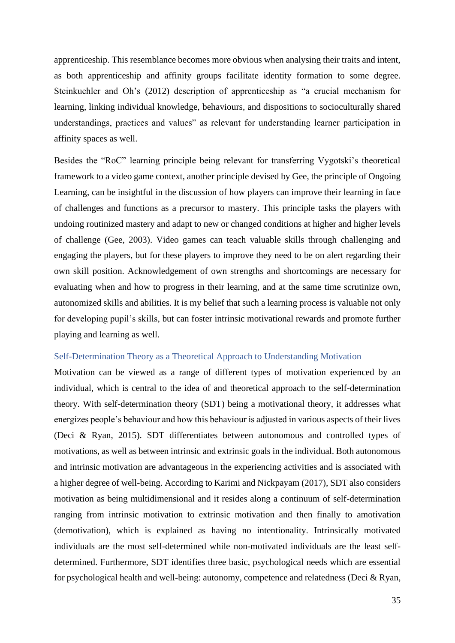apprenticeship. This resemblance becomes more obvious when analysing their traits and intent, as both apprenticeship and affinity groups facilitate identity formation to some degree. Steinkuehler and Oh's (2012) description of apprenticeship as "a crucial mechanism for learning, linking individual knowledge, behaviours, and dispositions to socioculturally shared understandings, practices and values" as relevant for understanding learner participation in affinity spaces as well.

Besides the "RoC" learning principle being relevant for transferring Vygotski's theoretical framework to a video game context, another principle devised by Gee, the principle of Ongoing Learning, can be insightful in the discussion of how players can improve their learning in face of challenges and functions as a precursor to mastery. This principle tasks the players with undoing routinized mastery and adapt to new or changed conditions at higher and higher levels of challenge (Gee, 2003). Video games can teach valuable skills through challenging and engaging the players, but for these players to improve they need to be on alert regarding their own skill position. Acknowledgement of own strengths and shortcomings are necessary for evaluating when and how to progress in their learning, and at the same time scrutinize own, autonomized skills and abilities. It is my belief that such a learning process is valuable not only for developing pupil's skills, but can foster intrinsic motivational rewards and promote further playing and learning as well.

#### <span id="page-34-0"></span>Self-Determination Theory as a Theoretical Approach to Understanding Motivation

Motivation can be viewed as a range of different types of motivation experienced by an individual, which is central to the idea of and theoretical approach to the self-determination theory. With self-determination theory (SDT) being a motivational theory, it addresses what energizes people's behaviour and how this behaviour is adjusted in various aspects of their lives (Deci & Ryan, 2015). SDT differentiates between autonomous and controlled types of motivations, as well as between intrinsic and extrinsic goals in the individual. Both autonomous and intrinsic motivation are advantageous in the experiencing activities and is associated with a higher degree of well-being. According to Karimi and Nickpayam (2017), SDT also considers motivation as being multidimensional and it resides along a continuum of self-determination ranging from intrinsic motivation to extrinsic motivation and then finally to amotivation (demotivation), which is explained as having no intentionality. Intrinsically motivated individuals are the most self-determined while non-motivated individuals are the least selfdetermined. Furthermore, SDT identifies three basic, psychological needs which are essential for psychological health and well-being: autonomy, competence and relatedness (Deci & Ryan,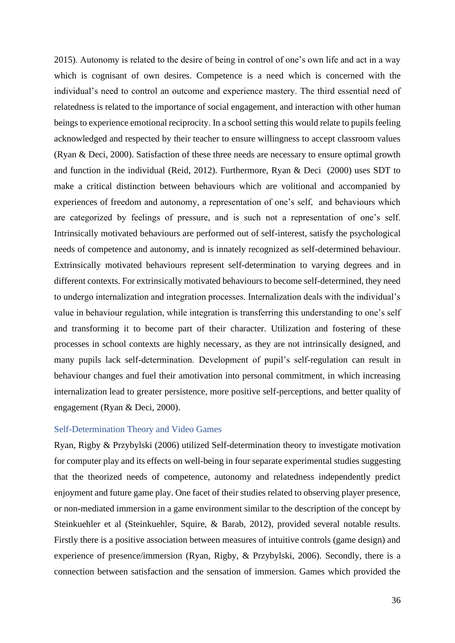2015). Autonomy is related to the desire of being in control of one's own life and act in a way which is cognisant of own desires. Competence is a need which is concerned with the individual's need to control an outcome and experience mastery. The third essential need of relatedness is related to the importance of social engagement, and interaction with other human beings to experience emotional reciprocity. In a school setting this would relate to pupils feeling acknowledged and respected by their teacher to ensure willingness to accept classroom values (Ryan & Deci, 2000). Satisfaction of these three needs are necessary to ensure optimal growth and function in the individual (Reid, 2012). Furthermore, Ryan & Deci (2000) uses SDT to make a critical distinction between behaviours which are volitional and accompanied by experiences of freedom and autonomy, a representation of one's self, and behaviours which are categorized by feelings of pressure, and is such not a representation of one's self. Intrinsically motivated behaviours are performed out of self-interest, satisfy the psychological needs of competence and autonomy, and is innately recognized as self-determined behaviour. Extrinsically motivated behaviours represent self-determination to varying degrees and in different contexts. For extrinsically motivated behaviours to become self-determined, they need to undergo internalization and integration processes. Internalization deals with the individual's value in behaviour regulation, while integration is transferring this understanding to one's self and transforming it to become part of their character. Utilization and fostering of these processes in school contexts are highly necessary, as they are not intrinsically designed, and many pupils lack self-determination. Development of pupil's self-regulation can result in behaviour changes and fuel their amotivation into personal commitment, in which increasing internalization lead to greater persistence, more positive self-perceptions, and better quality of engagement (Ryan & Deci, 2000).

#### <span id="page-35-0"></span>Self-Determination Theory and Video Games

Ryan, Rigby & Przybylski (2006) utilized Self-determination theory to investigate motivation for computer play and its effects on well-being in four separate experimental studies suggesting that the theorized needs of competence, autonomy and relatedness independently predict enjoyment and future game play. One facet of their studies related to observing player presence, or non-mediated immersion in a game environment similar to the description of the concept by Steinkuehler et al (Steinkuehler, Squire, & Barab, 2012), provided several notable results. Firstly there is a positive association between measures of intuitive controls (game design) and experience of presence/immersion (Ryan, Rigby, & Przybylski, 2006). Secondly, there is a connection between satisfaction and the sensation of immersion. Games which provided the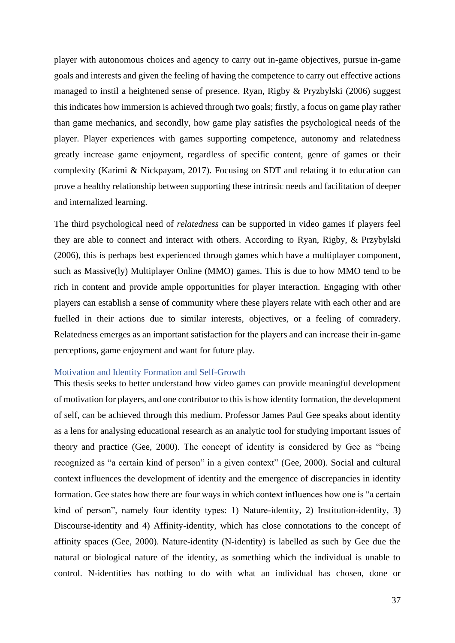player with autonomous choices and agency to carry out in-game objectives, pursue in-game goals and interests and given the feeling of having the competence to carry out effective actions managed to instil a heightened sense of presence. Ryan, Rigby & Pryzbylski (2006) suggest this indicates how immersion is achieved through two goals; firstly, a focus on game play rather than game mechanics, and secondly, how game play satisfies the psychological needs of the player. Player experiences with games supporting competence, autonomy and relatedness greatly increase game enjoyment, regardless of specific content, genre of games or their complexity (Karimi & Nickpayam, 2017). Focusing on SDT and relating it to education can prove a healthy relationship between supporting these intrinsic needs and facilitation of deeper and internalized learning.

The third psychological need of *relatedness* can be supported in video games if players feel they are able to connect and interact with others. According to Ryan, Rigby, & Przybylski (2006), this is perhaps best experienced through games which have a multiplayer component, such as Massive(ly) Multiplayer Online (MMO) games. This is due to how MMO tend to be rich in content and provide ample opportunities for player interaction. Engaging with other players can establish a sense of community where these players relate with each other and are fuelled in their actions due to similar interests, objectives, or a feeling of comradery. Relatedness emerges as an important satisfaction for the players and can increase their in-game perceptions, game enjoyment and want for future play.

## Motivation and Identity Formation and Self-Growth

This thesis seeks to better understand how video games can provide meaningful development of motivation for players, and one contributor to this is how identity formation, the development of self, can be achieved through this medium. Professor James Paul Gee speaks about identity as a lens for analysing educational research as an analytic tool for studying important issues of theory and practice (Gee, 2000). The concept of identity is considered by Gee as "being recognized as "a certain kind of person" in a given context" (Gee, 2000). Social and cultural context influences the development of identity and the emergence of discrepancies in identity formation. Gee states how there are four ways in which context influences how one is "a certain kind of person", namely four identity types: 1) Nature-identity, 2) Institution-identity, 3) Discourse-identity and 4) Affinity-identity, which has close connotations to the concept of affinity spaces (Gee, 2000). Nature-identity (N-identity) is labelled as such by Gee due the natural or biological nature of the identity, as something which the individual is unable to control. N-identities has nothing to do with what an individual has chosen, done or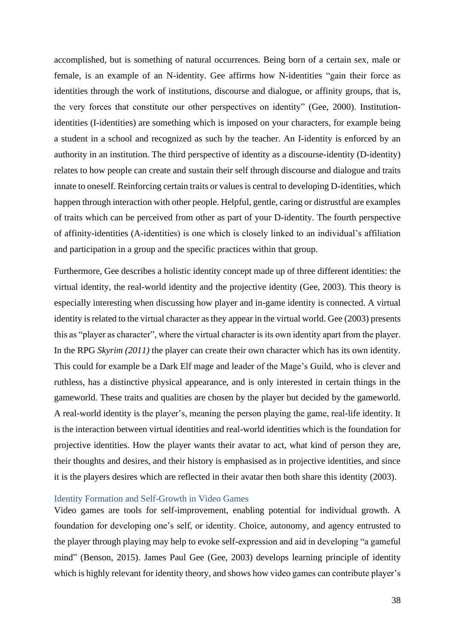accomplished, but is something of natural occurrences. Being born of a certain sex, male or female, is an example of an N-identity. Gee affirms how N-identities "gain their force as identities through the work of institutions, discourse and dialogue, or affinity groups, that is, the very forces that constitute our other perspectives on identity" (Gee, 2000). Institutionidentities (I-identities) are something which is imposed on your characters, for example being a student in a school and recognized as such by the teacher. An I-identity is enforced by an authority in an institution. The third perspective of identity as a discourse-identity (D-identity) relates to how people can create and sustain their self through discourse and dialogue and traits innate to oneself. Reinforcing certain traits or values is central to developing D-identities, which happen through interaction with other people. Helpful, gentle, caring or distrustful are examples of traits which can be perceived from other as part of your D-identity. The fourth perspective of affinity-identities (A-identities) is one which is closely linked to an individual's affiliation and participation in a group and the specific practices within that group.

Furthermore, Gee describes a holistic identity concept made up of three different identities: the virtual identity, the real-world identity and the projective identity (Gee, 2003). This theory is especially interesting when discussing how player and in-game identity is connected. A virtual identity is related to the virtual character as they appear in the virtual world. Gee (2003) presents this as "player as character", where the virtual character is its own identity apart from the player. In the RPG *Skyrim (2011)* the player can create their own character which has its own identity. This could for example be a Dark Elf mage and leader of the Mage's Guild, who is clever and ruthless, has a distinctive physical appearance, and is only interested in certain things in the gameworld. These traits and qualities are chosen by the player but decided by the gameworld. A real-world identity is the player's, meaning the person playing the game, real-life identity. It is the interaction between virtual identities and real-world identities which is the foundation for projective identities. How the player wants their avatar to act, what kind of person they are, their thoughts and desires, and their history is emphasised as in projective identities, and since it is the players desires which are reflected in their avatar then both share this identity (2003).

## Identity Formation and Self-Growth in Video Games

Video games are tools for self-improvement, enabling potential for individual growth. A foundation for developing one's self, or identity. Choice, autonomy, and agency entrusted to the player through playing may help to evoke self-expression and aid in developing "a gameful mind" (Benson, 2015). James Paul Gee (Gee, 2003) develops learning principle of identity which is highly relevant for identity theory, and shows how video games can contribute player's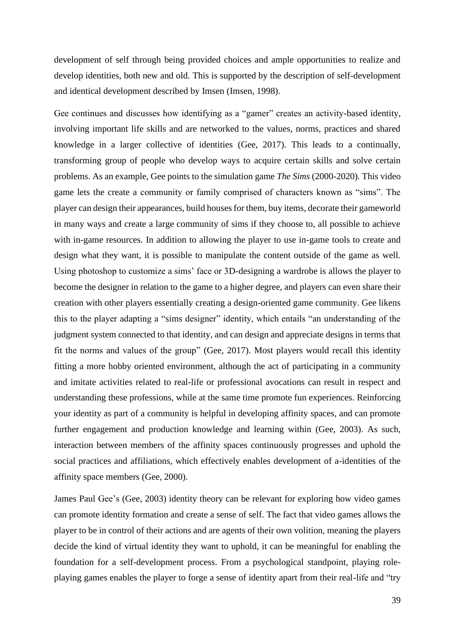development of self through being provided choices and ample opportunities to realize and develop identities, both new and old. This is supported by the description of self-development and identical development described by Imsen (Imsen, 1998).

Gee continues and discusses how identifying as a "gamer" creates an activity-based identity, involving important life skills and are networked to the values, norms, practices and shared knowledge in a larger collective of identities (Gee, 2017). This leads to a continually, transforming group of people who develop ways to acquire certain skills and solve certain problems. As an example, Gee points to the simulation game *The Sims* (2000-2020)*.* This video game lets the create a community or family comprised of characters known as "sims". The player can design their appearances, build houses for them, buy items, decorate their gameworld in many ways and create a large community of sims if they choose to, all possible to achieve with in-game resources. In addition to allowing the player to use in-game tools to create and design what they want, it is possible to manipulate the content outside of the game as well. Using photoshop to customize a sims' face or 3D-designing a wardrobe is allows the player to become the designer in relation to the game to a higher degree, and players can even share their creation with other players essentially creating a design-oriented game community. Gee likens this to the player adapting a "sims designer" identity, which entails "an understanding of the judgment system connected to that identity, and can design and appreciate designs in terms that fit the norms and values of the group" (Gee, 2017). Most players would recall this identity fitting a more hobby oriented environment, although the act of participating in a community and imitate activities related to real-life or professional avocations can result in respect and understanding these professions, while at the same time promote fun experiences. Reinforcing your identity as part of a community is helpful in developing affinity spaces, and can promote further engagement and production knowledge and learning within (Gee, 2003). As such, interaction between members of the affinity spaces continuously progresses and uphold the social practices and affiliations, which effectively enables development of a-identities of the affinity space members (Gee, 2000).

James Paul Gee's (Gee, 2003) identity theory can be relevant for exploring how video games can promote identity formation and create a sense of self. The fact that video games allows the player to be in control of their actions and are agents of their own volition, meaning the players decide the kind of virtual identity they want to uphold, it can be meaningful for enabling the foundation for a self-development process. From a psychological standpoint, playing roleplaying games enables the player to forge a sense of identity apart from their real-life and "try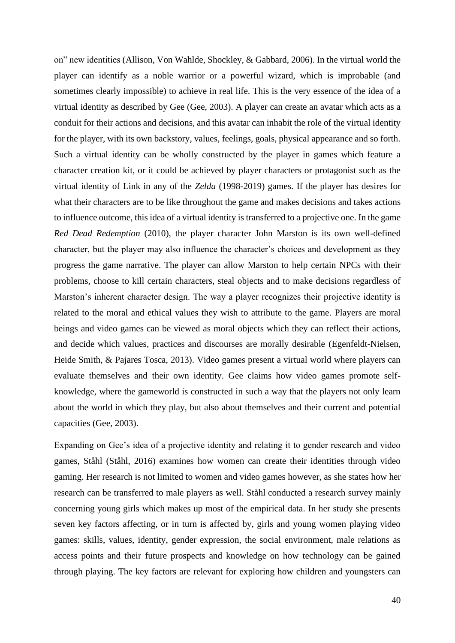on" new identities (Allison, Von Wahlde, Shockley, & Gabbard, 2006). In the virtual world the player can identify as a noble warrior or a powerful wizard, which is improbable (and sometimes clearly impossible) to achieve in real life. This is the very essence of the idea of a virtual identity as described by Gee (Gee, 2003). A player can create an avatar which acts as a conduit for their actions and decisions, and this avatar can inhabit the role of the virtual identity for the player, with its own backstory, values, feelings, goals, physical appearance and so forth. Such a virtual identity can be wholly constructed by the player in games which feature a character creation kit, or it could be achieved by player characters or protagonist such as the virtual identity of Link in any of the *Zelda* (1998-2019) games. If the player has desires for what their characters are to be like throughout the game and makes decisions and takes actions to influence outcome, this idea of a virtual identity is transferred to a projective one. In the game *Red Dead Redemption* (2010)*,* the player character John Marston is its own well-defined character, but the player may also influence the character's choices and development as they progress the game narrative. The player can allow Marston to help certain NPCs with their problems, choose to kill certain characters, steal objects and to make decisions regardless of Marston's inherent character design. The way a player recognizes their projective identity is related to the moral and ethical values they wish to attribute to the game. Players are moral beings and video games can be viewed as moral objects which they can reflect their actions, and decide which values, practices and discourses are morally desirable (Egenfeldt-Nielsen, Heide Smith, & Pajares Tosca, 2013). Video games present a virtual world where players can evaluate themselves and their own identity. Gee claims how video games promote selfknowledge, where the gameworld is constructed in such a way that the players not only learn about the world in which they play, but also about themselves and their current and potential capacities (Gee, 2003).

Expanding on Gee's idea of a projective identity and relating it to gender research and video games, Ståhl (Ståhl, 2016) examines how women can create their identities through video gaming. Her research is not limited to women and video games however, as she states how her research can be transferred to male players as well. Ståhl conducted a research survey mainly concerning young girls which makes up most of the empirical data. In her study she presents seven key factors affecting, or in turn is affected by, girls and young women playing video games: skills, values, identity, gender expression, the social environment, male relations as access points and their future prospects and knowledge on how technology can be gained through playing. The key factors are relevant for exploring how children and youngsters can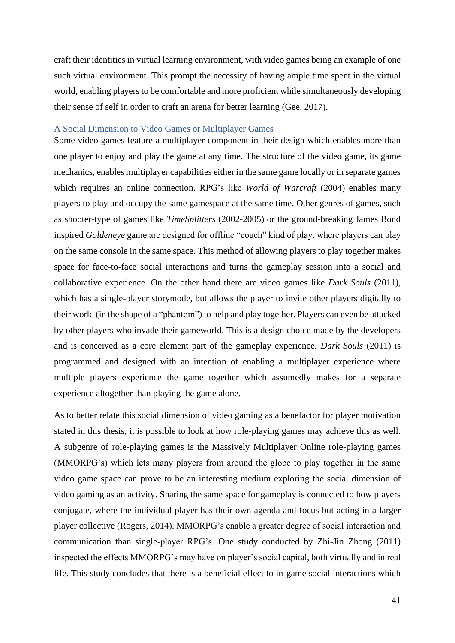craft their identities in virtual learning environment, with video games being an example of one such virtual environment. This prompt the necessity of having ample time spent in the virtual world, enabling players to be comfortable and more proficient while simultaneously developing their sense of self in order to craft an arena for better learning (Gee, 2017).

## A Social Dimension to Video Games or Multiplayer Games

Some video games feature a multiplayer component in their design which enables more than one player to enjoy and play the game at any time. The structure of the video game, its game mechanics, enables multiplayer capabilities either in the same game locally or in separate games which requires an online connection. RPG's like *World of Warcraft* (2004) enables many players to play and occupy the same gamespace at the same time. Other genres of games, such as shooter-type of games like *TimeSplitters* (2002-2005) or the ground-breaking James Bond inspired *Goldeneye* game are designed for offline "couch" kind of play, where players can play on the same console in the same space. This method of allowing players to play together makes space for face-to-face social interactions and turns the gameplay session into a social and collaborative experience. On the other hand there are video games like *Dark Souls* (2011)*,*  which has a single-player storymode, but allows the player to invite other players digitally to their world (in the shape of a "phantom") to help and play together. Players can even be attacked by other players who invade their gameworld. This is a design choice made by the developers and is conceived as a core element part of the gameplay experience. *Dark Souls* (2011) is programmed and designed with an intention of enabling a multiplayer experience where multiple players experience the game together which assumedly makes for a separate experience altogether than playing the game alone.

As to better relate this social dimension of video gaming as a benefactor for player motivation stated in this thesis, it is possible to look at how role-playing games may achieve this as well. A subgenre of role-playing games is the Massively Multiplayer Online role-playing games (MMORPG's) which lets many players from around the globe to play together in the same video game space can prove to be an interesting medium exploring the social dimension of video gaming as an activity. Sharing the same space for gameplay is connected to how players conjugate, where the individual player has their own agenda and focus but acting in a larger player collective (Rogers, 2014). MMORPG's enable a greater degree of social interaction and communication than single-player RPG's. One study conducted by Zhi-Jin Zhong (2011) inspected the effects MMORPG's may have on player's social capital, both virtually and in real life. This study concludes that there is a beneficial effect to in-game social interactions which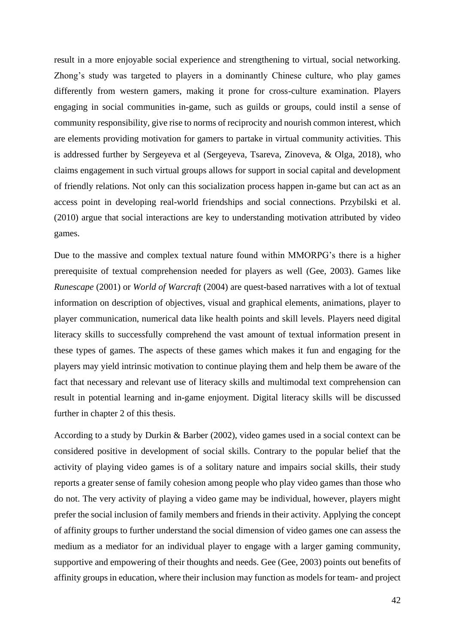result in a more enjoyable social experience and strengthening to virtual, social networking. Zhong's study was targeted to players in a dominantly Chinese culture, who play games differently from western gamers, making it prone for cross-culture examination. Players engaging in social communities in-game, such as guilds or groups, could instil a sense of community responsibility, give rise to norms of reciprocity and nourish common interest, which are elements providing motivation for gamers to partake in virtual community activities. This is addressed further by Sergeyeva et al (Sergeyeva, Tsareva, Zinoveva, & Olga, 2018), who claims engagement in such virtual groups allows for support in social capital and development of friendly relations. Not only can this socialization process happen in-game but can act as an access point in developing real-world friendships and social connections. Przybilski et al. (2010) argue that social interactions are key to understanding motivation attributed by video games.

Due to the massive and complex textual nature found within MMORPG's there is a higher prerequisite of textual comprehension needed for players as well (Gee, 2003). Games like *Runescape* (2001) or *World of Warcraft* (2004) are quest-based narratives with a lot of textual information on description of objectives, visual and graphical elements, animations, player to player communication, numerical data like health points and skill levels. Players need digital literacy skills to successfully comprehend the vast amount of textual information present in these types of games. The aspects of these games which makes it fun and engaging for the players may yield intrinsic motivation to continue playing them and help them be aware of the fact that necessary and relevant use of literacy skills and multimodal text comprehension can result in potential learning and in-game enjoyment. Digital literacy skills will be discussed further in chapter 2 of this thesis.

According to a study by Durkin & Barber (2002), video games used in a social context can be considered positive in development of social skills. Contrary to the popular belief that the activity of playing video games is of a solitary nature and impairs social skills, their study reports a greater sense of family cohesion among people who play video games than those who do not. The very activity of playing a video game may be individual, however, players might prefer the social inclusion of family members and friends in their activity. Applying the concept of affinity groups to further understand the social dimension of video games one can assess the medium as a mediator for an individual player to engage with a larger gaming community, supportive and empowering of their thoughts and needs. Gee (Gee, 2003) points out benefits of affinity groups in education, where their inclusion may function as models for team- and project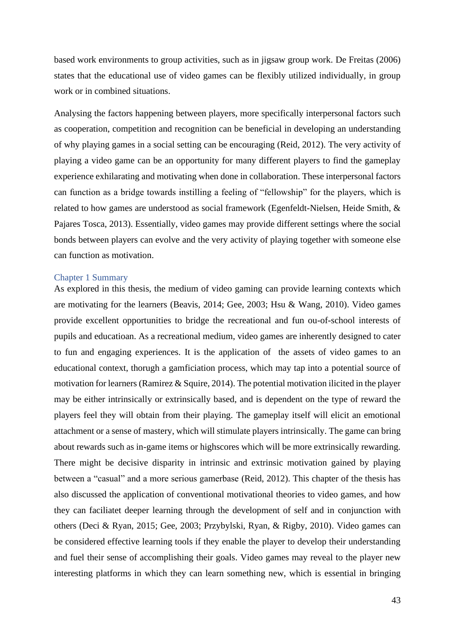based work environments to group activities, such as in jigsaw group work. De Freitas (2006) states that the educational use of video games can be flexibly utilized individually, in group work or in combined situations.

Analysing the factors happening between players, more specifically interpersonal factors such as cooperation, competition and recognition can be beneficial in developing an understanding of why playing games in a social setting can be encouraging (Reid, 2012). The very activity of playing a video game can be an opportunity for many different players to find the gameplay experience exhilarating and motivating when done in collaboration. These interpersonal factors can function as a bridge towards instilling a feeling of "fellowship" for the players, which is related to how games are understood as social framework (Egenfeldt-Nielsen, Heide Smith, & Pajares Tosca, 2013). Essentially, video games may provide different settings where the social bonds between players can evolve and the very activity of playing together with someone else can function as motivation.

### Chapter 1 Summary

As explored in this thesis, the medium of video gaming can provide learning contexts which are motivating for the learners (Beavis, 2014; Gee, 2003; Hsu & Wang, 2010). Video games provide excellent opportunities to bridge the recreational and fun ou-of-school interests of pupils and educatioan. As a recreational medium, video games are inherently designed to cater to fun and engaging experiences. It is the application of the assets of video games to an educational context, thorugh a gamficiation process, which may tap into a potential source of motivation for learners (Ramirez & Squire, 2014). The potential motivation ilicited in the player may be either intrinsically or extrinsically based, and is dependent on the type of reward the players feel they will obtain from their playing. The gameplay itself will elicit an emotional attachment or a sense of mastery, which will stimulate players intrinsically. The game can bring about rewards such as in-game items or highscores which will be more extrinsically rewarding. There might be decisive disparity in intrinsic and extrinsic motivation gained by playing between a "casual" and a more serious gamerbase (Reid, 2012). This chapter of the thesis has also discussed the application of conventional motivational theories to video games, and how they can faciliatet deeper learning through the development of self and in conjunction with others (Deci & Ryan, 2015; Gee, 2003; Przybylski, Ryan, & Rigby, 2010). Video games can be considered effective learning tools if they enable the player to develop their understanding and fuel their sense of accomplishing their goals. Video games may reveal to the player new interesting platforms in which they can learn something new, which is essential in bringing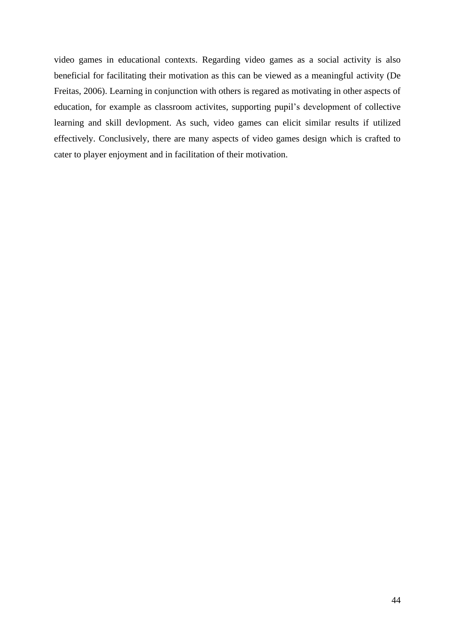video games in educational contexts. Regarding video games as a social activity is also beneficial for facilitating their motivation as this can be viewed as a meaningful activity (De Freitas, 2006). Learning in conjunction with others is regared as motivating in other aspects of education, for example as classroom activites, supporting pupil's development of collective learning and skill devlopment. As such, video games can elicit similar results if utilized effectively. Conclusively, there are many aspects of video games design which is crafted to cater to player enjoyment and in facilitation of their motivation.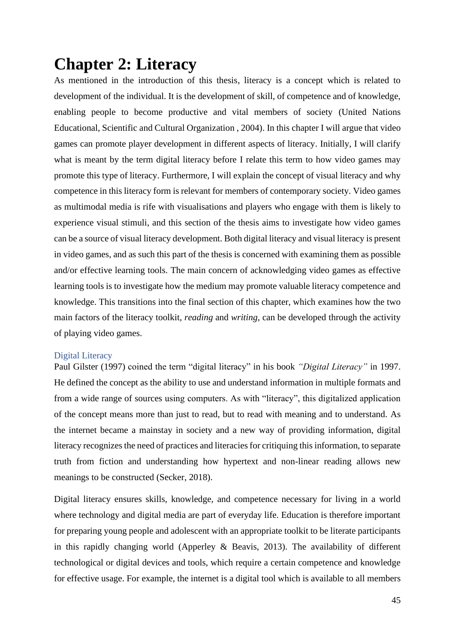# **Chapter 2: Literacy**

As mentioned in the introduction of this thesis, literacy is a concept which is related to development of the individual. It is the development of skill, of competence and of knowledge, enabling people to become productive and vital members of society (United Nations Educational, Scientific and Cultural Organization , 2004). In this chapter I will argue that video games can promote player development in different aspects of literacy. Initially, I will clarify what is meant by the term digital literacy before I relate this term to how video games may promote this type of literacy. Furthermore, I will explain the concept of visual literacy and why competence in this literacy form is relevant for members of contemporary society. Video games as multimodal media is rife with visualisations and players who engage with them is likely to experience visual stimuli, and this section of the thesis aims to investigate how video games can be a source of visual literacy development. Both digital literacy and visual literacy is present in video games, and as such this part of the thesis is concerned with examining them as possible and/or effective learning tools. The main concern of acknowledging video games as effective learning tools is to investigate how the medium may promote valuable literacy competence and knowledge. This transitions into the final section of this chapter, which examines how the two main factors of the literacy toolkit, *reading* and *writing*, can be developed through the activity of playing video games.

# Digital Literacy

Paul Gilster (1997) coined the term "digital literacy" in his book *"Digital Literacy"* in 1997. He defined the concept as the ability to use and understand information in multiple formats and from a wide range of sources using computers. As with "literacy", this digitalized application of the concept means more than just to read, but to read with meaning and to understand. As the internet became a mainstay in society and a new way of providing information, digital literacy recognizes the need of practices and literacies for critiquing this information, to separate truth from fiction and understanding how hypertext and non-linear reading allows new meanings to be constructed (Secker, 2018).

Digital literacy ensures skills, knowledge, and competence necessary for living in a world where technology and digital media are part of everyday life. Education is therefore important for preparing young people and adolescent with an appropriate toolkit to be literate participants in this rapidly changing world (Apperley  $\&$  Beavis, 2013). The availability of different technological or digital devices and tools, which require a certain competence and knowledge for effective usage. For example, the internet is a digital tool which is available to all members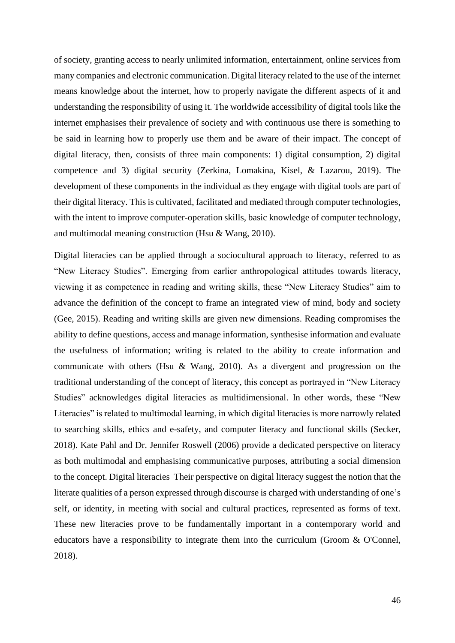of society, granting access to nearly unlimited information, entertainment, online services from many companies and electronic communication. Digital literacy related to the use of the internet means knowledge about the internet, how to properly navigate the different aspects of it and understanding the responsibility of using it. The worldwide accessibility of digital tools like the internet emphasises their prevalence of society and with continuous use there is something to be said in learning how to properly use them and be aware of their impact. The concept of digital literacy, then, consists of three main components: 1) digital consumption, 2) digital competence and 3) digital security (Zerkina, Lomakina, Kisel, & Lazarou, 2019). The development of these components in the individual as they engage with digital tools are part of their digital literacy. This is cultivated, facilitated and mediated through computer technologies, with the intent to improve computer-operation skills, basic knowledge of computer technology, and multimodal meaning construction (Hsu & Wang, 2010).

Digital literacies can be applied through a sociocultural approach to literacy, referred to as "New Literacy Studies". Emerging from earlier anthropological attitudes towards literacy, viewing it as competence in reading and writing skills, these "New Literacy Studies" aim to advance the definition of the concept to frame an integrated view of mind, body and society (Gee, 2015). Reading and writing skills are given new dimensions. Reading compromises the ability to define questions, access and manage information, synthesise information and evaluate the usefulness of information; writing is related to the ability to create information and communicate with others (Hsu & Wang, 2010). As a divergent and progression on the traditional understanding of the concept of literacy, this concept as portrayed in "New Literacy Studies" acknowledges digital literacies as multidimensional. In other words, these "New Literacies" is related to multimodal learning, in which digital literacies is more narrowly related to searching skills, ethics and e-safety, and computer literacy and functional skills (Secker, 2018). Kate Pahl and Dr. Jennifer Roswell (2006) provide a dedicated perspective on literacy as both multimodal and emphasising communicative purposes, attributing a social dimension to the concept. Digital literacies Their perspective on digital literacy suggest the notion that the literate qualities of a person expressed through discourse is charged with understanding of one's self, or identity, in meeting with social and cultural practices, represented as forms of text. These new literacies prove to be fundamentally important in a contemporary world and educators have a responsibility to integrate them into the curriculum (Groom & O'Connel, 2018).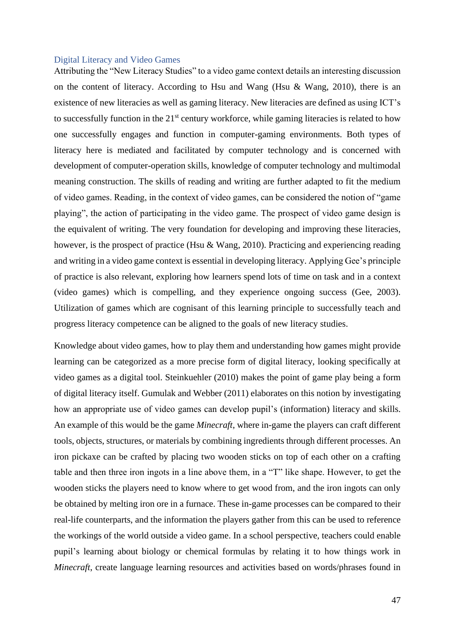# Digital Literacy and Video Games

Attributing the "New Literacy Studies" to a video game context details an interesting discussion on the content of literacy. According to Hsu and Wang (Hsu & Wang, 2010), there is an existence of new literacies as well as gaming literacy. New literacies are defined as using ICT's to successfully function in the 21<sup>st</sup> century workforce, while gaming literacies is related to how one successfully engages and function in computer-gaming environments. Both types of literacy here is mediated and facilitated by computer technology and is concerned with development of computer-operation skills, knowledge of computer technology and multimodal meaning construction. The skills of reading and writing are further adapted to fit the medium of video games. Reading, in the context of video games, can be considered the notion of "game playing", the action of participating in the video game. The prospect of video game design is the equivalent of writing. The very foundation for developing and improving these literacies, however, is the prospect of practice (Hsu & Wang, 2010). Practicing and experiencing reading and writing in a video game context is essential in developing literacy. Applying Gee's principle of practice is also relevant, exploring how learners spend lots of time on task and in a context (video games) which is compelling, and they experience ongoing success (Gee, 2003). Utilization of games which are cognisant of this learning principle to successfully teach and progress literacy competence can be aligned to the goals of new literacy studies.

Knowledge about video games, how to play them and understanding how games might provide learning can be categorized as a more precise form of digital literacy, looking specifically at video games as a digital tool. Steinkuehler (2010) makes the point of game play being a form of digital literacy itself. Gumulak and Webber (2011) elaborates on this notion by investigating how an appropriate use of video games can develop pupil's (information) literacy and skills. An example of this would be the game *Minecraft*, where in-game the players can craft different tools, objects, structures, or materials by combining ingredients through different processes. An iron pickaxe can be crafted by placing two wooden sticks on top of each other on a crafting table and then three iron ingots in a line above them, in a "T" like shape. However, to get the wooden sticks the players need to know where to get wood from, and the iron ingots can only be obtained by melting iron ore in a furnace. These in-game processes can be compared to their real-life counterparts, and the information the players gather from this can be used to reference the workings of the world outside a video game. In a school perspective, teachers could enable pupil's learning about biology or chemical formulas by relating it to how things work in *Minecraft*, create language learning resources and activities based on words/phrases found in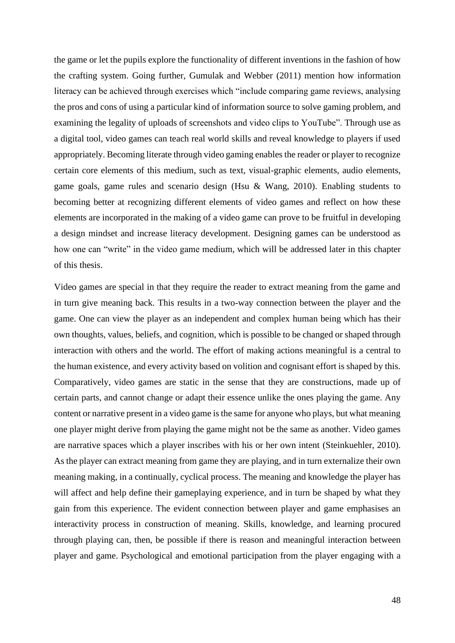the game or let the pupils explore the functionality of different inventions in the fashion of how the crafting system. Going further, Gumulak and Webber (2011) mention how information literacy can be achieved through exercises which "include comparing game reviews, analysing the pros and cons of using a particular kind of information source to solve gaming problem, and examining the legality of uploads of screenshots and video clips to YouTube". Through use as a digital tool, video games can teach real world skills and reveal knowledge to players if used appropriately. Becoming literate through video gaming enables the reader or player to recognize certain core elements of this medium, such as text, visual-graphic elements, audio elements, game goals, game rules and scenario design (Hsu & Wang, 2010). Enabling students to becoming better at recognizing different elements of video games and reflect on how these elements are incorporated in the making of a video game can prove to be fruitful in developing a design mindset and increase literacy development. Designing games can be understood as how one can "write" in the video game medium, which will be addressed later in this chapter of this thesis.

Video games are special in that they require the reader to extract meaning from the game and in turn give meaning back. This results in a two-way connection between the player and the game. One can view the player as an independent and complex human being which has their own thoughts, values, beliefs, and cognition, which is possible to be changed or shaped through interaction with others and the world. The effort of making actions meaningful is a central to the human existence, and every activity based on volition and cognisant effort is shaped by this. Comparatively, video games are static in the sense that they are constructions, made up of certain parts, and cannot change or adapt their essence unlike the ones playing the game. Any content or narrative present in a video game is the same for anyone who plays, but what meaning one player might derive from playing the game might not be the same as another. Video games are narrative spaces which a player inscribes with his or her own intent (Steinkuehler, 2010). As the player can extract meaning from game they are playing, and in turn externalize their own meaning making, in a continually, cyclical process. The meaning and knowledge the player has will affect and help define their gameplaying experience, and in turn be shaped by what they gain from this experience. The evident connection between player and game emphasises an interactivity process in construction of meaning. Skills, knowledge, and learning procured through playing can, then, be possible if there is reason and meaningful interaction between player and game. Psychological and emotional participation from the player engaging with a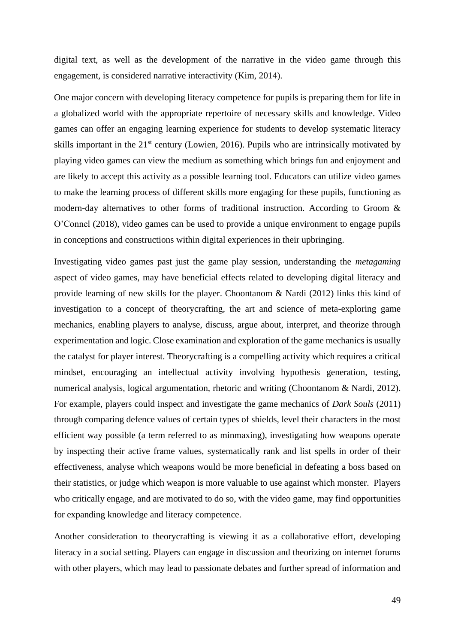digital text, as well as the development of the narrative in the video game through this engagement, is considered narrative interactivity (Kim, 2014).

One major concern with developing literacy competence for pupils is preparing them for life in a globalized world with the appropriate repertoire of necessary skills and knowledge. Video games can offer an engaging learning experience for students to develop systematic literacy skills important in the 21<sup>st</sup> century (Lowien, 2016). Pupils who are intrinsically motivated by playing video games can view the medium as something which brings fun and enjoyment and are likely to accept this activity as a possible learning tool. Educators can utilize video games to make the learning process of different skills more engaging for these pupils, functioning as modern-day alternatives to other forms of traditional instruction. According to Groom & O'Connel (2018), video games can be used to provide a unique environment to engage pupils in conceptions and constructions within digital experiences in their upbringing.

Investigating video games past just the game play session, understanding the *metagaming*  aspect of video games, may have beneficial effects related to developing digital literacy and provide learning of new skills for the player. Choontanom & Nardi (2012) links this kind of investigation to a concept of theorycrafting, the art and science of meta-exploring game mechanics, enabling players to analyse, discuss, argue about, interpret, and theorize through experimentation and logic. Close examination and exploration of the game mechanics is usually the catalyst for player interest. Theorycrafting is a compelling activity which requires a critical mindset, encouraging an intellectual activity involving hypothesis generation, testing, numerical analysis, logical argumentation, rhetoric and writing (Choontanom & Nardi, 2012). For example, players could inspect and investigate the game mechanics of *Dark Souls* (2011) through comparing defence values of certain types of shields, level their characters in the most efficient way possible (a term referred to as minmaxing), investigating how weapons operate by inspecting their active frame values, systematically rank and list spells in order of their effectiveness, analyse which weapons would be more beneficial in defeating a boss based on their statistics, or judge which weapon is more valuable to use against which monster. Players who critically engage, and are motivated to do so, with the video game, may find opportunities for expanding knowledge and literacy competence.

Another consideration to theorycrafting is viewing it as a collaborative effort, developing literacy in a social setting. Players can engage in discussion and theorizing on internet forums with other players, which may lead to passionate debates and further spread of information and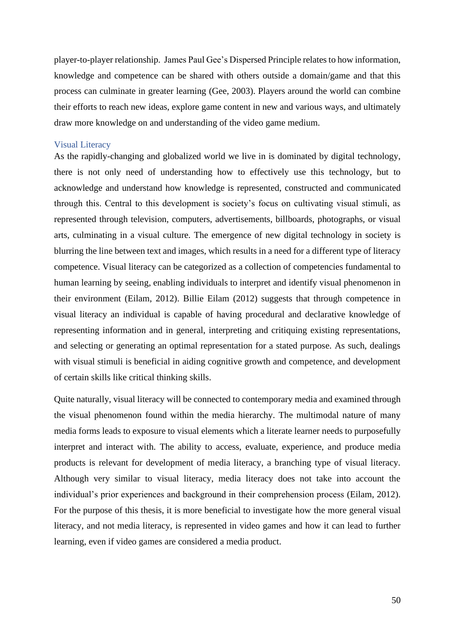player-to-player relationship. James Paul Gee's Dispersed Principle relates to how information, knowledge and competence can be shared with others outside a domain/game and that this process can culminate in greater learning (Gee, 2003). Players around the world can combine their efforts to reach new ideas, explore game content in new and various ways, and ultimately draw more knowledge on and understanding of the video game medium.

### Visual Literacy

As the rapidly-changing and globalized world we live in is dominated by digital technology, there is not only need of understanding how to effectively use this technology, but to acknowledge and understand how knowledge is represented, constructed and communicated through this. Central to this development is society's focus on cultivating visual stimuli, as represented through television, computers, advertisements, billboards, photographs, or visual arts, culminating in a visual culture. The emergence of new digital technology in society is blurring the line between text and images, which results in a need for a different type of literacy competence. Visual literacy can be categorized as a collection of competencies fundamental to human learning by seeing, enabling individuals to interpret and identify visual phenomenon in their environment (Eilam, 2012). Billie Eilam (2012) suggests that through competence in visual literacy an individual is capable of having procedural and declarative knowledge of representing information and in general, interpreting and critiquing existing representations, and selecting or generating an optimal representation for a stated purpose. As such, dealings with visual stimuli is beneficial in aiding cognitive growth and competence, and development of certain skills like critical thinking skills.

Quite naturally, visual literacy will be connected to contemporary media and examined through the visual phenomenon found within the media hierarchy. The multimodal nature of many media forms leads to exposure to visual elements which a literate learner needs to purposefully interpret and interact with. The ability to access, evaluate, experience, and produce media products is relevant for development of media literacy, a branching type of visual literacy. Although very similar to visual literacy, media literacy does not take into account the individual's prior experiences and background in their comprehension process (Eilam, 2012). For the purpose of this thesis, it is more beneficial to investigate how the more general visual literacy, and not media literacy, is represented in video games and how it can lead to further learning, even if video games are considered a media product.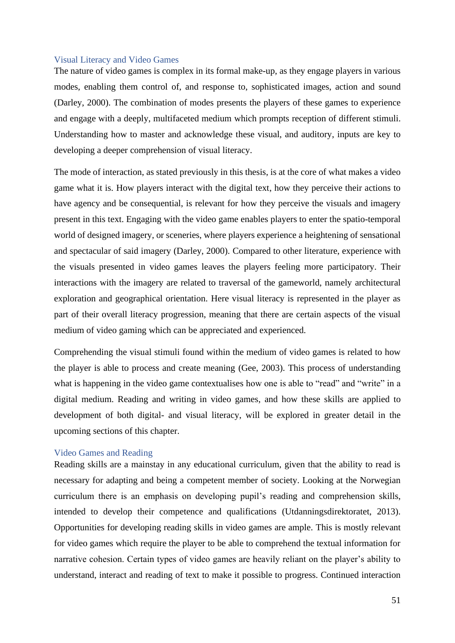## Visual Literacy and Video Games

The nature of video games is complex in its formal make-up, as they engage players in various modes, enabling them control of, and response to, sophisticated images, action and sound (Darley, 2000). The combination of modes presents the players of these games to experience and engage with a deeply, multifaceted medium which prompts reception of different stimuli. Understanding how to master and acknowledge these visual, and auditory, inputs are key to developing a deeper comprehension of visual literacy.

The mode of interaction, as stated previously in this thesis, is at the core of what makes a video game what it is. How players interact with the digital text, how they perceive their actions to have agency and be consequential, is relevant for how they perceive the visuals and imagery present in this text. Engaging with the video game enables players to enter the spatio-temporal world of designed imagery, or sceneries, where players experience a heightening of sensational and spectacular of said imagery (Darley, 2000). Compared to other literature, experience with the visuals presented in video games leaves the players feeling more participatory. Their interactions with the imagery are related to traversal of the gameworld, namely architectural exploration and geographical orientation. Here visual literacy is represented in the player as part of their overall literacy progression, meaning that there are certain aspects of the visual medium of video gaming which can be appreciated and experienced.

Comprehending the visual stimuli found within the medium of video games is related to how the player is able to process and create meaning (Gee, 2003). This process of understanding what is happening in the video game contextualises how one is able to "read" and "write" in a digital medium. Reading and writing in video games, and how these skills are applied to development of both digital- and visual literacy, will be explored in greater detail in the upcoming sections of this chapter.

### Video Games and Reading

Reading skills are a mainstay in any educational curriculum, given that the ability to read is necessary for adapting and being a competent member of society. Looking at the Norwegian curriculum there is an emphasis on developing pupil's reading and comprehension skills, intended to develop their competence and qualifications (Utdanningsdirektoratet, 2013). Opportunities for developing reading skills in video games are ample. This is mostly relevant for video games which require the player to be able to comprehend the textual information for narrative cohesion. Certain types of video games are heavily reliant on the player's ability to understand, interact and reading of text to make it possible to progress. Continued interaction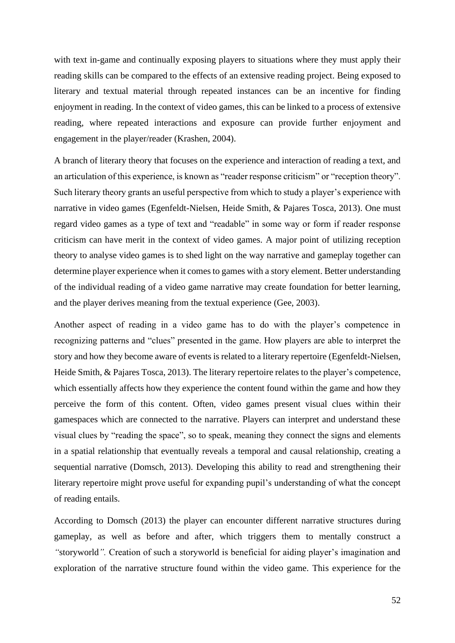with text in-game and continually exposing players to situations where they must apply their reading skills can be compared to the effects of an extensive reading project. Being exposed to literary and textual material through repeated instances can be an incentive for finding enjoyment in reading. In the context of video games, this can be linked to a process of extensive reading, where repeated interactions and exposure can provide further enjoyment and engagement in the player/reader (Krashen, 2004).

A branch of literary theory that focuses on the experience and interaction of reading a text, and an articulation of this experience, is known as "reader response criticism" or "reception theory". Such literary theory grants an useful perspective from which to study a player's experience with narrative in video games (Egenfeldt-Nielsen, Heide Smith, & Pajares Tosca, 2013). One must regard video games as a type of text and "readable" in some way or form if reader response criticism can have merit in the context of video games. A major point of utilizing reception theory to analyse video games is to shed light on the way narrative and gameplay together can determine player experience when it comes to games with a story element. Better understanding of the individual reading of a video game narrative may create foundation for better learning, and the player derives meaning from the textual experience (Gee, 2003).

Another aspect of reading in a video game has to do with the player's competence in recognizing patterns and "clues" presented in the game. How players are able to interpret the story and how they become aware of events is related to a literary repertoire (Egenfeldt-Nielsen, Heide Smith, & Pajares Tosca, 2013). The literary repertoire relates to the player's competence, which essentially affects how they experience the content found within the game and how they perceive the form of this content. Often, video games present visual clues within their gamespaces which are connected to the narrative. Players can interpret and understand these visual clues by "reading the space", so to speak, meaning they connect the signs and elements in a spatial relationship that eventually reveals a temporal and causal relationship, creating a sequential narrative (Domsch, 2013). Developing this ability to read and strengthening their literary repertoire might prove useful for expanding pupil's understanding of what the concept of reading entails.

According to Domsch (2013) the player can encounter different narrative structures during gameplay, as well as before and after, which triggers them to mentally construct a *"*storyworld*".* Creation of such a storyworld is beneficial for aiding player's imagination and exploration of the narrative structure found within the video game. This experience for the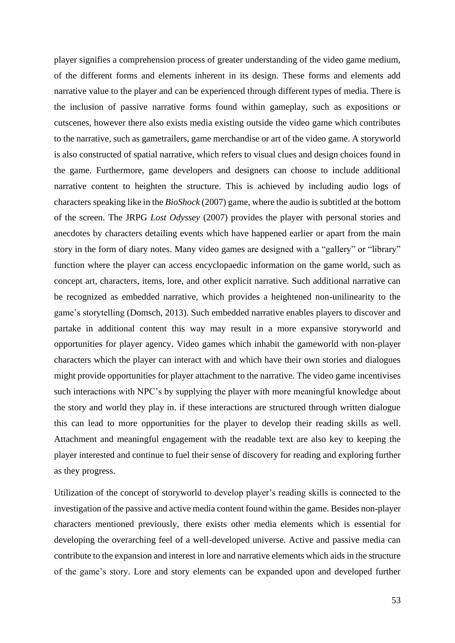player signifies a comprehension process of greater understanding of the video game medium, of the different forms and elements inherent in its design. These forms and elements add narrative value to the player and can be experienced through different types of media. There is the inclusion of passive narrative forms found within gameplay, such as expositions or cutscenes, however there also exists media existing outside the video game which contributes to the narrative, such as gametrailers, game merchandise or art of the video game. A storyworld is also constructed of spatial narrative, which refers to visual clues and design choices found in the game. Furthermore, game developers and designers can choose to include additional narrative content to heighten the structure. This is achieved by including audio logs of characters speaking like in the *BioShock* (2007) game, where the audio is subtitled at the bottom of the screen. The JRPG *Lost Odyssey* (2007) provides the player with personal stories and anecdotes by characters detailing events which have happened earlier or apart from the main story in the form of diary notes. Many video games are designed with a "gallery" or "library" function where the player can access encyclopaedic information on the game world, such as concept art, characters, items, lore, and other explicit narrative. Such additional narrative can be recognized as embedded narrative, which provides a heightened non-unilinearity to the game's storytelling (Domsch, 2013). Such embedded narrative enables players to discover and partake in additional content this way may result in a more expansive storyworld and opportunities for player agency. Video games which inhabit the gameworld with non-player characters which the player can interact with and which have their own stories and dialogues might provide opportunities for player attachment to the narrative. The video game incentivises such interactions with NPC's by supplying the player with more meaningful knowledge about the story and world they play in. if these interactions are structured through written dialogue this can lead to more opportunities for the player to develop their reading skills as well. Attachment and meaningful engagement with the readable text are also key to keeping the player interested and continue to fuel their sense of discovery for reading and exploring further as they progress.

Utilization of the concept of storyworld to develop player's reading skills is connected to the investigation of the passive and active media content found within the game. Besides non-player characters mentioned previously, there exists other media elements which is essential for developing the overarching feel of a well-developed universe. Active and passive media can contribute to the expansion and interest in lore and narrative elements which aids in the structure of the game's story. Lore and story elements can be expanded upon and developed further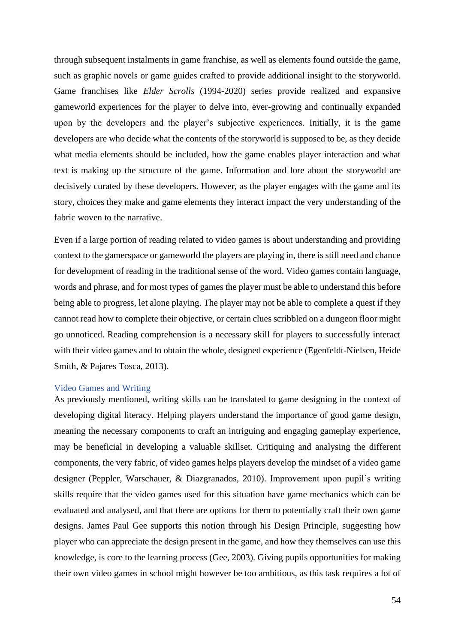through subsequent instalments in game franchise, as well as elements found outside the game, such as graphic novels or game guides crafted to provide additional insight to the storyworld. Game franchises like *Elder Scrolls* (1994-2020) series provide realized and expansive gameworld experiences for the player to delve into, ever-growing and continually expanded upon by the developers and the player's subjective experiences. Initially, it is the game developers are who decide what the contents of the storyworld is supposed to be, as they decide what media elements should be included, how the game enables player interaction and what text is making up the structure of the game. Information and lore about the storyworld are decisively curated by these developers. However, as the player engages with the game and its story, choices they make and game elements they interact impact the very understanding of the fabric woven to the narrative.

Even if a large portion of reading related to video games is about understanding and providing context to the gamerspace or gameworld the players are playing in, there is still need and chance for development of reading in the traditional sense of the word. Video games contain language, words and phrase, and for most types of games the player must be able to understand this before being able to progress, let alone playing. The player may not be able to complete a quest if they cannot read how to complete their objective, or certain clues scribbled on a dungeon floor might go unnoticed. Reading comprehension is a necessary skill for players to successfully interact with their video games and to obtain the whole, designed experience (Egenfeldt-Nielsen, Heide Smith, & Pajares Tosca, 2013).

## Video Games and Writing

As previously mentioned, writing skills can be translated to game designing in the context of developing digital literacy. Helping players understand the importance of good game design, meaning the necessary components to craft an intriguing and engaging gameplay experience, may be beneficial in developing a valuable skillset. Critiquing and analysing the different components, the very fabric, of video games helps players develop the mindset of a video game designer (Peppler, Warschauer, & Diazgranados, 2010). Improvement upon pupil's writing skills require that the video games used for this situation have game mechanics which can be evaluated and analysed, and that there are options for them to potentially craft their own game designs. James Paul Gee supports this notion through his Design Principle, suggesting how player who can appreciate the design present in the game, and how they themselves can use this knowledge, is core to the learning process (Gee, 2003). Giving pupils opportunities for making their own video games in school might however be too ambitious, as this task requires a lot of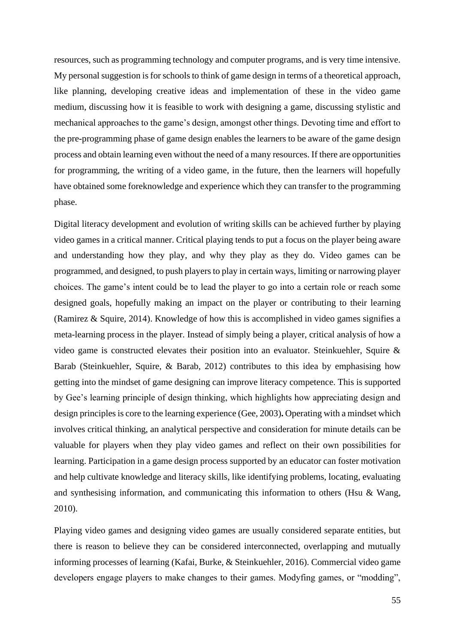resources, such as programming technology and computer programs, and is very time intensive. My personal suggestion is for schools to think of game design in terms of a theoretical approach, like planning, developing creative ideas and implementation of these in the video game medium, discussing how it is feasible to work with designing a game, discussing stylistic and mechanical approaches to the game's design, amongst other things. Devoting time and effort to the pre-programming phase of game design enables the learners to be aware of the game design process and obtain learning even without the need of a many resources. If there are opportunities for programming, the writing of a video game, in the future, then the learners will hopefully have obtained some foreknowledge and experience which they can transfer to the programming phase.

Digital literacy development and evolution of writing skills can be achieved further by playing video games in a critical manner. Critical playing tends to put a focus on the player being aware and understanding how they play, and why they play as they do. Video games can be programmed, and designed, to push players to play in certain ways, limiting or narrowing player choices. The game's intent could be to lead the player to go into a certain role or reach some designed goals, hopefully making an impact on the player or contributing to their learning (Ramirez & Squire, 2014). Knowledge of how this is accomplished in video games signifies a meta-learning process in the player. Instead of simply being a player, critical analysis of how a video game is constructed elevates their position into an evaluator. Steinkuehler, Squire & Barab (Steinkuehler, Squire, & Barab, 2012) contributes to this idea by emphasising how getting into the mindset of game designing can improve literacy competence. This is supported by Gee's learning principle of design thinking, which highlights how appreciating design and design principles is core to the learning experience (Gee, 2003)**.** Operating with a mindset which involves critical thinking, an analytical perspective and consideration for minute details can be valuable for players when they play video games and reflect on their own possibilities for learning. Participation in a game design process supported by an educator can foster motivation and help cultivate knowledge and literacy skills, like identifying problems, locating, evaluating and synthesising information, and communicating this information to others (Hsu  $\&$  Wang, 2010).

Playing video games and designing video games are usually considered separate entities, but there is reason to believe they can be considered interconnected, overlapping and mutually informing processes of learning (Kafai, Burke, & Steinkuehler, 2016). Commercial video game developers engage players to make changes to their games. Modyfing games, or "modding",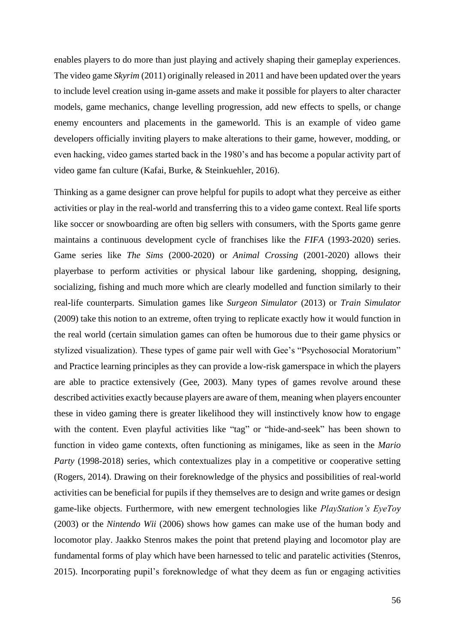enables players to do more than just playing and actively shaping their gameplay experiences. The video game *Skyrim* (2011) originally released in 2011 and have been updated over the years to include level creation using in-game assets and make it possible for players to alter character models, game mechanics, change levelling progression, add new effects to spells, or change enemy encounters and placements in the gameworld. This is an example of video game developers officially inviting players to make alterations to their game, however, modding, or even hacking, video games started back in the 1980's and has become a popular activity part of video game fan culture (Kafai, Burke, & Steinkuehler, 2016).

Thinking as a game designer can prove helpful for pupils to adopt what they perceive as either activities or play in the real-world and transferring this to a video game context. Real life sports like soccer or snowboarding are often big sellers with consumers, with the Sports game genre maintains a continuous development cycle of franchises like the *FIFA* (1993-2020) series. Game series like *The Sims* (2000-2020) or *Animal Crossing* (2001-2020) allows their playerbase to perform activities or physical labour like gardening, shopping, designing, socializing, fishing and much more which are clearly modelled and function similarly to their real-life counterparts. Simulation games like *Surgeon Simulator* (2013) or *Train Simulator*  (2009) take this notion to an extreme, often trying to replicate exactly how it would function in the real world (certain simulation games can often be humorous due to their game physics or stylized visualization). These types of game pair well with Gee's "Psychosocial Moratorium" and Practice learning principles as they can provide a low-risk gamerspace in which the players are able to practice extensively (Gee, 2003). Many types of games revolve around these described activities exactly because players are aware of them, meaning when players encounter these in video gaming there is greater likelihood they will instinctively know how to engage with the content. Even playful activities like "tag" or "hide-and-seek" has been shown to function in video game contexts, often functioning as minigames, like as seen in the *Mario Party* (1998-2018) series, which contextualizes play in a competitive or cooperative setting (Rogers, 2014). Drawing on their foreknowledge of the physics and possibilities of real-world activities can be beneficial for pupils if they themselves are to design and write games or design game-like objects. Furthermore, with new emergent technologies like *PlayStation's EyeToy*  (2003) or the *Nintendo Wii* (2006) shows how games can make use of the human body and locomotor play. Jaakko Stenros makes the point that pretend playing and locomotor play are fundamental forms of play which have been harnessed to telic and paratelic activities (Stenros, 2015). Incorporating pupil's foreknowledge of what they deem as fun or engaging activities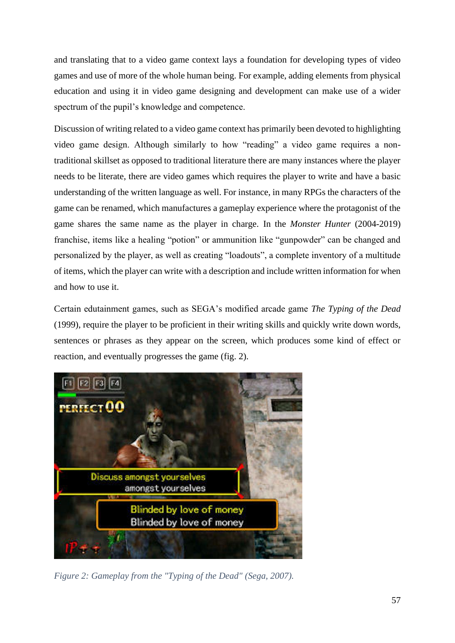and translating that to a video game context lays a foundation for developing types of video games and use of more of the whole human being. For example, adding elements from physical education and using it in video game designing and development can make use of a wider spectrum of the pupil's knowledge and competence.

Discussion of writing related to a video game context has primarily been devoted to highlighting video game design. Although similarly to how "reading" a video game requires a nontraditional skillset as opposed to traditional literature there are many instances where the player needs to be literate, there are video games which requires the player to write and have a basic understanding of the written language as well. For instance, in many RPGs the characters of the game can be renamed, which manufactures a gameplay experience where the protagonist of the game shares the same name as the player in charge. In the *Monster Hunter* (2004-2019) franchise, items like a healing "potion" or ammunition like "gunpowder" can be changed and personalized by the player, as well as creating "loadouts", a complete inventory of a multitude of items, which the player can write with a description and include written information for when and how to use it.

Certain edutainment games, such as SEGA's modified arcade game *The Typing of the Dead* (1999), require the player to be proficient in their writing skills and quickly write down words, sentences or phrases as they appear on the screen, which produces some kind of effect or reaction, and eventually progresses the game (fig. 2).



*Figure 2: Gameplay from the "Typing of the Dead" (Sega, 2007).*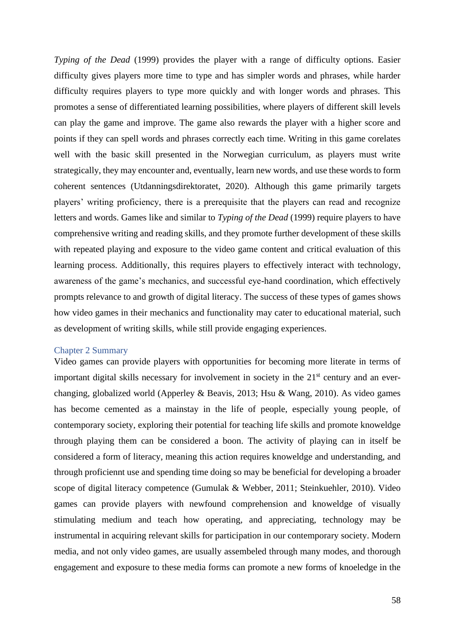*Typing of the Dead* (1999) provides the player with a range of difficulty options. Easier difficulty gives players more time to type and has simpler words and phrases, while harder difficulty requires players to type more quickly and with longer words and phrases. This promotes a sense of differentiated learning possibilities, where players of different skill levels can play the game and improve. The game also rewards the player with a higher score and points if they can spell words and phrases correctly each time. Writing in this game corelates well with the basic skill presented in the Norwegian curriculum, as players must write strategically, they may encounter and, eventually, learn new words, and use these words to form coherent sentences (Utdanningsdirektoratet, 2020). Although this game primarily targets players' writing proficiency, there is a prerequisite that the players can read and recognize letters and words. Games like and similar to *Typing of the Dead* (1999) require players to have comprehensive writing and reading skills, and they promote further development of these skills with repeated playing and exposure to the video game content and critical evaluation of this learning process. Additionally, this requires players to effectively interact with technology, awareness of the game's mechanics, and successful eye-hand coordination, which effectively prompts relevance to and growth of digital literacy. The success of these types of games shows how video games in their mechanics and functionality may cater to educational material, such as development of writing skills, while still provide engaging experiences.

## Chapter 2 Summary

Video games can provide players with opportunities for becoming more literate in terms of important digital skills necessary for involvement in society in the 21<sup>st</sup> century and an everchanging, globalized world (Apperley & Beavis, 2013; Hsu & Wang, 2010). As video games has become cemented as a mainstay in the life of people, especially young people, of contemporary society, exploring their potential for teaching life skills and promote knoweldge through playing them can be considered a boon. The activity of playing can in itself be considered a form of literacy, meaning this action requires knoweldge and understanding, and through proficiennt use and spending time doing so may be beneficial for developing a broader scope of digital literacy competence (Gumulak & Webber, 2011; Steinkuehler, 2010). Video games can provide players with newfound comprehension and knoweldge of visually stimulating medium and teach how operating, and appreciating, technology may be instrumental in acquiring relevant skills for participation in our contemporary society. Modern media, and not only video games, are usually assembeled through many modes, and thorough engagement and exposure to these media forms can promote a new forms of knoeledge in the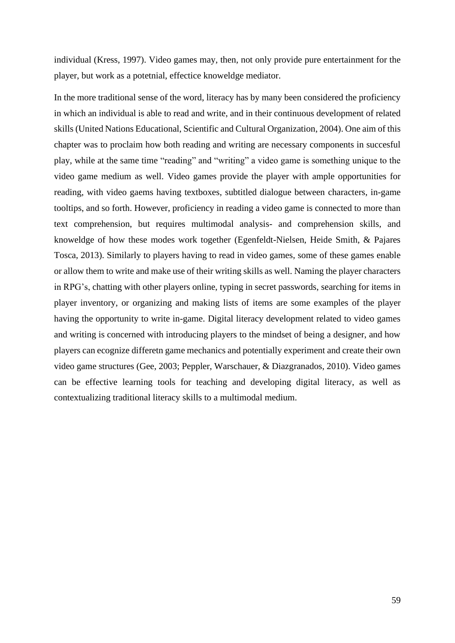individual (Kress, 1997). Video games may, then, not only provide pure entertainment for the player, but work as a potetnial, effectice knoweldge mediator.

In the more traditional sense of the word, literacy has by many been considered the proficiency in which an individual is able to read and write, and in their continuous development of related skills (United Nations Educational, Scientific and Cultural Organization, 2004). One aim of this chapter was to proclaim how both reading and writing are necessary components in succesful play, while at the same time "reading" and "writing" a video game is something unique to the video game medium as well. Video games provide the player with ample opportunities for reading, with video gaems having textboxes, subtitled dialogue between characters, in-game tooltips, and so forth. However, proficiency in reading a video game is connected to more than text comprehension, but requires multimodal analysis- and comprehension skills, and knoweldge of how these modes work together (Egenfeldt-Nielsen, Heide Smith, & Pajares Tosca, 2013). Similarly to players having to read in video games, some of these games enable or allow them to write and make use of their writing skills as well. Naming the player characters in RPG's, chatting with other players online, typing in secret passwords, searching for items in player inventory, or organizing and making lists of items are some examples of the player having the opportunity to write in-game. Digital literacy development related to video games and writing is concerned with introducing players to the mindset of being a designer, and how players can ecognize differetn game mechanics and potentially experiment and create their own video game structures (Gee, 2003; Peppler, Warschauer, & Diazgranados, 2010). Video games can be effective learning tools for teaching and developing digital literacy, as well as contextualizing traditional literacy skills to a multimodal medium.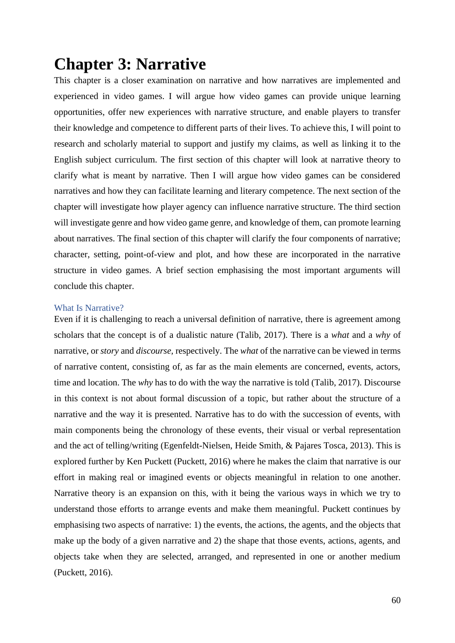# **Chapter 3: Narrative**

This chapter is a closer examination on narrative and how narratives are implemented and experienced in video games. I will argue how video games can provide unique learning opportunities, offer new experiences with narrative structure, and enable players to transfer their knowledge and competence to different parts of their lives. To achieve this, I will point to research and scholarly material to support and justify my claims, as well as linking it to the English subject curriculum. The first section of this chapter will look at narrative theory to clarify what is meant by narrative. Then I will argue how video games can be considered narratives and how they can facilitate learning and literary competence. The next section of the chapter will investigate how player agency can influence narrative structure. The third section will investigate genre and how video game genre, and knowledge of them, can promote learning about narratives. The final section of this chapter will clarify the four components of narrative; character, setting, point-of-view and plot, and how these are incorporated in the narrative structure in video games. A brief section emphasising the most important arguments will conclude this chapter.

# What Is Narrative?

Even if it is challenging to reach a universal definition of narrative, there is agreement among scholars that the concept is of a dualistic nature (Talib, 2017). There is a *what* and a *why* of narrative, or *story* and *discourse,* respectively. The *what* of the narrative can be viewed in terms of narrative content, consisting of, as far as the main elements are concerned, events, actors, time and location. The *why* has to do with the way the narrative is told (Talib, 2017). Discourse in this context is not about formal discussion of a topic, but rather about the structure of a narrative and the way it is presented. Narrative has to do with the succession of events, with main components being the chronology of these events, their visual or verbal representation and the act of telling/writing (Egenfeldt-Nielsen, Heide Smith, & Pajares Tosca, 2013). This is explored further by Ken Puckett (Puckett, 2016) where he makes the claim that narrative is our effort in making real or imagined events or objects meaningful in relation to one another. Narrative theory is an expansion on this, with it being the various ways in which we try to understand those efforts to arrange events and make them meaningful. Puckett continues by emphasising two aspects of narrative: 1) the events, the actions, the agents, and the objects that make up the body of a given narrative and 2) the shape that those events, actions, agents, and objects take when they are selected, arranged, and represented in one or another medium (Puckett, 2016).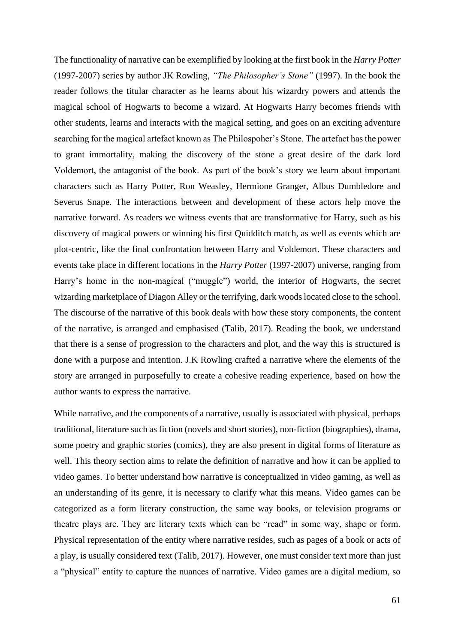The functionality of narrative can be exemplified by looking at the first book in the *Harry Potter*  (1997-2007) series by author JK Rowling, *"The Philosopher's Stone"* (1997). In the book the reader follows the titular character as he learns about his wizardry powers and attends the magical school of Hogwarts to become a wizard. At Hogwarts Harry becomes friends with other students, learns and interacts with the magical setting, and goes on an exciting adventure searching for the magical artefact known as The Philospoher's Stone. The artefact has the power to grant immortality, making the discovery of the stone a great desire of the dark lord Voldemort, the antagonist of the book. As part of the book's story we learn about important characters such as Harry Potter, Ron Weasley, Hermione Granger, Albus Dumbledore and Severus Snape. The interactions between and development of these actors help move the narrative forward. As readers we witness events that are transformative for Harry, such as his discovery of magical powers or winning his first Quidditch match, as well as events which are plot-centric, like the final confrontation between Harry and Voldemort. These characters and events take place in different locations in the *Harry Potter* (1997-2007) universe, ranging from Harry's home in the non-magical ("muggle") world, the interior of Hogwarts, the secret wizarding marketplace of Diagon Alley or the terrifying, dark woods located close to the school. The discourse of the narrative of this book deals with how these story components, the content of the narrative, is arranged and emphasised (Talib, 2017). Reading the book, we understand that there is a sense of progression to the characters and plot, and the way this is structured is done with a purpose and intention. J.K Rowling crafted a narrative where the elements of the story are arranged in purposefully to create a cohesive reading experience, based on how the author wants to express the narrative.

While narrative, and the components of a narrative, usually is associated with physical, perhaps traditional, literature such as fiction (novels and short stories), non-fiction (biographies), drama, some poetry and graphic stories (comics), they are also present in digital forms of literature as well. This theory section aims to relate the definition of narrative and how it can be applied to video games. To better understand how narrative is conceptualized in video gaming, as well as an understanding of its genre, it is necessary to clarify what this means. Video games can be categorized as a form literary construction, the same way books, or television programs or theatre plays are. They are literary texts which can be "read" in some way, shape or form. Physical representation of the entity where narrative resides, such as pages of a book or acts of a play, is usually considered text (Talib, 2017). However, one must consider text more than just a "physical" entity to capture the nuances of narrative. Video games are a digital medium, so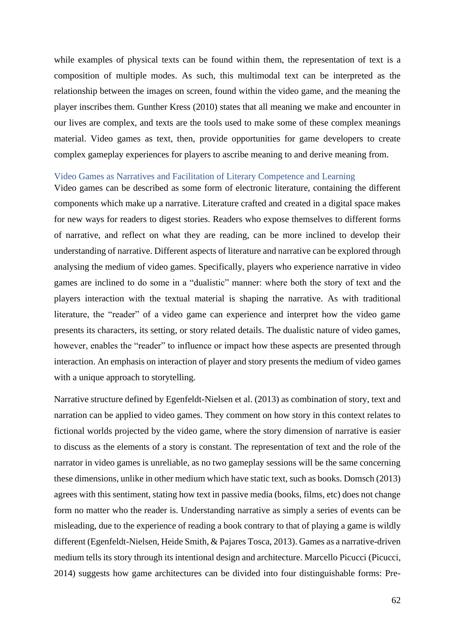while examples of physical texts can be found within them, the representation of text is a composition of multiple modes. As such, this multimodal text can be interpreted as the relationship between the images on screen, found within the video game, and the meaning the player inscribes them. Gunther Kress (2010) states that all meaning we make and encounter in our lives are complex, and texts are the tools used to make some of these complex meanings material. Video games as text, then, provide opportunities for game developers to create complex gameplay experiences for players to ascribe meaning to and derive meaning from.

#### Video Games as Narratives and Facilitation of Literary Competence and Learning

Video games can be described as some form of electronic literature, containing the different components which make up a narrative. Literature crafted and created in a digital space makes for new ways for readers to digest stories. Readers who expose themselves to different forms of narrative, and reflect on what they are reading, can be more inclined to develop their understanding of narrative. Different aspects of literature and narrative can be explored through analysing the medium of video games. Specifically, players who experience narrative in video games are inclined to do some in a "dualistic" manner: where both the story of text and the players interaction with the textual material is shaping the narrative. As with traditional literature, the "reader" of a video game can experience and interpret how the video game presents its characters, its setting, or story related details. The dualistic nature of video games, however, enables the "reader" to influence or impact how these aspects are presented through interaction. An emphasis on interaction of player and story presents the medium of video games with a unique approach to storytelling.

Narrative structure defined by Egenfeldt-Nielsen et al. (2013) as combination of story, text and narration can be applied to video games. They comment on how story in this context relates to fictional worlds projected by the video game, where the story dimension of narrative is easier to discuss as the elements of a story is constant. The representation of text and the role of the narrator in video games is unreliable, as no two gameplay sessions will be the same concerning these dimensions, unlike in other medium which have static text, such as books. Domsch (2013) agrees with this sentiment, stating how text in passive media (books, films, etc) does not change form no matter who the reader is. Understanding narrative as simply a series of events can be misleading, due to the experience of reading a book contrary to that of playing a game is wildly different (Egenfeldt-Nielsen, Heide Smith, & Pajares Tosca, 2013). Games as a narrative-driven medium tells its story through its intentional design and architecture. Marcello Picucci (Picucci, 2014) suggests how game architectures can be divided into four distinguishable forms: Pre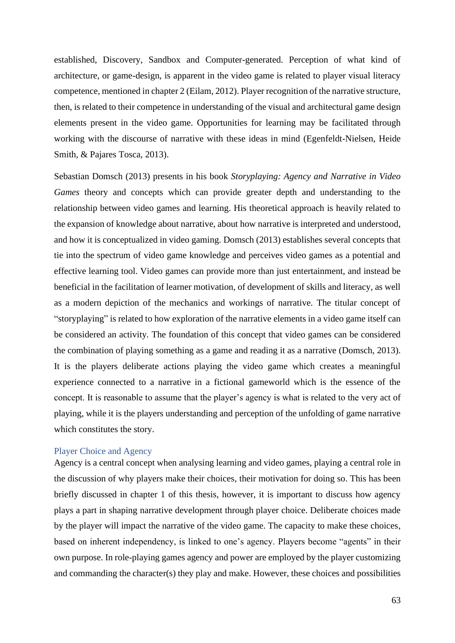established, Discovery, Sandbox and Computer-generated. Perception of what kind of architecture, or game-design, is apparent in the video game is related to player visual literacy competence, mentioned in chapter 2 (Eilam, 2012). Player recognition of the narrative structure, then, is related to their competence in understanding of the visual and architectural game design elements present in the video game. Opportunities for learning may be facilitated through working with the discourse of narrative with these ideas in mind (Egenfeldt-Nielsen, Heide Smith, & Pajares Tosca, 2013).

Sebastian Domsch (2013) presents in his book *Storyplaying: Agency and Narrative in Video Games* theory and concepts which can provide greater depth and understanding to the relationship between video games and learning. His theoretical approach is heavily related to the expansion of knowledge about narrative, about how narrative is interpreted and understood, and how it is conceptualized in video gaming. Domsch (2013) establishes several concepts that tie into the spectrum of video game knowledge and perceives video games as a potential and effective learning tool. Video games can provide more than just entertainment, and instead be beneficial in the facilitation of learner motivation, of development of skills and literacy, as well as a modern depiction of the mechanics and workings of narrative. The titular concept of "storyplaying" is related to how exploration of the narrative elements in a video game itself can be considered an activity*.* The foundation of this concept that video games can be considered the combination of playing something as a game and reading it as a narrative (Domsch, 2013). It is the players deliberate actions playing the video game which creates a meaningful experience connected to a narrative in a fictional gameworld which is the essence of the concept. It is reasonable to assume that the player's agency is what is related to the very act of playing, while it is the players understanding and perception of the unfolding of game narrative which constitutes the story.

### Player Choice and Agency

Agency is a central concept when analysing learning and video games, playing a central role in the discussion of why players make their choices, their motivation for doing so. This has been briefly discussed in chapter 1 of this thesis, however, it is important to discuss how agency plays a part in shaping narrative development through player choice. Deliberate choices made by the player will impact the narrative of the video game. The capacity to make these choices, based on inherent independency, is linked to one's agency. Players become "agents" in their own purpose. In role-playing games agency and power are employed by the player customizing and commanding the character(s) they play and make. However, these choices and possibilities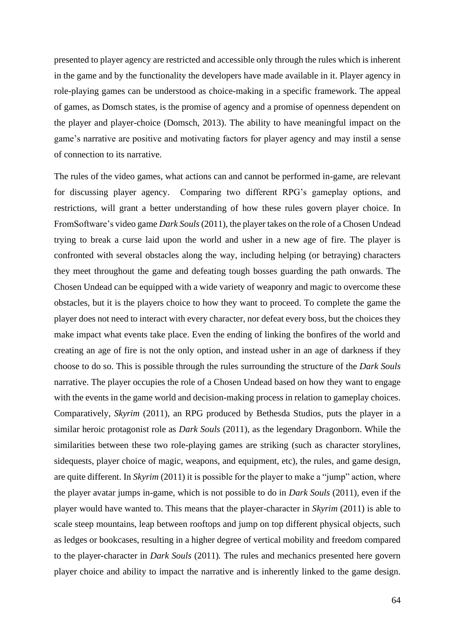presented to player agency are restricted and accessible only through the rules which is inherent in the game and by the functionality the developers have made available in it. Player agency in role-playing games can be understood as choice-making in a specific framework. The appeal of games, as Domsch states, is the promise of agency and a promise of openness dependent on the player and player-choice (Domsch, 2013). The ability to have meaningful impact on the game's narrative are positive and motivating factors for player agency and may instil a sense of connection to its narrative.

The rules of the video games, what actions can and cannot be performed in-game, are relevant for discussing player agency. Comparing two different RPG's gameplay options, and restrictions, will grant a better understanding of how these rules govern player choice. In FromSoftware's video game *Dark Souls*(2011), the player takes on the role of a Chosen Undead trying to break a curse laid upon the world and usher in a new age of fire. The player is confronted with several obstacles along the way, including helping (or betraying) characters they meet throughout the game and defeating tough bosses guarding the path onwards. The Chosen Undead can be equipped with a wide variety of weaponry and magic to overcome these obstacles, but it is the players choice to how they want to proceed. To complete the game the player does not need to interact with every character, nor defeat every boss, but the choices they make impact what events take place. Even the ending of linking the bonfires of the world and creating an age of fire is not the only option, and instead usher in an age of darkness if they choose to do so. This is possible through the rules surrounding the structure of the *Dark Souls*  narrative. The player occupies the role of a Chosen Undead based on how they want to engage with the events in the game world and decision-making process in relation to gameplay choices. Comparatively, *Skyrim* (2011), an RPG produced by Bethesda Studios, puts the player in a similar heroic protagonist role as *Dark Souls* (2011)*,* as the legendary Dragonborn. While the similarities between these two role-playing games are striking (such as character storylines, sidequests, player choice of magic, weapons, and equipment, etc), the rules, and game design, are quite different. In *Skyrim* (2011) it is possible for the player to make a "jump" action, where the player avatar jumps in-game, which is not possible to do in *Dark Souls* (2011)*,* even if the player would have wanted to. This means that the player-character in *Skyrim* (2011) is able to scale steep mountains, leap between rooftops and jump on top different physical objects, such as ledges or bookcases, resulting in a higher degree of vertical mobility and freedom compared to the player-character in *Dark Souls* (2011)*.* The rules and mechanics presented here govern player choice and ability to impact the narrative and is inherently linked to the game design.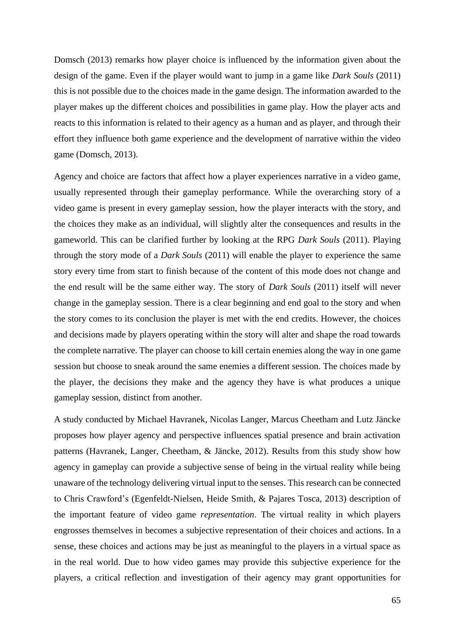Domsch (2013) remarks how player choice is influenced by the information given about the design of the game. Even if the player would want to jump in a game like *Dark Souls* (2011) this is not possible due to the choices made in the game design. The information awarded to the player makes up the different choices and possibilities in game play. How the player acts and reacts to this information is related to their agency as a human and as player, and through their effort they influence both game experience and the development of narrative within the video game (Domsch, 2013).

Agency and choice are factors that affect how a player experiences narrative in a video game, usually represented through their gameplay performance. While the overarching story of a video game is present in every gameplay session, how the player interacts with the story, and the choices they make as an individual, will slightly alter the consequences and results in the gameworld. This can be clarified further by looking at the RPG *Dark Souls* (2011). Playing through the story mode of a *Dark Souls* (2011) will enable the player to experience the same story every time from start to finish because of the content of this mode does not change and the end result will be the same either way. The story of *Dark Souls* (2011) itself will never change in the gameplay session. There is a clear beginning and end goal to the story and when the story comes to its conclusion the player is met with the end credits. However, the choices and decisions made by players operating within the story will alter and shape the road towards the complete narrative. The player can choose to kill certain enemies along the way in one game session but choose to sneak around the same enemies a different session. The choices made by the player, the decisions they make and the agency they have is what produces a unique gameplay session, distinct from another.

A study conducted by Michael Havranek, Nicolas Langer, Marcus Cheetham and Lutz Jäncke proposes how player agency and perspective influences spatial presence and brain activation patterns (Havranek, Langer, Cheetham, & Jäncke, 2012). Results from this study show how agency in gameplay can provide a subjective sense of being in the virtual reality while being unaware of the technology delivering virtual input to the senses. This research can be connected to Chris Crawford's (Egenfeldt-Nielsen, Heide Smith, & Pajares Tosca, 2013) description of the important feature of video game *representation*. The virtual reality in which players engrosses themselves in becomes a subjective representation of their choices and actions. In a sense, these choices and actions may be just as meaningful to the players in a virtual space as in the real world. Due to how video games may provide this subjective experience for the players, a critical reflection and investigation of their agency may grant opportunities for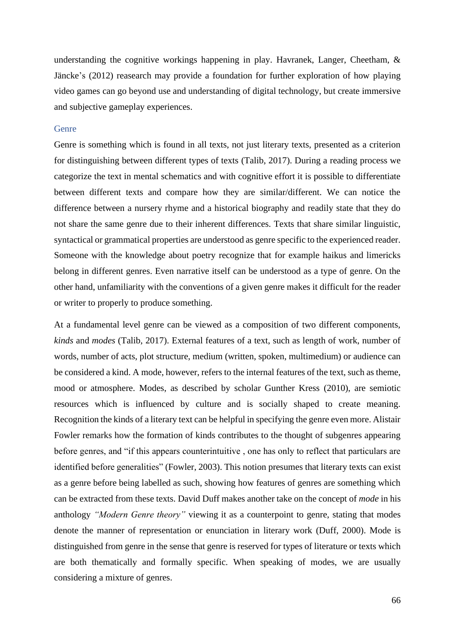understanding the cognitive workings happening in play. Havranek, Langer, Cheetham, & Jäncke's (2012) reasearch may provide a foundation for further exploration of how playing video games can go beyond use and understanding of digital technology, but create immersive and subjective gameplay experiences.

## Genre

Genre is something which is found in all texts, not just literary texts, presented as a criterion for distinguishing between different types of texts (Talib, 2017). During a reading process we categorize the text in mental schematics and with cognitive effort it is possible to differentiate between different texts and compare how they are similar/different. We can notice the difference between a nursery rhyme and a historical biography and readily state that they do not share the same genre due to their inherent differences. Texts that share similar linguistic, syntactical or grammatical properties are understood as genre specific to the experienced reader. Someone with the knowledge about poetry recognize that for example haikus and limericks belong in different genres. Even narrative itself can be understood as a type of genre. On the other hand, unfamiliarity with the conventions of a given genre makes it difficult for the reader or writer to properly to produce something.

At a fundamental level genre can be viewed as a composition of two different components, *kinds* and *modes* (Talib, 2017). External features of a text, such as length of work, number of words, number of acts, plot structure, medium (written, spoken, multimedium) or audience can be considered a kind. A mode, however, refers to the internal features of the text, such as theme, mood or atmosphere. Modes, as described by scholar Gunther Kress (2010), are semiotic resources which is influenced by culture and is socially shaped to create meaning. Recognition the kinds of a literary text can be helpful in specifying the genre even more. Alistair Fowler remarks how the formation of kinds contributes to the thought of subgenres appearing before genres, and "if this appears counterintuitive , one has only to reflect that particulars are identified before generalities" (Fowler, 2003). This notion presumes that literary texts can exist as a genre before being labelled as such, showing how features of genres are something which can be extracted from these texts. David Duff makes another take on the concept of *mode* in his anthology *"Modern Genre theory"* viewing it as a counterpoint to genre, stating that modes denote the manner of representation or enunciation in literary work (Duff, 2000). Mode is distinguished from genre in the sense that genre is reserved for types of literature or texts which are both thematically and formally specific. When speaking of modes, we are usually considering a mixture of genres.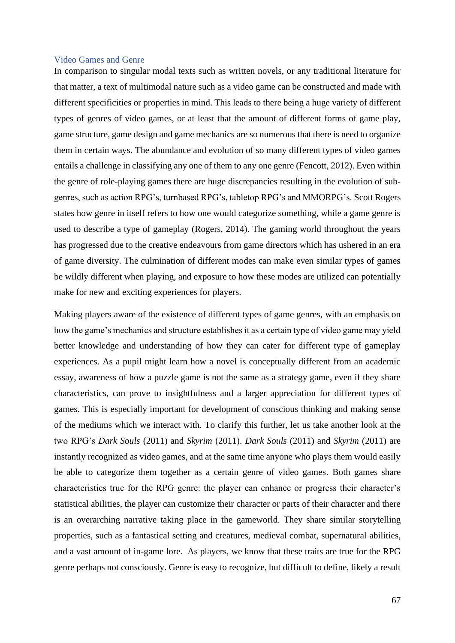## Video Games and Genre

In comparison to singular modal texts such as written novels, or any traditional literature for that matter, a text of multimodal nature such as a video game can be constructed and made with different specificities or properties in mind. This leads to there being a huge variety of different types of genres of video games, or at least that the amount of different forms of game play, game structure, game design and game mechanics are so numerous that there is need to organize them in certain ways. The abundance and evolution of so many different types of video games entails a challenge in classifying any one of them to any one genre (Fencott, 2012). Even within the genre of role-playing games there are huge discrepancies resulting in the evolution of subgenres, such as action RPG's, turnbased RPG's, tabletop RPG's and MMORPG's. Scott Rogers states how genre in itself refers to how one would categorize something, while a game genre is used to describe a type of gameplay (Rogers, 2014). The gaming world throughout the years has progressed due to the creative endeavours from game directors which has ushered in an era of game diversity. The culmination of different modes can make even similar types of games be wildly different when playing, and exposure to how these modes are utilized can potentially make for new and exciting experiences for players.

Making players aware of the existence of different types of game genres, with an emphasis on how the game's mechanics and structure establishes it as a certain type of video game may yield better knowledge and understanding of how they can cater for different type of gameplay experiences. As a pupil might learn how a novel is conceptually different from an academic essay, awareness of how a puzzle game is not the same as a strategy game, even if they share characteristics, can prove to insightfulness and a larger appreciation for different types of games. This is especially important for development of conscious thinking and making sense of the mediums which we interact with. To clarify this further, let us take another look at the two RPG's *Dark Souls* (2011) and *Skyrim* (2011). *Dark Souls* (2011) and *Skyrim* (2011) are instantly recognized as video games, and at the same time anyone who plays them would easily be able to categorize them together as a certain genre of video games. Both games share characteristics true for the RPG genre: the player can enhance or progress their character's statistical abilities, the player can customize their character or parts of their character and there is an overarching narrative taking place in the gameworld. They share similar storytelling properties, such as a fantastical setting and creatures, medieval combat, supernatural abilities, and a vast amount of in-game lore. As players, we know that these traits are true for the RPG genre perhaps not consciously. Genre is easy to recognize, but difficult to define, likely a result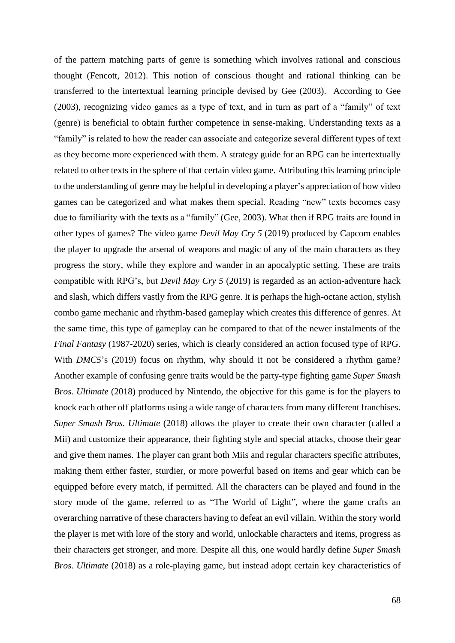of the pattern matching parts of genre is something which involves rational and conscious thought (Fencott, 2012). This notion of conscious thought and rational thinking can be transferred to the intertextual learning principle devised by Gee (2003). According to Gee (2003), recognizing video games as a type of text, and in turn as part of a "family" of text (genre) is beneficial to obtain further competence in sense-making. Understanding texts as a "family" is related to how the reader can associate and categorize several different types of text as they become more experienced with them. A strategy guide for an RPG can be intertextually related to other texts in the sphere of that certain video game. Attributing this learning principle to the understanding of genre may be helpful in developing a player's appreciation of how video games can be categorized and what makes them special. Reading "new" texts becomes easy due to familiarity with the texts as a "family" (Gee, 2003). What then if RPG traits are found in other types of games? The video game *Devil May Cry 5* (2019) produced by Capcom enables the player to upgrade the arsenal of weapons and magic of any of the main characters as they progress the story, while they explore and wander in an apocalyptic setting. These are traits compatible with RPG's, but *Devil May Cry 5* (2019) is regarded as an action-adventure hack and slash, which differs vastly from the RPG genre. It is perhaps the high-octane action, stylish combo game mechanic and rhythm-based gameplay which creates this difference of genres. At the same time, this type of gameplay can be compared to that of the newer instalments of the *Final Fantasy* (1987-2020) series, which is clearly considered an action focused type of RPG. With *DMC5*'s (2019) focus on rhythm, why should it not be considered a rhythm game? Another example of confusing genre traits would be the party-type fighting game *Super Smash Bros. Ultimate* (2018) produced by Nintendo, the objective for this game is for the players to knock each other off platforms using a wide range of characters from many different franchises. *Super Smash Bros. Ultimate* (2018) allows the player to create their own character (called a Mii) and customize their appearance, their fighting style and special attacks, choose their gear and give them names. The player can grant both Miis and regular characters specific attributes, making them either faster, sturdier, or more powerful based on items and gear which can be equipped before every match, if permitted. All the characters can be played and found in the story mode of the game, referred to as "The World of Light"*,* where the game crafts an overarching narrative of these characters having to defeat an evil villain. Within the story world the player is met with lore of the story and world, unlockable characters and items, progress as their characters get stronger, and more. Despite all this, one would hardly define *Super Smash Bros. Ultimate* (2018) as a role-playing game, but instead adopt certain key characteristics of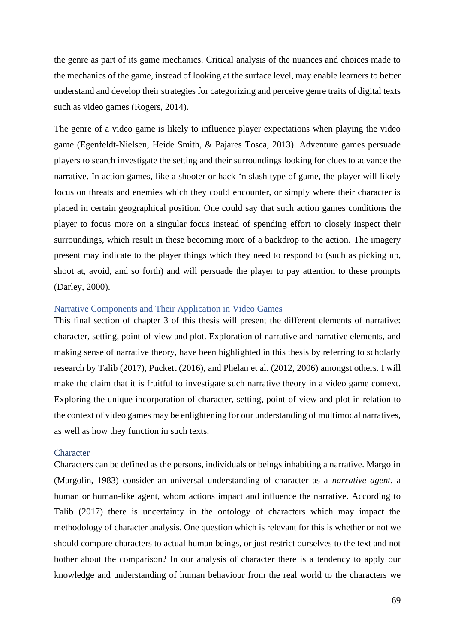the genre as part of its game mechanics. Critical analysis of the nuances and choices made to the mechanics of the game, instead of looking at the surface level, may enable learners to better understand and develop their strategies for categorizing and perceive genre traits of digital texts such as video games (Rogers, 2014).

The genre of a video game is likely to influence player expectations when playing the video game (Egenfeldt-Nielsen, Heide Smith, & Pajares Tosca, 2013). Adventure games persuade players to search investigate the setting and their surroundings looking for clues to advance the narrative. In action games, like a shooter or hack 'n slash type of game, the player will likely focus on threats and enemies which they could encounter, or simply where their character is placed in certain geographical position. One could say that such action games conditions the player to focus more on a singular focus instead of spending effort to closely inspect their surroundings, which result in these becoming more of a backdrop to the action. The imagery present may indicate to the player things which they need to respond to (such as picking up, shoot at, avoid, and so forth) and will persuade the player to pay attention to these prompts (Darley, 2000).

### Narrative Components and Their Application in Video Games

This final section of chapter 3 of this thesis will present the different elements of narrative: character, setting, point-of-view and plot. Exploration of narrative and narrative elements, and making sense of narrative theory, have been highlighted in this thesis by referring to scholarly research by Talib (2017), Puckett (2016), and Phelan et al. (2012, 2006) amongst others. I will make the claim that it is fruitful to investigate such narrative theory in a video game context. Exploring the unique incorporation of character, setting, point-of-view and plot in relation to the context of video games may be enlightening for our understanding of multimodal narratives, as well as how they function in such texts.

### **Character**

Characters can be defined as the persons, individuals or beings inhabiting a narrative. Margolin (Margolin, 1983) consider an universal understanding of character as a *narrative agent*, a human or human-like agent, whom actions impact and influence the narrative. According to Talib (2017) there is uncertainty in the ontology of characters which may impact the methodology of character analysis. One question which is relevant for this is whether or not we should compare characters to actual human beings, or just restrict ourselves to the text and not bother about the comparison? In our analysis of character there is a tendency to apply our knowledge and understanding of human behaviour from the real world to the characters we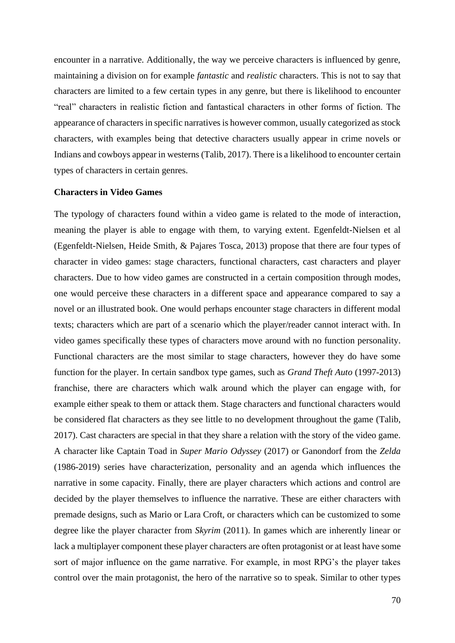encounter in a narrative. Additionally, the way we perceive characters is influenced by genre, maintaining a division on for example *fantastic* and *realistic* characters. This is not to say that characters are limited to a few certain types in any genre, but there is likelihood to encounter "real" characters in realistic fiction and fantastical characters in other forms of fiction. The appearance of characters in specific narratives is however common, usually categorized as stock characters, with examples being that detective characters usually appear in crime novels or Indians and cowboys appear in westerns (Talib, 2017). There is a likelihood to encounter certain types of characters in certain genres.

## **Characters in Video Games**

The typology of characters found within a video game is related to the mode of interaction, meaning the player is able to engage with them, to varying extent. Egenfeldt-Nielsen et al (Egenfeldt-Nielsen, Heide Smith, & Pajares Tosca, 2013) propose that there are four types of character in video games: stage characters, functional characters, cast characters and player characters. Due to how video games are constructed in a certain composition through modes, one would perceive these characters in a different space and appearance compared to say a novel or an illustrated book. One would perhaps encounter stage characters in different modal texts; characters which are part of a scenario which the player/reader cannot interact with. In video games specifically these types of characters move around with no function personality. Functional characters are the most similar to stage characters, however they do have some function for the player. In certain sandbox type games, such as *Grand Theft Auto* (1997-2013) franchise, there are characters which walk around which the player can engage with, for example either speak to them or attack them. Stage characters and functional characters would be considered flat characters as they see little to no development throughout the game (Talib, 2017). Cast characters are special in that they share a relation with the story of the video game. A character like Captain Toad in *Super Mario Odyssey* (2017) or Ganondorf from the *Zelda* (1986-2019) series have characterization, personality and an agenda which influences the narrative in some capacity. Finally, there are player characters which actions and control are decided by the player themselves to influence the narrative. These are either characters with premade designs, such as Mario or Lara Croft, or characters which can be customized to some degree like the player character from *Skyrim* (2011). In games which are inherently linear or lack a multiplayer component these player characters are often protagonist or at least have some sort of major influence on the game narrative. For example, in most RPG's the player takes control over the main protagonist, the hero of the narrative so to speak. Similar to other types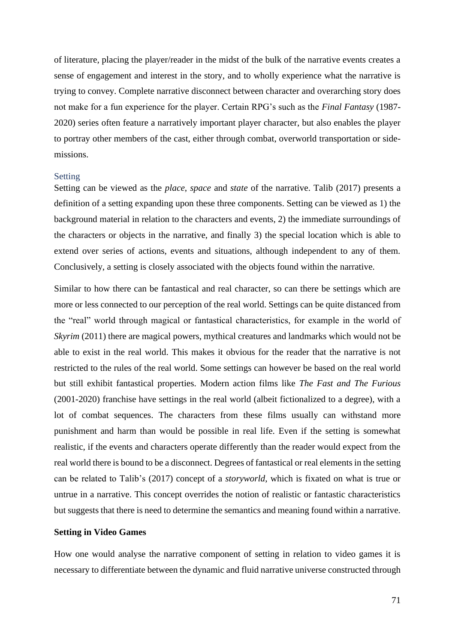of literature, placing the player/reader in the midst of the bulk of the narrative events creates a sense of engagement and interest in the story, and to wholly experience what the narrative is trying to convey. Complete narrative disconnect between character and overarching story does not make for a fun experience for the player. Certain RPG's such as the *Final Fantasy* (1987- 2020) series often feature a narratively important player character, but also enables the player to portray other members of the cast, either through combat, overworld transportation or sidemissions.

### Setting

Setting can be viewed as the *place*, *space* and *state* of the narrative. Talib (2017) presents a definition of a setting expanding upon these three components. Setting can be viewed as 1) the background material in relation to the characters and events, 2) the immediate surroundings of the characters or objects in the narrative, and finally 3) the special location which is able to extend over series of actions, events and situations, although independent to any of them. Conclusively, a setting is closely associated with the objects found within the narrative.

Similar to how there can be fantastical and real character, so can there be settings which are more or less connected to our perception of the real world. Settings can be quite distanced from the "real" world through magical or fantastical characteristics, for example in the world of *Skyrim* (2011) there are magical powers, mythical creatures and landmarks which would not be able to exist in the real world. This makes it obvious for the reader that the narrative is not restricted to the rules of the real world. Some settings can however be based on the real world but still exhibit fantastical properties. Modern action films like *The Fast and The Furious*  (2001-2020) franchise have settings in the real world (albeit fictionalized to a degree), with a lot of combat sequences. The characters from these films usually can withstand more punishment and harm than would be possible in real life. Even if the setting is somewhat realistic, if the events and characters operate differently than the reader would expect from the real world there is bound to be a disconnect. Degrees of fantastical or real elements in the setting can be related to Talib's (2017) concept of a *storyworld*, which is fixated on what is true or untrue in a narrative. This concept overrides the notion of realistic or fantastic characteristics but suggests that there is need to determine the semantics and meaning found within a narrative.

## **Setting in Video Games**

How one would analyse the narrative component of setting in relation to video games it is necessary to differentiate between the dynamic and fluid narrative universe constructed through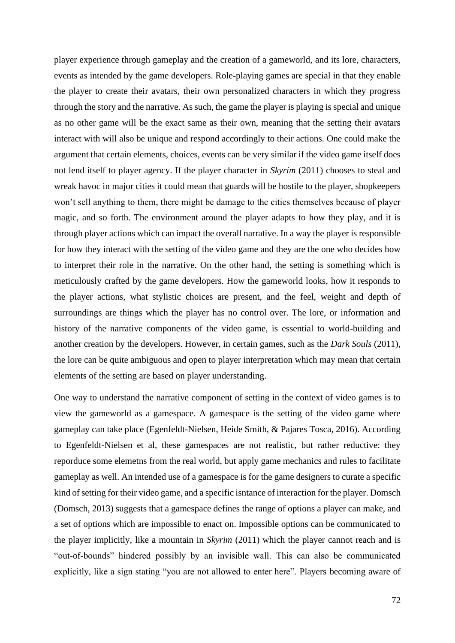player experience through gameplay and the creation of a gameworld, and its lore, characters, events as intended by the game developers. Role-playing games are special in that they enable the player to create their avatars, their own personalized characters in which they progress through the story and the narrative. As such, the game the player is playing is special and unique as no other game will be the exact same as their own, meaning that the setting their avatars interact with will also be unique and respond accordingly to their actions. One could make the argument that certain elements, choices, events can be very similar if the video game itself does not lend itself to player agency. If the player character in *Skyrim* (2011) chooses to steal and wreak havoc in major cities it could mean that guards will be hostile to the player, shopkeepers won't sell anything to them, there might be damage to the cities themselves because of player magic, and so forth. The environment around the player adapts to how they play, and it is through player actions which can impact the overall narrative. In a way the player is responsible for how they interact with the setting of the video game and they are the one who decides how to interpret their role in the narrative. On the other hand, the setting is something which is meticulously crafted by the game developers. How the gameworld looks, how it responds to the player actions, what stylistic choices are present, and the feel, weight and depth of surroundings are things which the player has no control over. The lore, or information and history of the narrative components of the video game, is essential to world-building and another creation by the developers. However, in certain games, such as the *Dark Souls* (2011), the lore can be quite ambiguous and open to player interpretation which may mean that certain elements of the setting are based on player understanding.

One way to understand the narrative component of setting in the context of video games is to view the gameworld as a gamespace. A gamespace is the setting of the video game where gameplay can take place (Egenfeldt-Nielsen, Heide Smith, & Pajares Tosca, 2016). According to Egenfeldt-Nielsen et al, these gamespaces are not realistic, but rather reductive: they reporduce some elemetns from the real world, but apply game mechanics and rules to facilitate gameplay as well. An intended use of a gamespace is for the game designers to curate a specific kind of setting for their video game, and a specific isntance of interaction for the player. Domsch (Domsch, 2013) suggests that a gamespace defines the range of options a player can make, and a set of options which are impossible to enact on. Impossible options can be communicated to the player implicitly, like a mountain in *Skyrim* (2011) which the player cannot reach and is "out-of-bounds" hindered possibly by an invisible wall. This can also be communicated explicitly, like a sign stating "you are not allowed to enter here". Players becoming aware of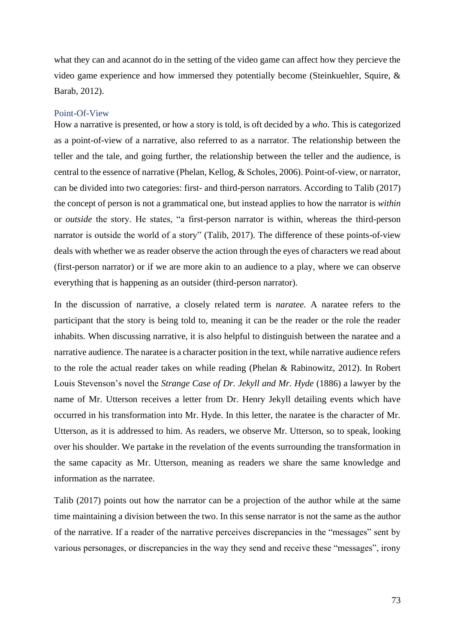what they can and acannot do in the setting of the video game can affect how they percieve the video game experience and how immersed they potentially become (Steinkuehler, Squire, & Barab, 2012).

#### Point-Of-View

How a narrative is presented, or how a story is told, is oft decided by a *who*. This is categorized as a point-of-view of a narrative, also referred to as a narrator. The relationship between the teller and the tale, and going further, the relationship between the teller and the audience, is central to the essence of narrative (Phelan, Kellog, & Scholes, 2006). Point-of-view, or narrator, can be divided into two categories: first- and third-person narrators. According to Talib (2017) the concept of person is not a grammatical one, but instead applies to how the narrator is *within*  or *outside* the story. He states, "a first-person narrator is within, whereas the third-person narrator is outside the world of a story" (Talib, 2017). The difference of these points-of-view deals with whether we as reader observe the action through the eyes of characters we read about (first-person narrator) or if we are more akin to an audience to a play, where we can observe everything that is happening as an outsider (third-person narrator).

In the discussion of narrative, a closely related term is *naratee.* A naratee refers to the participant that the story is being told to, meaning it can be the reader or the role the reader inhabits. When discussing narrative, it is also helpful to distinguish between the naratee and a narrative audience. The naratee is a character position in the text, while narrative audience refers to the role the actual reader takes on while reading (Phelan & Rabinowitz, 2012). In Robert Louis Stevenson's novel the *Strange Case of Dr. Jekyll and Mr. Hyde* (1886) a lawyer by the name of Mr. Utterson receives a letter from Dr. Henry Jekyll detailing events which have occurred in his transformation into Mr. Hyde. In this letter, the naratee is the character of Mr. Utterson, as it is addressed to him. As readers, we observe Mr. Utterson, so to speak, looking over his shoulder. We partake in the revelation of the events surrounding the transformation in the same capacity as Mr. Utterson, meaning as readers we share the same knowledge and information as the narratee.

Talib (2017) points out how the narrator can be a projection of the author while at the same time maintaining a division between the two. In this sense narrator is not the same as the author of the narrative. If a reader of the narrative perceives discrepancies in the "messages" sent by various personages, or discrepancies in the way they send and receive these "messages", irony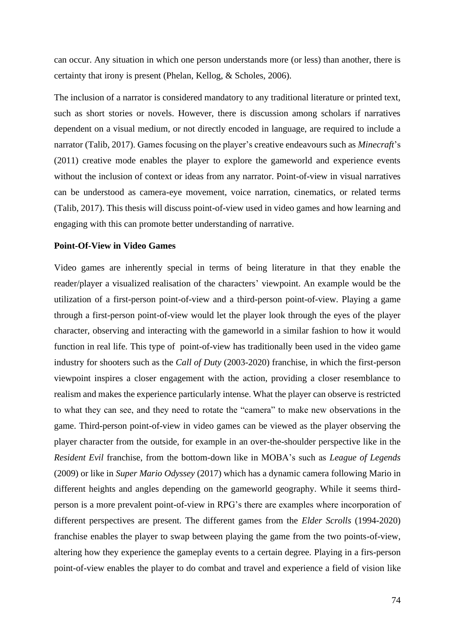can occur. Any situation in which one person understands more (or less) than another, there is certainty that irony is present (Phelan, Kellog, & Scholes, 2006).

The inclusion of a narrator is considered mandatory to any traditional literature or printed text, such as short stories or novels. However, there is discussion among scholars if narratives dependent on a visual medium, or not directly encoded in language, are required to include a narrator (Talib, 2017). Games focusing on the player's creative endeavours such as *Minecraft*'s (2011) creative mode enables the player to explore the gameworld and experience events without the inclusion of context or ideas from any narrator. Point-of-view in visual narratives can be understood as camera-eye movement, voice narration, cinematics, or related terms (Talib, 2017). This thesis will discuss point-of-view used in video games and how learning and engaging with this can promote better understanding of narrative.

#### **Point-Of-View in Video Games**

Video games are inherently special in terms of being literature in that they enable the reader/player a visualized realisation of the characters' viewpoint. An example would be the utilization of a first-person point-of-view and a third-person point-of-view. Playing a game through a first-person point-of-view would let the player look through the eyes of the player character, observing and interacting with the gameworld in a similar fashion to how it would function in real life. This type of point-of-view has traditionally been used in the video game industry for shooters such as the *Call of Duty* (2003-2020) franchise, in which the first-person viewpoint inspires a closer engagement with the action, providing a closer resemblance to realism and makes the experience particularly intense. What the player can observe is restricted to what they can see, and they need to rotate the "camera" to make new observations in the game. Third-person point-of-view in video games can be viewed as the player observing the player character from the outside, for example in an over-the-shoulder perspective like in the *Resident Evil* franchise, from the bottom-down like in MOBA's such as *League of Legends* (2009) or like in *Super Mario Odyssey* (2017) which has a dynamic camera following Mario in different heights and angles depending on the gameworld geography. While it seems thirdperson is a more prevalent point-of-view in RPG's there are examples where incorporation of different perspectives are present. The different games from the *Elder Scrolls* (1994-2020) franchise enables the player to swap between playing the game from the two points-of-view, altering how they experience the gameplay events to a certain degree. Playing in a firs-person point-of-view enables the player to do combat and travel and experience a field of vision like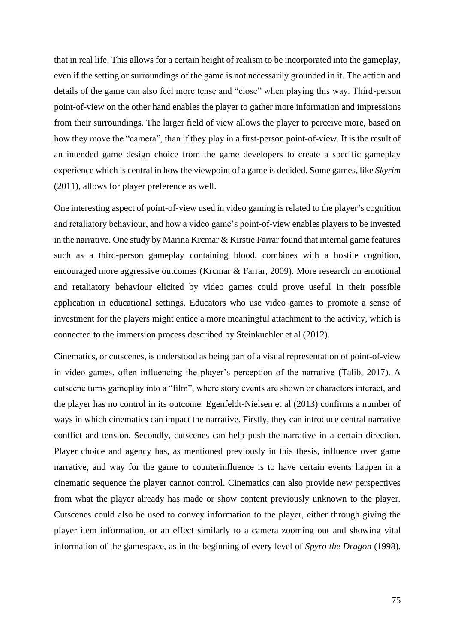that in real life. This allows for a certain height of realism to be incorporated into the gameplay, even if the setting or surroundings of the game is not necessarily grounded in it. The action and details of the game can also feel more tense and "close" when playing this way. Third-person point-of-view on the other hand enables the player to gather more information and impressions from their surroundings. The larger field of view allows the player to perceive more, based on how they move the "camera", than if they play in a first-person point-of-view. It is the result of an intended game design choice from the game developers to create a specific gameplay experience which is central in how the viewpoint of a game is decided. Some games, like *Skyrim*  (2011), allows for player preference as well.

One interesting aspect of point-of-view used in video gaming is related to the player's cognition and retaliatory behaviour, and how a video game's point-of-view enables players to be invested in the narrative. One study by Marina Krcmar & Kirstie Farrar found that internal game features such as a third-person gameplay containing blood, combines with a hostile cognition, encouraged more aggressive outcomes (Krcmar & Farrar, 2009). More research on emotional and retaliatory behaviour elicited by video games could prove useful in their possible application in educational settings. Educators who use video games to promote a sense of investment for the players might entice a more meaningful attachment to the activity, which is connected to the immersion process described by Steinkuehler et al (2012).

Cinematics, or cutscenes, is understood as being part of a visual representation of point-of-view in video games, often influencing the player's perception of the narrative (Talib, 2017). A cutscene turns gameplay into a "film", where story events are shown or characters interact, and the player has no control in its outcome. Egenfeldt-Nielsen et al (2013) confirms a number of ways in which cinematics can impact the narrative. Firstly, they can introduce central narrative conflict and tension. Secondly, cutscenes can help push the narrative in a certain direction. Player choice and agency has, as mentioned previously in this thesis, influence over game narrative, and way for the game to counterinfluence is to have certain events happen in a cinematic sequence the player cannot control. Cinematics can also provide new perspectives from what the player already has made or show content previously unknown to the player. Cutscenes could also be used to convey information to the player, either through giving the player item information, or an effect similarly to a camera zooming out and showing vital information of the gamespace, as in the beginning of every level of *Spyro the Dragon* (1998)*.*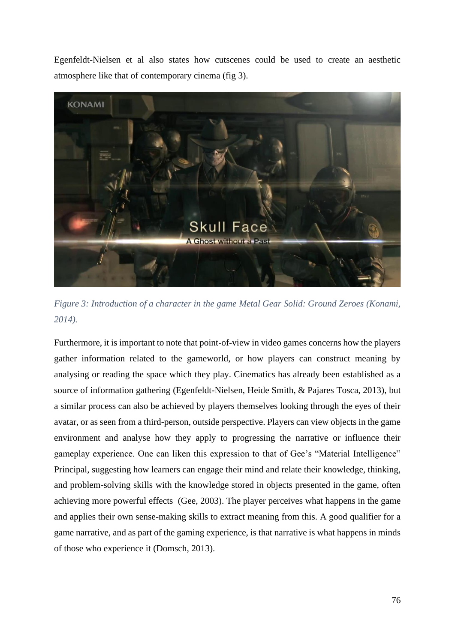Egenfeldt-Nielsen et al also states how cutscenes could be used to create an aesthetic atmosphere like that of contemporary cinema (fig 3).



*Figure 3: Introduction of a character in the game Metal Gear Solid: Ground Zeroes (Konami, 2014).* 

Furthermore, it is important to note that point-of-view in video games concerns how the players gather information related to the gameworld, or how players can construct meaning by analysing or reading the space which they play. Cinematics has already been established as a source of information gathering (Egenfeldt-Nielsen, Heide Smith, & Pajares Tosca, 2013), but a similar process can also be achieved by players themselves looking through the eyes of their avatar, or as seen from a third-person, outside perspective. Players can view objects in the game environment and analyse how they apply to progressing the narrative or influence their gameplay experience. One can liken this expression to that of Gee's "Material Intelligence" Principal, suggesting how learners can engage their mind and relate their knowledge, thinking, and problem-solving skills with the knowledge stored in objects presented in the game, often achieving more powerful effects (Gee, 2003). The player perceives what happens in the game and applies their own sense-making skills to extract meaning from this. A good qualifier for a game narrative, and as part of the gaming experience, is that narrative is what happens in minds of those who experience it (Domsch, 2013).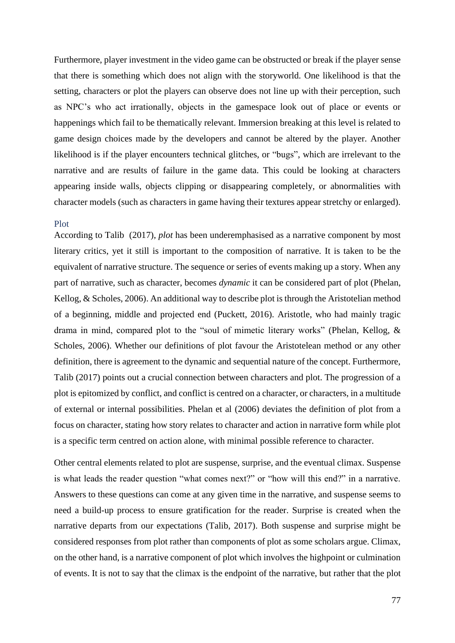Furthermore, player investment in the video game can be obstructed or break if the player sense that there is something which does not align with the storyworld. One likelihood is that the setting, characters or plot the players can observe does not line up with their perception, such as NPC's who act irrationally, objects in the gamespace look out of place or events or happenings which fail to be thematically relevant. Immersion breaking at this level is related to game design choices made by the developers and cannot be altered by the player. Another likelihood is if the player encounters technical glitches, or "bugs", which are irrelevant to the narrative and are results of failure in the game data. This could be looking at characters appearing inside walls, objects clipping or disappearing completely, or abnormalities with character models (such as characters in game having their textures appear stretchy or enlarged).

#### Plot

According to Talib (2017), *plot* has been underemphasised as a narrative component by most literary critics, yet it still is important to the composition of narrative. It is taken to be the equivalent of narrative structure. The sequence or series of events making up a story. When any part of narrative, such as character, becomes *dynamic* it can be considered part of plot (Phelan, Kellog, & Scholes, 2006). An additional way to describe plot is through the Aristotelian method of a beginning, middle and projected end (Puckett, 2016). Aristotle, who had mainly tragic drama in mind, compared plot to the "soul of mimetic literary works" (Phelan, Kellog, & Scholes, 2006). Whether our definitions of plot favour the Aristotelean method or any other definition, there is agreement to the dynamic and sequential nature of the concept. Furthermore, Talib (2017) points out a crucial connection between characters and plot. The progression of a plot is epitomized by conflict, and conflict is centred on a character, or characters, in a multitude of external or internal possibilities. Phelan et al (2006) deviates the definition of plot from a focus on character, stating how story relates to character and action in narrative form while plot is a specific term centred on action alone, with minimal possible reference to character.

Other central elements related to plot are suspense, surprise, and the eventual climax. Suspense is what leads the reader question "what comes next?" or "how will this end?" in a narrative. Answers to these questions can come at any given time in the narrative, and suspense seems to need a build-up process to ensure gratification for the reader. Surprise is created when the narrative departs from our expectations (Talib, 2017). Both suspense and surprise might be considered responses from plot rather than components of plot as some scholars argue. Climax, on the other hand, is a narrative component of plot which involves the highpoint or culmination of events. It is not to say that the climax is the endpoint of the narrative, but rather that the plot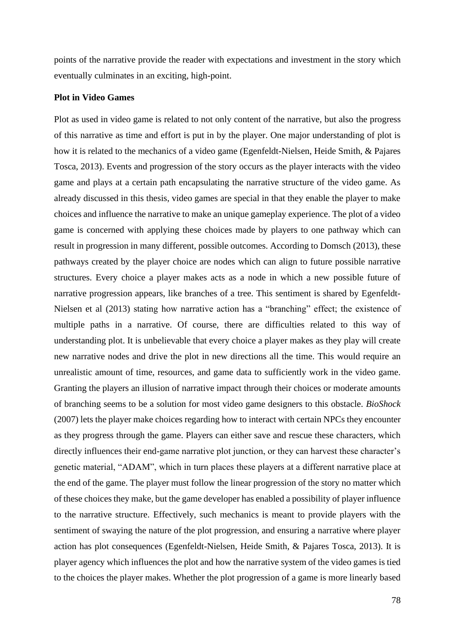points of the narrative provide the reader with expectations and investment in the story which eventually culminates in an exciting, high-point.

### **Plot in Video Games**

Plot as used in video game is related to not only content of the narrative, but also the progress of this narrative as time and effort is put in by the player. One major understanding of plot is how it is related to the mechanics of a video game (Egenfeldt-Nielsen, Heide Smith, & Pajares Tosca, 2013). Events and progression of the story occurs as the player interacts with the video game and plays at a certain path encapsulating the narrative structure of the video game. As already discussed in this thesis, video games are special in that they enable the player to make choices and influence the narrative to make an unique gameplay experience. The plot of a video game is concerned with applying these choices made by players to one pathway which can result in progression in many different, possible outcomes. According to Domsch (2013), these pathways created by the player choice are nodes which can align to future possible narrative structures. Every choice a player makes acts as a node in which a new possible future of narrative progression appears, like branches of a tree. This sentiment is shared by Egenfeldt-Nielsen et al (2013) stating how narrative action has a "branching" effect; the existence of multiple paths in a narrative. Of course, there are difficulties related to this way of understanding plot. It is unbelievable that every choice a player makes as they play will create new narrative nodes and drive the plot in new directions all the time. This would require an unrealistic amount of time, resources, and game data to sufficiently work in the video game. Granting the players an illusion of narrative impact through their choices or moderate amounts of branching seems to be a solution for most video game designers to this obstacle. *BioShock* (2007) lets the player make choices regarding how to interact with certain NPCs they encounter as they progress through the game. Players can either save and rescue these characters, which directly influences their end-game narrative plot junction, or they can harvest these character's genetic material, "ADAM", which in turn places these players at a different narrative place at the end of the game. The player must follow the linear progression of the story no matter which of these choices they make, but the game developer has enabled a possibility of player influence to the narrative structure. Effectively, such mechanics is meant to provide players with the sentiment of swaying the nature of the plot progression, and ensuring a narrative where player action has plot consequences (Egenfeldt-Nielsen, Heide Smith, & Pajares Tosca, 2013). It is player agency which influences the plot and how the narrative system of the video games is tied to the choices the player makes. Whether the plot progression of a game is more linearly based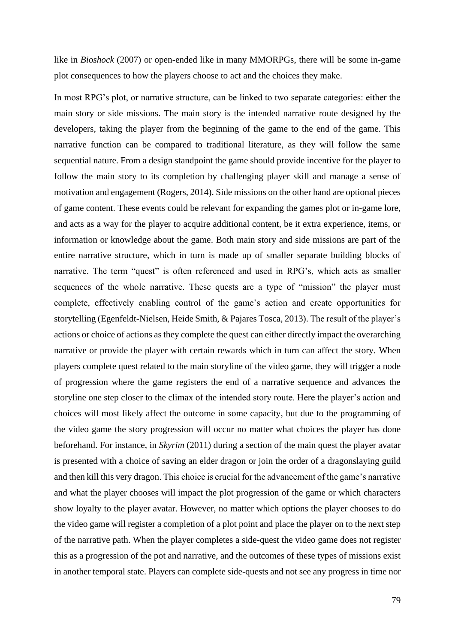like in *Bioshock* (2007) or open-ended like in many MMORPGs, there will be some in-game plot consequences to how the players choose to act and the choices they make.

In most RPG's plot, or narrative structure, can be linked to two separate categories: either the main story or side missions. The main story is the intended narrative route designed by the developers, taking the player from the beginning of the game to the end of the game. This narrative function can be compared to traditional literature, as they will follow the same sequential nature. From a design standpoint the game should provide incentive for the player to follow the main story to its completion by challenging player skill and manage a sense of motivation and engagement (Rogers, 2014). Side missions on the other hand are optional pieces of game content. These events could be relevant for expanding the games plot or in-game lore, and acts as a way for the player to acquire additional content, be it extra experience, items, or information or knowledge about the game. Both main story and side missions are part of the entire narrative structure, which in turn is made up of smaller separate building blocks of narrative. The term "quest" is often referenced and used in RPG's, which acts as smaller sequences of the whole narrative. These quests are a type of "mission" the player must complete, effectively enabling control of the game's action and create opportunities for storytelling (Egenfeldt-Nielsen, Heide Smith, & Pajares Tosca, 2013). The result of the player's actions or choice of actions as they complete the quest can either directly impact the overarching narrative or provide the player with certain rewards which in turn can affect the story. When players complete quest related to the main storyline of the video game, they will trigger a node of progression where the game registers the end of a narrative sequence and advances the storyline one step closer to the climax of the intended story route. Here the player's action and choices will most likely affect the outcome in some capacity, but due to the programming of the video game the story progression will occur no matter what choices the player has done beforehand. For instance, in *Skyrim* (2011) during a section of the main quest the player avatar is presented with a choice of saving an elder dragon or join the order of a dragonslaying guild and then kill this very dragon. This choice is crucial for the advancement of the game's narrative and what the player chooses will impact the plot progression of the game or which characters show loyalty to the player avatar. However, no matter which options the player chooses to do the video game will register a completion of a plot point and place the player on to the next step of the narrative path. When the player completes a side-quest the video game does not register this as a progression of the pot and narrative, and the outcomes of these types of missions exist in another temporal state. Players can complete side-quests and not see any progress in time nor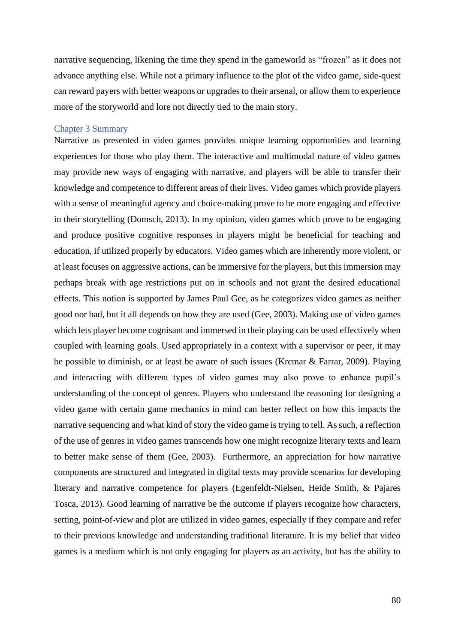narrative sequencing, likening the time they spend in the gameworld as "frozen" as it does not advance anything else. While not a primary influence to the plot of the video game, side-quest can reward payers with better weapons or upgrades to their arsenal, or allow them to experience more of the storyworld and lore not directly tied to the main story.

### Chapter 3 Summary

Narrative as presented in video games provides unique learning opportunities and learning experiences for those who play them. The interactive and multimodal nature of video games may provide new ways of engaging with narrative, and players will be able to transfer their knowledge and competence to different areas of their lives. Video games which provide players with a sense of meaningful agency and choice-making prove to be more engaging and effective in their storytelling (Domsch, 2013). In my opinion, video games which prove to be engaging and produce positive cognitive responses in players might be beneficial for teaching and education, if utilized properly by educators. Video games which are inherently more violent, or at least focuses on aggressive actions, can be immersive for the players, but this immersion may perhaps break with age restrictions put on in schools and not grant the desired educational effects. This notion is supported by James Paul Gee, as he categorizes video games as neither good nor bad, but it all depends on how they are used (Gee, 2003). Making use of video games which lets player become cognisant and immersed in their playing can be used effectively when coupled with learning goals. Used appropriately in a context with a supervisor or peer, it may be possible to diminish, or at least be aware of such issues (Krcmar & Farrar, 2009). Playing and interacting with different types of video games may also prove to enhance pupil's understanding of the concept of genres. Players who understand the reasoning for designing a video game with certain game mechanics in mind can better reflect on how this impacts the narrative sequencing and what kind of story the video game is trying to tell. As such, a reflection of the use of genres in video games transcends how one might recognize literary texts and learn to better make sense of them (Gee, 2003). Furthermore, an appreciation for how narrative components are structured and integrated in digital texts may provide scenarios for developing literary and narrative competence for players (Egenfeldt-Nielsen, Heide Smith, & Pajares Tosca, 2013). Good learning of narrative be the outcome if players recognize how characters, setting, point-of-view and plot are utilized in video games, especially if they compare and refer to their previous knowledge and understanding traditional literature. It is my belief that video games is a medium which is not only engaging for players as an activity, but has the ability to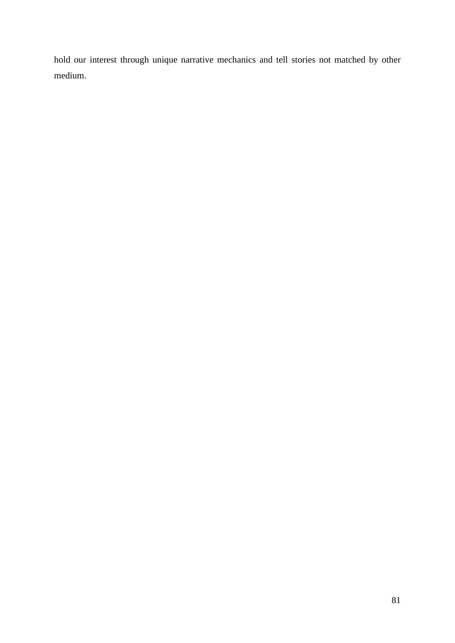hold our interest through unique narrative mechanics and tell stories not matched by other medium.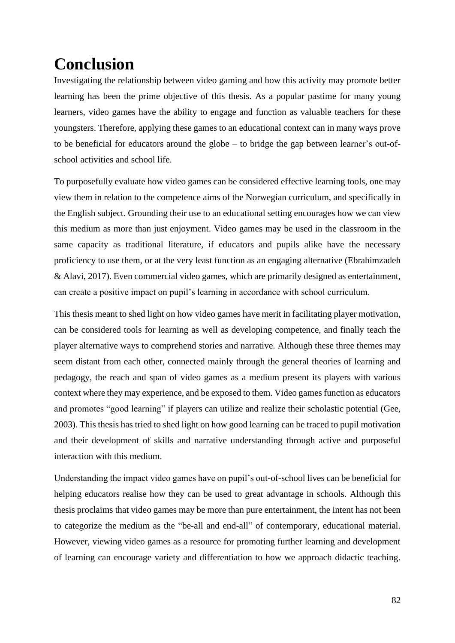# **Conclusion**

Investigating the relationship between video gaming and how this activity may promote better learning has been the prime objective of this thesis. As a popular pastime for many young learners, video games have the ability to engage and function as valuable teachers for these youngsters. Therefore, applying these games to an educational context can in many ways prove to be beneficial for educators around the globe – to bridge the gap between learner's out-ofschool activities and school life.

To purposefully evaluate how video games can be considered effective learning tools, one may view them in relation to the competence aims of the Norwegian curriculum, and specifically in the English subject. Grounding their use to an educational setting encourages how we can view this medium as more than just enjoyment. Video games may be used in the classroom in the same capacity as traditional literature, if educators and pupils alike have the necessary proficiency to use them, or at the very least function as an engaging alternative (Ebrahimzadeh & Alavi, 2017). Even commercial video games, which are primarily designed as entertainment, can create a positive impact on pupil's learning in accordance with school curriculum.

This thesis meant to shed light on how video games have merit in facilitating player motivation, can be considered tools for learning as well as developing competence, and finally teach the player alternative ways to comprehend stories and narrative. Although these three themes may seem distant from each other, connected mainly through the general theories of learning and pedagogy, the reach and span of video games as a medium present its players with various context where they may experience, and be exposed to them. Video games function as educators and promotes "good learning" if players can utilize and realize their scholastic potential (Gee, 2003). This thesis has tried to shed light on how good learning can be traced to pupil motivation and their development of skills and narrative understanding through active and purposeful interaction with this medium.

Understanding the impact video games have on pupil's out-of-school lives can be beneficial for helping educators realise how they can be used to great advantage in schools. Although this thesis proclaims that video games may be more than pure entertainment, the intent has not been to categorize the medium as the "be-all and end-all" of contemporary, educational material. However, viewing video games as a resource for promoting further learning and development of learning can encourage variety and differentiation to how we approach didactic teaching.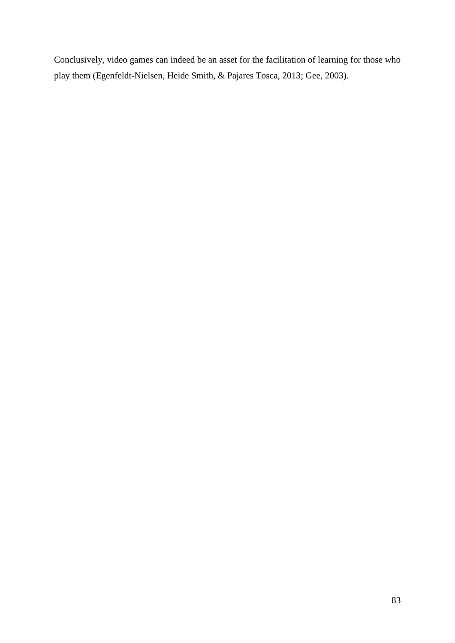Conclusively, video games can indeed be an asset for the facilitation of learning for those who play them (Egenfeldt-Nielsen, Heide Smith, & Pajares Tosca, 2013; Gee, 2003).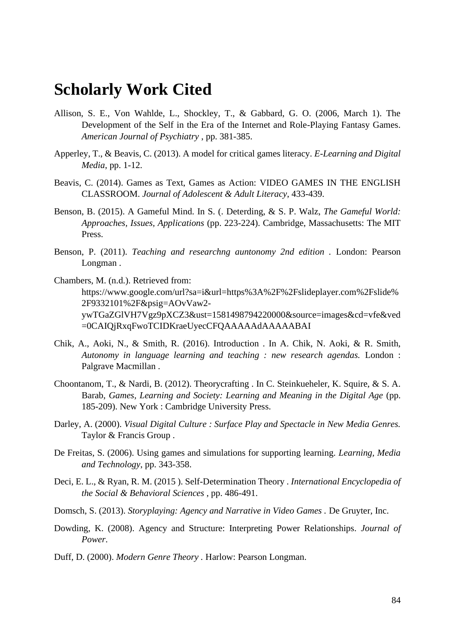# **Scholarly Work Cited**

- Allison, S. E., Von Wahlde, L., Shockley, T., & Gabbard, G. O. (2006, March 1). The Development of the Self in the Era of the Internet and Role-Playing Fantasy Games. *American Journal of Psychiatry* , pp. 381-385.
- Apperley, T., & Beavis, C. (2013). A model for critical games literacy. *E-Learning and Digital Media*, pp. 1-12.
- Beavis, C. (2014). Games as Text, Games as Action: VIDEO GAMES IN THE ENGLISH CLASSROOM. *Journal of Adolescent & Adult Literacy*, 433-439.
- Benson, B. (2015). A Gameful Mind. In S. (. Deterding, & S. P. Walz, *The Gameful World: Approaches, Issues, Applications* (pp. 223-224). Cambridge, Massachusetts: The MIT Press.
- Benson, P. (2011). *Teaching and researchng auntonomy 2nd edition .* London: Pearson Longman .
- Chambers, M. (n.d.). Retrieved from: https://www.google.com/url?sa=i&url=https%3A%2F%2Fslideplayer.com%2Fslide% 2F9332101%2F&psig=AOvVaw2 ywTGaZGlVH7Vgz9pXCZ3&ust=1581498794220000&source=images&cd=vfe&ved =0CAIQjRxqFwoTCIDKraeUyecCFQAAAAAdAAAAABAI
- Chik, A., Aoki, N., & Smith, R. (2016). Introduction . In A. Chik, N. Aoki, & R. Smith, *Autonomy in language learning and teaching : new research agendas.* London : Palgrave Macmillan .
- Choontanom, T., & Nardi, B. (2012). Theorycrafting . In C. Steinkueheler, K. Squire, & S. A. Barab, *Games, Learning and Society: Learning and Meaning in the Digital Age* (pp. 185-209). New York : Cambridge University Press.
- Darley, A. (2000). *Visual Digital Culture : Surface Play and Spectacle in New Media Genres.* Taylor & Francis Group .
- De Freitas, S. (2006). Using games and simulations for supporting learning. *Learning, Media and Technology*, pp. 343-358.
- Deci, E. L., & Ryan, R. M. (2015 ). Self-Determination Theory . *International Encyclopedia of the Social & Behavioral Sciences* , pp. 486-491.
- Domsch, S. (2013). *Storyplaying: Agency and Narrative in Video Games .* De Gruyter, Inc.
- Dowding, K. (2008). Agency and Structure: Interpreting Power Relationships. *Journal of Power*.
- Duff, D. (2000). *Modern Genre Theory .* Harlow: Pearson Longman.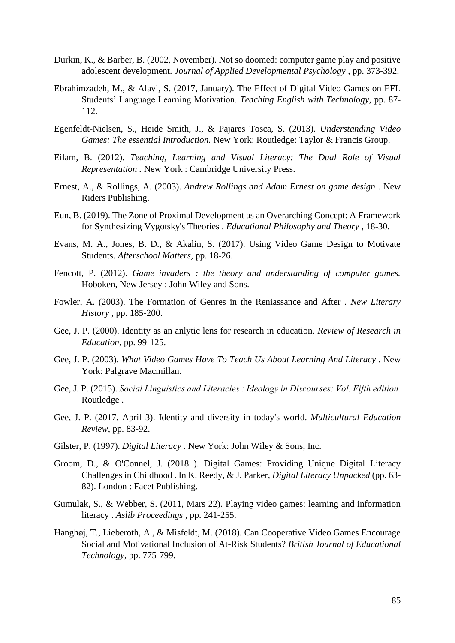- Durkin, K., & Barber, B. (2002, November). Not so doomed: computer game play and positive adolescent development. *Journal of Applied Developmental Psychology* , pp. 373-392.
- Ebrahimzadeh, M., & Alavi, S. (2017, January). The Effect of Digital Video Games on EFL Students' Language Learning Motivation. *Teaching English with Technology*, pp. 87- 112.
- Egenfeldt-Nielsen, S., Heide Smith, J., & Pajares Tosca, S. (2013). *Understanding Video Games: The essential Introduction.* New York: Routledge: Taylor & Francis Group.
- Eilam, B. (2012). *Teaching, Learning and Visual Literacy: The Dual Role of Visual Representation .* New York : Cambridge University Press.
- Ernest, A., & Rollings, A. (2003). *Andrew Rollings and Adam Ernest on game design .* New Riders Publishing.
- Eun, B. (2019). The Zone of Proximal Development as an Overarching Concept: A Framework for Synthesizing Vygotsky's Theories . *Educational Philosophy and Theory* , 18-30.
- Evans, M. A., Jones, B. D., & Akalin, S. (2017). Using Video Game Design to Motivate Students. *Afterschool Matters*, pp. 18-26.
- Fencott, P. (2012). *Game invaders : the theory and understanding of computer games.* Hoboken, New Jersey : John Wiley and Sons.
- Fowler, A. (2003). The Formation of Genres in the Reniassance and After . *New Literary History* , pp. 185-200.
- Gee, J. P. (2000). Identity as an anlytic lens for research in education. *Review of Research in Education*, pp. 99-125.
- Gee, J. P. (2003). *What Video Games Have To Teach Us About Learning And Literacy .* New York: Palgrave Macmillan.
- Gee, J. P. (2015). *Social Linguistics and Literacies : Ideology in Discourses: Vol. Fifth edition.* Routledge .
- Gee, J. P. (2017, April 3). Identity and diversity in today's world. *Multicultural Education Review*, pp. 83-92.
- Gilster, P. (1997). *Digital Literacy .* New York: John Wiley & Sons, Inc.
- Groom, D., & O'Connel, J. (2018 ). Digital Games: Providing Unique Digital Literacy Challenges in Childhood . In K. Reedy, & J. Parker, *Digital Literacy Unpacked* (pp. 63- 82). London : Facet Publishing.
- Gumulak, S., & Webber, S. (2011, Mars 22). Playing video games: learning and information literacy . *Aslib Proceedings* , pp. 241-255.
- Hanghøj, T., Lieberoth, A., & Misfeldt, M. (2018). Can Cooperative Video Games Encourage Social and Motivational Inclusion of At-Risk Students? *British Journal of Educational Technology*, pp. 775-799.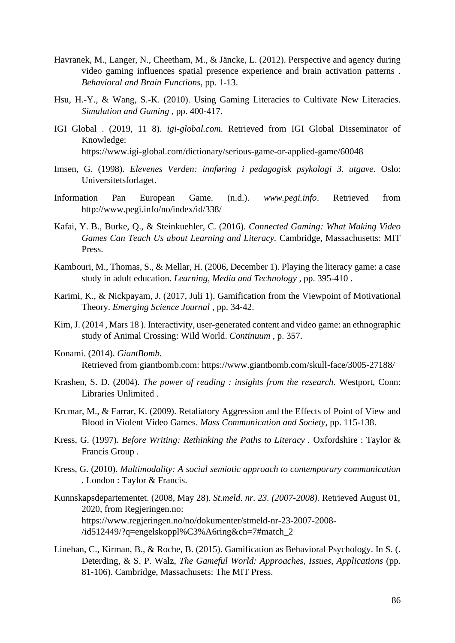- Havranek, M., Langer, N., Cheetham, M., & Jäncke, L. (2012). Perspective and agency during video gaming influences spatial presence experience and brain activation patterns . *Behavioral and Brain Functions*, pp. 1-13.
- Hsu, H.-Y., & Wang, S.-K. (2010). Using Gaming Literacies to Cultivate New Literacies. *Simulation and Gaming* , pp. 400-417.
- IGI Global . (2019, 11 8). *igi-global.com*. Retrieved from IGI Global Disseminator of Knowledge: https://www.igi-global.com/dictionary/serious-game-or-applied-game/60048
- Imsen, G. (1998). *Elevenes Verden: innføring i pedagogisk psykologi 3. utgave.* Oslo: Universitetsforlaget.
- Information Pan European Game. (n.d.). *www.pegi.info*. Retrieved from http://www.pegi.info/no/index/id/338/
- Kafai, Y. B., Burke, Q., & Steinkuehler, C. (2016). *Connected Gaming: What Making Video Games Can Teach Us about Learning and Literacy.* Cambridge, Massachusetts: MIT Press.
- Kambouri, M., Thomas, S., & Mellar, H. (2006, December 1). Playing the literacy game: a case study in adult education. *Learning, Media and Technology* , pp. 395-410 .
- Karimi, K., & Nickpayam, J. (2017, Juli 1). Gamification from the Viewpoint of Motivational Theory. *Emerging Science Journal* , pp. 34-42.
- Kim, J. (2014 , Mars 18 ). Interactivity, user-generated content and video game: an ethnographic study of Animal Crossing: Wild World. *Continuum* , p. 357.
- Konami. (2014). *GiantBomb.* Retrieved from giantbomb.com: https://www.giantbomb.com/skull-face/3005-27188/
- Krashen, S. D. (2004). *The power of reading : insights from the research.* Westport, Conn: Libraries Unlimited .
- Krcmar, M., & Farrar, K. (2009). Retaliatory Aggression and the Effects of Point of View and Blood in Violent Video Games. *Mass Communication and Society*, pp. 115-138.
- Kress, G. (1997). *Before Writing: Rethinking the Paths to Literacy .* Oxfordshire : Taylor & Francis Group .
- Kress, G. (2010). *Multimodality: A social semiotic approach to contemporary communication .* London : Taylor & Francis.
- Kunnskapsdepartementet. (2008, May 28). *St.meld. nr. 23. (2007-2008).* Retrieved August 01, 2020, from Regjeringen.no: https://www.regjeringen.no/no/dokumenter/stmeld-nr-23-2007-2008- /id512449/?q=engelskoppl%C3%A6ring&ch=7#match\_2
- Linehan, C., Kirman, B., & Roche, B. (2015). Gamification as Behavioral Psychology. In S. (. Deterding, & S. P. Walz, *The Gameful World: Approaches, Issues, Applications* (pp. 81-106). Cambridge, Massachusets: The MIT Press.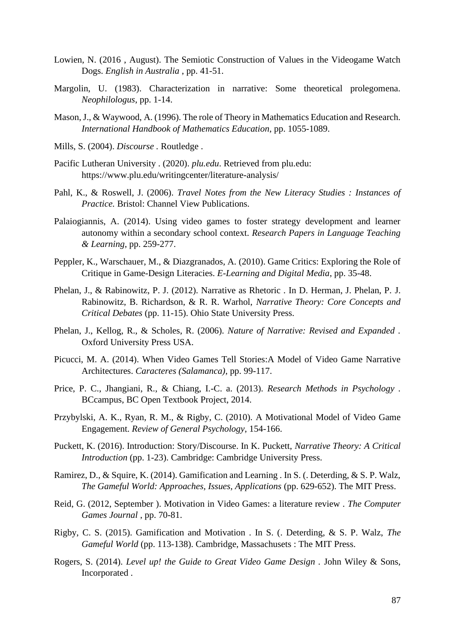- Lowien, N. (2016 , August). The Semiotic Construction of Values in the Videogame Watch Dogs. *English in Australia* , pp. 41-51.
- Margolin, U. (1983). Characterization in narrative: Some theoretical prolegomena. *Neophilologus*, pp. 1-14.
- Mason, J., & Waywood, A. (1996). The role of Theory in Mathematics Education and Research. *International Handbook of Mathematics Education*, pp. 1055-1089.
- Mills, S. (2004). *Discourse .* Routledge .
- Pacific Lutheran University . (2020). *plu.edu*. Retrieved from plu.edu: https://www.plu.edu/writingcenter/literature-analysis/
- Pahl, K., & Roswell, J. (2006). *Travel Notes from the New Literacy Studies : Instances of Practice.* Bristol: Channel View Publications.
- Palaiogiannis, A. (2014). Using video games to foster strategy development and learner autonomy within a secondary school context. *Research Papers in Language Teaching & Learning*, pp. 259-277.
- Peppler, K., Warschauer, M., & Diazgranados, A. (2010). Game Critics: Exploring the Role of Critique in Game-Design Literacies. *E-Learning and Digital Media*, pp. 35-48.
- Phelan, J., & Rabinowitz, P. J. (2012). Narrative as Rhetoric . In D. Herman, J. Phelan, P. J. Rabinowitz, B. Richardson, & R. R. Warhol, *Narrative Theory: Core Concepts and Critical Debates* (pp. 11-15). Ohio State University Press.
- Phelan, J., Kellog, R., & Scholes, R. (2006). *Nature of Narrative: Revised and Expanded .* Oxford University Press USA.
- Picucci, M. A. (2014). When Video Games Tell Stories:A Model of Video Game Narrative Architectures. *Caracteres (Salamanca)*, pp. 99-117.
- Price, P. C., Jhangiani, R., & Chiang, I.-C. a. (2013). *Research Methods in Psychology .* BCcampus, BC Open Textbook Project, 2014.
- Przybylski, A. K., Ryan, R. M., & Rigby, C. (2010). A Motivational Model of Video Game Engagement. *Review of General Psychology*, 154-166.
- Puckett, K. (2016). Introduction: Story/Discourse. In K. Puckett, *Narrative Theory: A Critical Introduction* (pp. 1-23). Cambridge: Cambridge University Press.
- Ramirez, D., & Squire, K. (2014). Gamification and Learning . In S. (. Deterding, & S. P. Walz, *The Gameful World: Approaches, Issues, Applications* (pp. 629-652). The MIT Press.
- Reid, G. (2012, September ). Motivation in Video Games: a literature review . *The Computer Games Journal* , pp. 70-81.
- Rigby, C. S. (2015). Gamification and Motivation . In S. (. Deterding, & S. P. Walz, *The Gameful World* (pp. 113-138). Cambridge, Massachusets : The MIT Press.
- Rogers, S. (2014). *Level up! the Guide to Great Video Game Design .* John Wiley & Sons, Incorporated .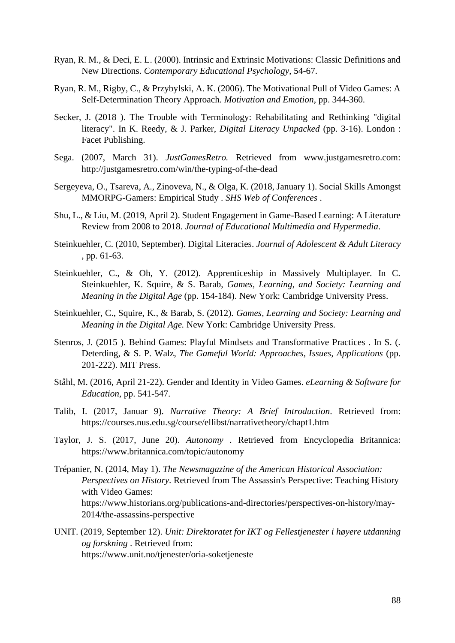- Ryan, R. M., & Deci, E. L. (2000). Intrinsic and Extrinsic Motivations: Classic Definitions and New Directions. *Contemporary Educational Psychology*, 54-67.
- Ryan, R. M., Rigby, C., & Przybylski, A. K. (2006). The Motivational Pull of Video Games: A Self-Determination Theory Approach. *Motivation and Emotion*, pp. 344-360.
- Secker, J. (2018 ). The Trouble with Terminology: Rehabilitating and Rethinking "digital literacy". In K. Reedy, & J. Parker, *Digital Literacy Unpacked* (pp. 3-16). London : Facet Publishing.
- Sega. (2007, March 31). *JustGamesRetro.* Retrieved from www.justgamesretro.com: http://justgamesretro.com/win/the-typing-of-the-dead
- Sergeyeva, O., Tsareva, A., Zinoveva, N., & Olga, K. (2018, January 1). Social Skills Amongst MMORPG-Gamers: Empirical Study . *SHS Web of Conferences* .
- Shu, L., & Liu, M. (2019, April 2). Student Engagement in Game-Based Learning: A Literature Review from 2008 to 2018. *Journal of Educational Multimedia and Hypermedia*.
- Steinkuehler, C. (2010, September). Digital Literacies. *Journal of Adolescent & Adult Literacy*  , pp. 61-63.
- Steinkuehler, C., & Oh, Y. (2012). Apprenticeship in Massively Multiplayer. In C. Steinkuehler, K. Squire, & S. Barab, *Games, Learning, and Society: Learning and Meaning in the Digital Age* (pp. 154-184). New York: Cambridge University Press.
- Steinkuehler, C., Squire, K., & Barab, S. (2012). *Games, Learning and Society: Learning and Meaning in the Digital Age.* New York: Cambridge University Press.
- Stenros, J. (2015 ). Behind Games: Playful Mindsets and Transformative Practices . In S. (. Deterding, & S. P. Walz, *The Gameful World: Approaches, Issues, Applications* (pp. 201-222). MIT Press.
- Ståhl, M. (2016, April 21-22). Gender and Identity in Video Games. *eLearning & Software for Education*, pp. 541-547.
- Talib, I. (2017, Januar 9). *Narrative Theory: A Brief Introduction*. Retrieved from: https://courses.nus.edu.sg/course/ellibst/narrativetheory/chapt1.htm
- Taylor, J. S. (2017, June 20). *Autonomy* . Retrieved from Encyclopedia Britannica: https://www.britannica.com/topic/autonomy
- Trépanier, N. (2014, May 1). *The Newsmagazine of the American Historical Association: Perspectives on History.* Retrieved from The Assassin's Perspective: Teaching History with Video Games: https://www.historians.org/publications-and-directories/perspectives-on-history/may-2014/the-assassins-perspective
- UNIT. (2019, September 12). *Unit: Direktoratet for IKT og Fellestjenester i høyere utdanning og forskning* . Retrieved from: https://www.unit.no/tjenester/oria-soketjeneste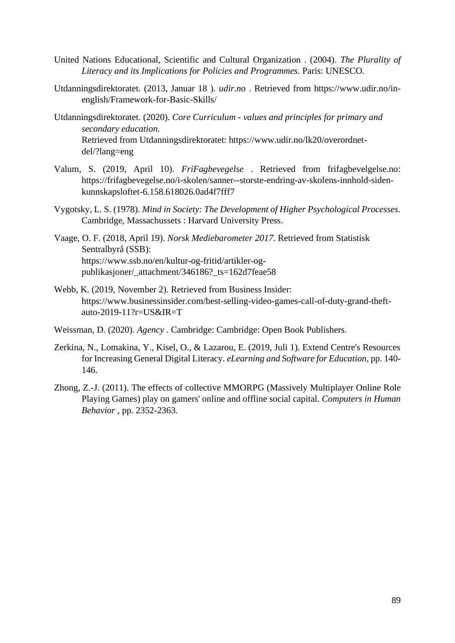- United Nations Educational, Scientific and Cultural Organization . (2004). *The Plurality of Literacy and its Implications for Policies and Programmes.* Paris: UNESCO.
- Utdanningsdirektoratet. (2013, Januar 18 ). *udir.no* . Retrieved from https://www.udir.no/inenglish/Framework-for-Basic-Skills/
- Utdanningsdirektoratet. (2020). *Core Curriculum - values and principles for primary and secondary education.* Retrieved from Utdanningsdirektoratet: https://www.udir.no/lk20/overordnetdel/?lang=eng
- Valum, S. (2019, April 10). *FriFagbevegelse* . Retrieved from frifagbevelgelse.no: https://frifagbevegelse.no/i-skolen/sanner--storste-endring-av-skolens-innhold-sidenkunnskapsloftet-6.158.618026.0ad4f7fff7
- Vygotsky, L. S. (1978). *Mind in Society: The Development of Higher Psychological Processes.* Cambridge, Massachussets : Harvard University Press.
- Vaage, O. F. (2018, April 19). *Norsk Mediebarometer 2017.* Retrieved from Statistisk Sentralbyrå (SSB): https://www.ssb.no/en/kultur-og-fritid/artikler-ogpublikasjoner/\_attachment/346186?\_ts=162d7feae58
- Webb, K. (2019, November 2). Retrieved from Business Insider: https://www.businessinsider.com/best-selling-video-games-call-of-duty-grand-theftauto-2019-11?r=US&IR=T
- Weissman, D. (2020). *Agency .* Cambridge: Cambridge: Open Book Publishers.
- Zerkina, N., Lomakina, Y., Kisel, O., & Lazarou, E. (2019, Juli 1). Extend Centre's Resources for Increasing General Digital Literacy. *eLearning and Software for Education*, pp. 140- 146.
- Zhong, Z.-J. (2011). The effects of collective MMORPG (Massively Multiplayer Online Role Playing Games) play on gamers' online and offline social capital. *Computers in Human Behavior* , pp. 2352-2363.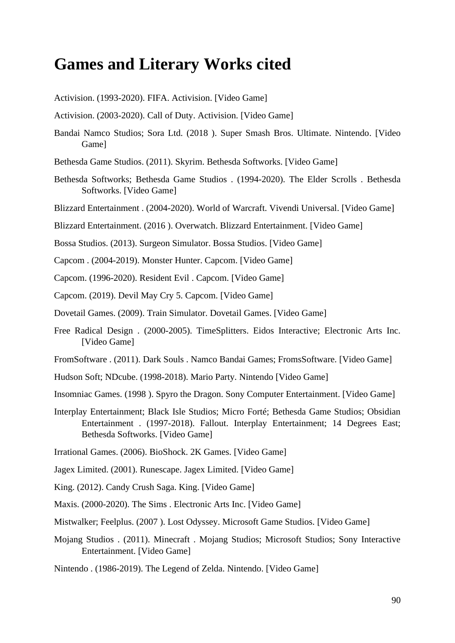# **Games and Literary Works cited**

Activision. (1993-2020). FIFA. Activision. [Video Game]

Activision. (2003-2020). Call of Duty. Activision. [Video Game]

- Bandai Namco Studios; Sora Ltd. (2018 ). Super Smash Bros. Ultimate. Nintendo. [Video Game]
- Bethesda Game Studios. (2011). Skyrim. Bethesda Softworks. [Video Game]
- Bethesda Softworks; Bethesda Game Studios . (1994-2020). The Elder Scrolls . Bethesda Softworks. [Video Game]
- Blizzard Entertainment . (2004-2020). World of Warcraft. Vivendi Universal. [Video Game]
- Blizzard Entertainment. (2016 ). Overwatch. Blizzard Entertainment. [Video Game]

Bossa Studios. (2013). Surgeon Simulator. Bossa Studios. [Video Game]

- Capcom . (2004-2019). Monster Hunter. Capcom. [Video Game]
- Capcom. (1996-2020). Resident Evil . Capcom. [Video Game]
- Capcom. (2019). Devil May Cry 5. Capcom. [Video Game]
- Dovetail Games. (2009). Train Simulator. Dovetail Games. [Video Game]
- Free Radical Design . (2000-2005). TimeSplitters. Eidos Interactive; Electronic Arts Inc. [Video Game]
- FromSoftware . (2011). Dark Souls . Namco Bandai Games; FromsSoftware. [Video Game]
- Hudson Soft; NDcube. (1998-2018). Mario Party. Nintendo [Video Game]
- Insomniac Games. (1998 ). Spyro the Dragon. Sony Computer Entertainment. [Video Game]
- Interplay Entertainment; Black Isle Studios; Micro Forté; Bethesda Game Studios; Obsidian Entertainment . (1997-2018). Fallout. Interplay Entertainment; 14 Degrees East; Bethesda Softworks. [Video Game]
- Irrational Games. (2006). BioShock. 2K Games. [Video Game]
- Jagex Limited. (2001). Runescape. Jagex Limited. [Video Game]
- King. (2012). Candy Crush Saga. King. [Video Game]
- Maxis. (2000-2020). The Sims . Electronic Arts Inc. [Video Game]
- Mistwalker; Feelplus. (2007 ). Lost Odyssey. Microsoft Game Studios. [Video Game]
- Mojang Studios . (2011). Minecraft . Mojang Studios; Microsoft Studios; Sony Interactive Entertainment. [Video Game]
- Nintendo . (1986-2019). The Legend of Zelda. Nintendo. [Video Game]